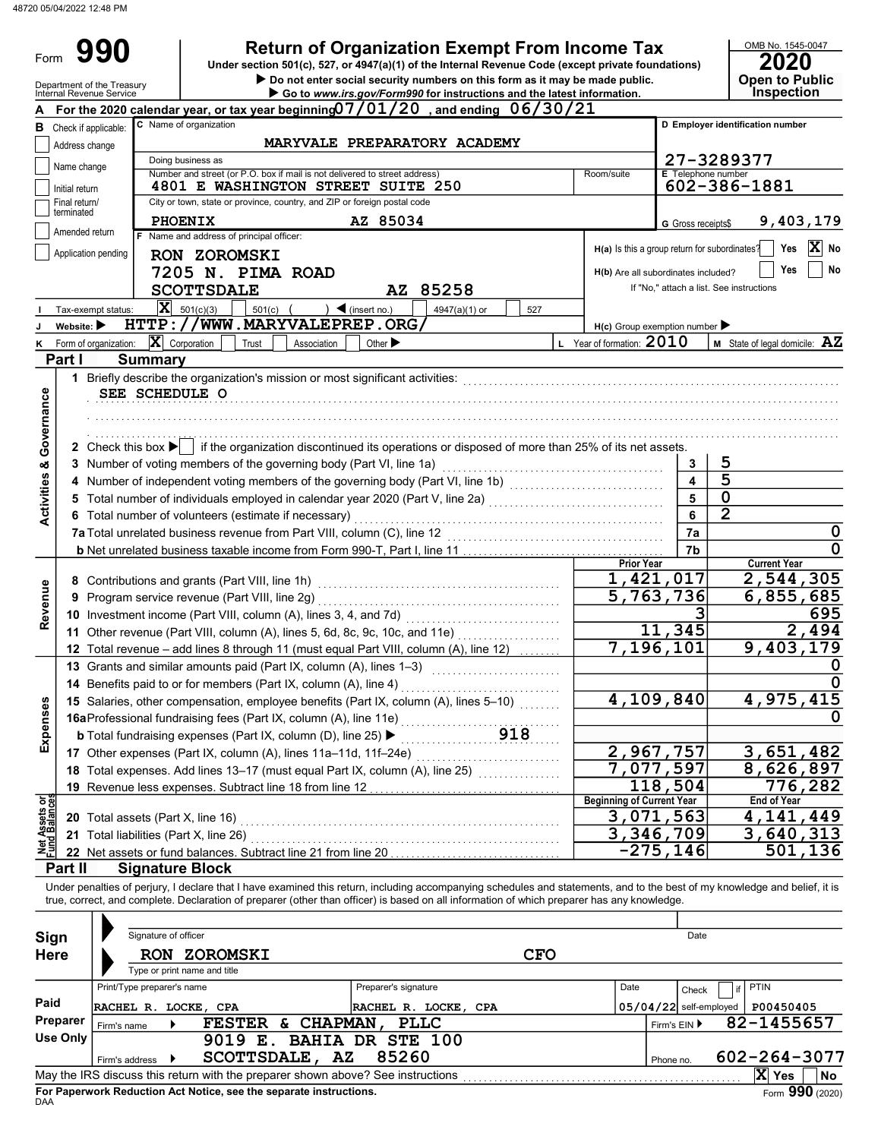Form 990

# Return of Organization Exempt From Income Tax

Do not enter social security numbers on this form as it may be made public. **Open to Public** Under section 501(c), 527, or 4947(a)(1) of the Internal Revenue Code (except private foundations)

|                                    |                                | Department of the Treasury<br>Internal Revenue Service |                            |                                              |        |                                                                                 |                                   |                      | $\frac{1}{1000}$ social security humbers on this form as it may be made $\frac{1}{1000}$<br>Go to www.irs.gov/Form990 for instructions and the latest information.        |            |                                               |                   |                                          |                | OPGIL IO L'UDIIU<br>Inspection                                                                                                                                             |
|------------------------------------|--------------------------------|--------------------------------------------------------|----------------------------|----------------------------------------------|--------|---------------------------------------------------------------------------------|-----------------------------------|----------------------|---------------------------------------------------------------------------------------------------------------------------------------------------------------------------|------------|-----------------------------------------------|-------------------|------------------------------------------|----------------|----------------------------------------------------------------------------------------------------------------------------------------------------------------------------|
|                                    |                                |                                                        |                            |                                              |        |                                                                                 |                                   |                      | For the 2020 calendar year, or tax year beginning $07/01/20$ , and ending $06/30/21$                                                                                      |            |                                               |                   |                                          |                |                                                                                                                                                                            |
| в                                  | Check if applicable:           |                                                        |                            | C Name of organization                       |        |                                                                                 |                                   |                      |                                                                                                                                                                           |            |                                               |                   |                                          |                | D Employer identification number                                                                                                                                           |
|                                    | Address change                 |                                                        |                            |                                              |        |                                                                                 |                                   |                      | MARYVALE PREPARATORY ACADEMY                                                                                                                                              |            |                                               |                   |                                          |                |                                                                                                                                                                            |
|                                    | Name change                    |                                                        |                            | Doing business as                            |        |                                                                                 |                                   |                      |                                                                                                                                                                           |            |                                               |                   | 27-3289377                               |                |                                                                                                                                                                            |
|                                    |                                |                                                        |                            |                                              |        | Number and street (or P.O. box if mail is not delivered to street address)      |                                   |                      |                                                                                                                                                                           |            | Room/suite                                    |                   | <b>E</b> Telephone number                |                |                                                                                                                                                                            |
|                                    | Initial return                 |                                                        |                            |                                              |        | <b>4801 E WASHINGTON STREET SUITE 250</b>                                       |                                   |                      |                                                                                                                                                                           |            |                                               |                   |                                          |                | 602-386-1881                                                                                                                                                               |
|                                    | Final return/<br>terminated    |                                                        |                            |                                              |        | City or town, state or province, country, and ZIP or foreign postal code        |                                   |                      |                                                                                                                                                                           |            |                                               |                   |                                          |                |                                                                                                                                                                            |
|                                    |                                |                                                        |                            | <b>PHOENIX</b>                               |        |                                                                                 | AZ 85034                          |                      |                                                                                                                                                                           |            |                                               |                   | G Gross receipts\$                       |                | 9,403,179                                                                                                                                                                  |
|                                    | Amended return                 |                                                        |                            | F Name and address of principal officer:     |        |                                                                                 |                                   |                      |                                                                                                                                                                           |            |                                               |                   |                                          |                | X                                                                                                                                                                          |
|                                    |                                | Application pending                                    |                            | <b>RON ZOROMSKI</b>                          |        |                                                                                 |                                   |                      |                                                                                                                                                                           |            | H(a) Is this a group return for subordinates? |                   |                                          |                | Yes<br>No                                                                                                                                                                  |
|                                    |                                |                                                        |                            | 7205 N. PIMA ROAD                            |        |                                                                                 |                                   |                      |                                                                                                                                                                           |            | H(b) Are all subordinates included?           |                   |                                          |                | Yes<br>No                                                                                                                                                                  |
|                                    |                                |                                                        |                            | <b>SCOTTSDALE</b>                            |        |                                                                                 |                                   |                      | AZ 85258                                                                                                                                                                  |            |                                               |                   | If "No," attach a list. See instructions |                |                                                                                                                                                                            |
|                                    |                                | Tax-exempt status:                                     | $ \mathbf{x} $             | 501(c)(3)                                    | 501(c) |                                                                                 | $\blacktriangleleft$ (insert no.) |                      | 4947(a)(1) or                                                                                                                                                             | 527        |                                               |                   |                                          |                |                                                                                                                                                                            |
|                                    | Website: $\blacktriangleright$ |                                                        |                            |                                              |        | HTTP://WWW.MARYVALEPREP.ORG/                                                    |                                   |                      |                                                                                                                                                                           |            | $H(c)$ Group exemption number                 |                   |                                          |                |                                                                                                                                                                            |
|                                    |                                | Form of organization:                                  | $ \mathbf{X} $ Corporation |                                              | Trust  | Association                                                                     | Other $\blacktriangleright$       |                      |                                                                                                                                                                           |            | L Year of formation: $2010$                   |                   |                                          |                | M State of legal domicile: AZ                                                                                                                                              |
|                                    | Part I                         |                                                        | <b>Summary</b>             |                                              |        |                                                                                 |                                   |                      |                                                                                                                                                                           |            |                                               |                   |                                          |                |                                                                                                                                                                            |
|                                    |                                |                                                        |                            |                                              |        | 1 Briefly describe the organization's mission or most significant activities:   |                                   |                      |                                                                                                                                                                           |            |                                               |                   |                                          |                |                                                                                                                                                                            |
|                                    |                                |                                                        | SEE SCHEDULE O             |                                              |        |                                                                                 |                                   |                      |                                                                                                                                                                           |            |                                               |                   |                                          |                |                                                                                                                                                                            |
|                                    |                                |                                                        |                            |                                              |        |                                                                                 |                                   |                      |                                                                                                                                                                           |            |                                               |                   |                                          |                |                                                                                                                                                                            |
|                                    |                                |                                                        |                            |                                              |        |                                                                                 |                                   |                      |                                                                                                                                                                           |            |                                               |                   |                                          |                |                                                                                                                                                                            |
|                                    |                                |                                                        |                            |                                              |        |                                                                                 |                                   |                      |                                                                                                                                                                           |            |                                               |                   |                                          |                |                                                                                                                                                                            |
|                                    |                                |                                                        |                            |                                              |        |                                                                                 |                                   |                      | 2 Check this box ▶   if the organization discontinued its operations or disposed of more than 25% of its net assets.                                                      |            |                                               |                   |                                          |                |                                                                                                                                                                            |
|                                    |                                |                                                        |                            |                                              |        | 3 Number of voting members of the governing body (Part VI, line 1a)             |                                   |                      |                                                                                                                                                                           |            |                                               |                   | 3                                        | 5              |                                                                                                                                                                            |
| <b>Activities &amp; Governance</b> |                                |                                                        |                            |                                              |        |                                                                                 |                                   |                      | 4 Number of independent voting members of the governing body (Part VI, line 1b) [1] [1] [1] Number of independent voting members of the governing body (Part VI, line 1b) |            |                                               |                   | $\overline{\mathbf{A}}$                  | 5              |                                                                                                                                                                            |
|                                    |                                |                                                        |                            |                                              |        |                                                                                 |                                   |                      | 5 Total number of individuals employed in calendar year 2020 (Part V, line 2a) [[[[[[[[[[[[[[[[[[[[[[[[[[[[[[[                                                            |            |                                               |                   | 5                                        | $\mathbf 0$    |                                                                                                                                                                            |
|                                    |                                |                                                        |                            |                                              |        | 6 Total number of volunteers (estimate if necessary)                            |                                   |                      |                                                                                                                                                                           |            |                                               |                   | 6                                        | $\overline{2}$ |                                                                                                                                                                            |
|                                    |                                |                                                        |                            |                                              |        | 7a Total unrelated business revenue from Part VIII, column (C), line 12         |                                   |                      |                                                                                                                                                                           |            |                                               |                   | 7a                                       |                | $\mathbf 0$                                                                                                                                                                |
|                                    |                                |                                                        |                            |                                              |        |                                                                                 |                                   |                      |                                                                                                                                                                           |            |                                               |                   | 7b                                       |                | $\mathbf 0$                                                                                                                                                                |
|                                    |                                |                                                        |                            |                                              |        |                                                                                 |                                   |                      |                                                                                                                                                                           |            |                                               | <b>Prior Year</b> |                                          |                | <b>Current Year</b>                                                                                                                                                        |
|                                    |                                |                                                        |                            |                                              |        |                                                                                 |                                   |                      |                                                                                                                                                                           |            |                                               |                   | 1,421,017                                |                | 2,544,305                                                                                                                                                                  |
| Revenue                            | 9                              |                                                        |                            | Program service revenue (Part VIII, line 2g) |        |                                                                                 |                                   |                      |                                                                                                                                                                           |            |                                               |                   | 5,763,736                                |                | 6,855,685                                                                                                                                                                  |
|                                    |                                |                                                        |                            |                                              |        | 10 Investment income (Part VIII, column (A), lines 3, 4, and 7d)                |                                   |                      |                                                                                                                                                                           |            |                                               |                   |                                          |                | 695                                                                                                                                                                        |
|                                    |                                |                                                        |                            |                                              |        |                                                                                 |                                   |                      | 11 Other revenue (Part VIII, column (A), lines 5, 6d, 8c, 9c, 10c, and 11e)                                                                                               |            |                                               |                   | 11,345                                   |                | 2,494                                                                                                                                                                      |
|                                    |                                |                                                        |                            |                                              |        |                                                                                 |                                   |                      | 12 Total revenue - add lines 8 through 11 (must equal Part VIII, column (A), line 12)                                                                                     |            |                                               |                   | $\overline{7}$ , 196, 101                |                | 9,403,179                                                                                                                                                                  |
|                                    |                                |                                                        |                            |                                              |        | 13 Grants and similar amounts paid (Part IX, column (A), lines 1-3)             |                                   |                      |                                                                                                                                                                           |            |                                               |                   |                                          |                | U                                                                                                                                                                          |
|                                    |                                |                                                        |                            |                                              |        | 14 Benefits paid to or for members (Part IX, column (A), line 4)                |                                   |                      |                                                                                                                                                                           |            |                                               |                   |                                          |                | <sup>0</sup>                                                                                                                                                               |
|                                    |                                |                                                        |                            |                                              |        |                                                                                 |                                   |                      | 15 Salaries, other compensation, employee benefits (Part IX, column (A), lines 5-10)                                                                                      |            |                                               |                   | 4,109,840                                |                | 4,975,415                                                                                                                                                                  |
|                                    |                                |                                                        |                            |                                              |        | 16aProfessional fundraising fees (Part IX, column (A), line 11e)                |                                   |                      |                                                                                                                                                                           |            |                                               |                   |                                          |                | 0                                                                                                                                                                          |
| Expenses                           |                                |                                                        |                            |                                              |        | <b>b</b> Total fundraising expenses (Part IX, column (D), line 25) ▶            |                                   |                      |                                                                                                                                                                           | 918        |                                               |                   |                                          |                |                                                                                                                                                                            |
|                                    |                                |                                                        |                            |                                              |        | 17 Other expenses (Part IX, column (A), lines 11a-11d, 11f-24e)                 |                                   |                      |                                                                                                                                                                           |            |                                               |                   | 2,967,757                                |                | 3,651,482                                                                                                                                                                  |
|                                    |                                |                                                        |                            |                                              |        |                                                                                 |                                   |                      | 18 Total expenses. Add lines 13-17 (must equal Part IX, column (A), line 25)                                                                                              |            |                                               |                   | 7,077,597                                |                | 8,626,897                                                                                                                                                                  |
|                                    |                                |                                                        |                            |                                              |        | 19 Revenue less expenses. Subtract line 18 from line 12                         |                                   |                      |                                                                                                                                                                           |            |                                               |                   | 118,504                                  |                | 776,282                                                                                                                                                                    |
| 동ᅇ                                 |                                |                                                        |                            |                                              |        |                                                                                 |                                   |                      |                                                                                                                                                                           |            | <b>Beginning of Current Year</b>              |                   |                                          |                | <b>End of Year</b>                                                                                                                                                         |
| let Assets<br>und Balanc           |                                |                                                        |                            | 20 Total assets (Part X, line 16)            |        |                                                                                 |                                   |                      |                                                                                                                                                                           |            |                                               |                   | 3,071,563                                |                | 4, 141, 449                                                                                                                                                                |
|                                    |                                |                                                        |                            | 21 Total liabilities (Part X, line 26)       |        |                                                                                 |                                   |                      |                                                                                                                                                                           |            |                                               |                   | 3,346,709                                |                | 3,640,313                                                                                                                                                                  |
| 회                                  |                                |                                                        |                            |                                              |        | 22 Net assets or fund balances. Subtract line 21 from line 20                   |                                   |                      |                                                                                                                                                                           |            |                                               |                   | $-275, 146$                              |                | 501,136                                                                                                                                                                    |
|                                    | Part II                        |                                                        |                            | <b>Signature Block</b>                       |        |                                                                                 |                                   |                      |                                                                                                                                                                           |            |                                               |                   |                                          |                |                                                                                                                                                                            |
|                                    |                                |                                                        |                            |                                              |        |                                                                                 |                                   |                      |                                                                                                                                                                           |            |                                               |                   |                                          |                | Under penalties of perjury, I declare that I have examined this return, including accompanying schedules and statements, and to the best of my knowledge and belief, it is |
|                                    |                                |                                                        |                            |                                              |        |                                                                                 |                                   |                      | true, correct, and complete. Declaration of preparer (other than officer) is based on all information of which preparer has any knowledge.                                |            |                                               |                   |                                          |                |                                                                                                                                                                            |
|                                    |                                |                                                        |                            |                                              |        |                                                                                 |                                   |                      |                                                                                                                                                                           |            |                                               |                   |                                          |                |                                                                                                                                                                            |
| Sign                               |                                |                                                        | Signature of officer       |                                              |        |                                                                                 |                                   |                      |                                                                                                                                                                           |            |                                               |                   | Date                                     |                |                                                                                                                                                                            |
|                                    | <b>Here</b>                    |                                                        |                            | <b>RON ZOROMSKI</b>                          |        |                                                                                 |                                   |                      |                                                                                                                                                                           | <b>CFO</b> |                                               |                   |                                          |                |                                                                                                                                                                            |
|                                    |                                |                                                        |                            | Type or print name and title                 |        |                                                                                 |                                   |                      |                                                                                                                                                                           |            |                                               |                   |                                          |                |                                                                                                                                                                            |
|                                    |                                |                                                        | Print/Type preparer's name |                                              |        |                                                                                 |                                   | Preparer's signature |                                                                                                                                                                           |            | Date                                          |                   |                                          | if             | PTIN                                                                                                                                                                       |
| Paid                               |                                |                                                        |                            |                                              |        |                                                                                 |                                   |                      |                                                                                                                                                                           |            |                                               |                   | Check                                    |                |                                                                                                                                                                            |
|                                    | <b>Preparer</b>                |                                                        |                            | RACHEL R. LOCKE, CPA                         |        |                                                                                 |                                   |                      | RACHEL R. LOCKE, CPA                                                                                                                                                      |            |                                               |                   | $05/04/22$ self-employed                 |                | P00450405                                                                                                                                                                  |
|                                    | <b>Use Only</b>                | Firm's name                                            |                            |                                              |        | FESTER & CHAPMAN, PLLC                                                          |                                   |                      |                                                                                                                                                                           |            |                                               |                   | Firm's EIN ▶                             |                | 82-1455657                                                                                                                                                                 |
|                                    |                                |                                                        |                            |                                              |        | 9019 E. BAHIA DR STE 100                                                        |                                   |                      |                                                                                                                                                                           |            |                                               |                   |                                          |                |                                                                                                                                                                            |
|                                    |                                | Firm's address                                         |                            |                                              |        | SCOTTSDALE, AZ                                                                  |                                   | 85260                |                                                                                                                                                                           |            |                                               |                   | Phone no.                                |                | 602-264-3077                                                                                                                                                               |
|                                    |                                |                                                        |                            |                                              |        | May the IRS discuss this return with the preparer shown above? See instructions |                                   |                      |                                                                                                                                                                           |            |                                               |                   |                                          |                | X Yes<br>No                                                                                                                                                                |

| Sign<br><b>Here</b>                                                                                 | Signature of officer<br><b>RON</b> | <b>ZOROMSKI</b><br>Type or print name and title                                 |                                  | <b>CFO</b>                 |           | Date                     |                       |  |  |  |
|-----------------------------------------------------------------------------------------------------|------------------------------------|---------------------------------------------------------------------------------|----------------------------------|----------------------------|-----------|--------------------------|-----------------------|--|--|--|
|                                                                                                     | Print/Type preparer's name         |                                                                                 | Preparer's signature             | Date                       |           | Check                    | <b>PTIN</b>           |  |  |  |
| Paid                                                                                                | RACHEL R. LOCKE, CPA               |                                                                                 | RACHEL R. LOCKE, CPA             |                            |           | $05/04/22$ self-employed | P00450405             |  |  |  |
| Preparer                                                                                            | Firm's name                        | <b>CHAPMAN</b><br><b>FESTER</b><br>б.                                           | <b>PLLC</b>                      | 82-1455657<br>Firm's EIN ▶ |           |                          |                       |  |  |  |
| Use Only                                                                                            | Firm's address                     | 9019<br>$\mathbf{E}$ .<br>AZ<br><b>SCOTTSDALE,</b>                              | <b>BAHIA DR STE 100</b><br>85260 |                            | Phone no. |                          | 602-264-3077          |  |  |  |
|                                                                                                     |                                    | May the IRS discuss this return with the preparer shown above? See instructions |                                  |                            |           |                          | x<br><b>No</b><br>Yes |  |  |  |
| Form 990 (2020)<br>For Paperwork Reduction Act Notice, see the separate instructions.<br><b>DAA</b> |                                    |                                                                                 |                                  |                            |           |                          |                       |  |  |  |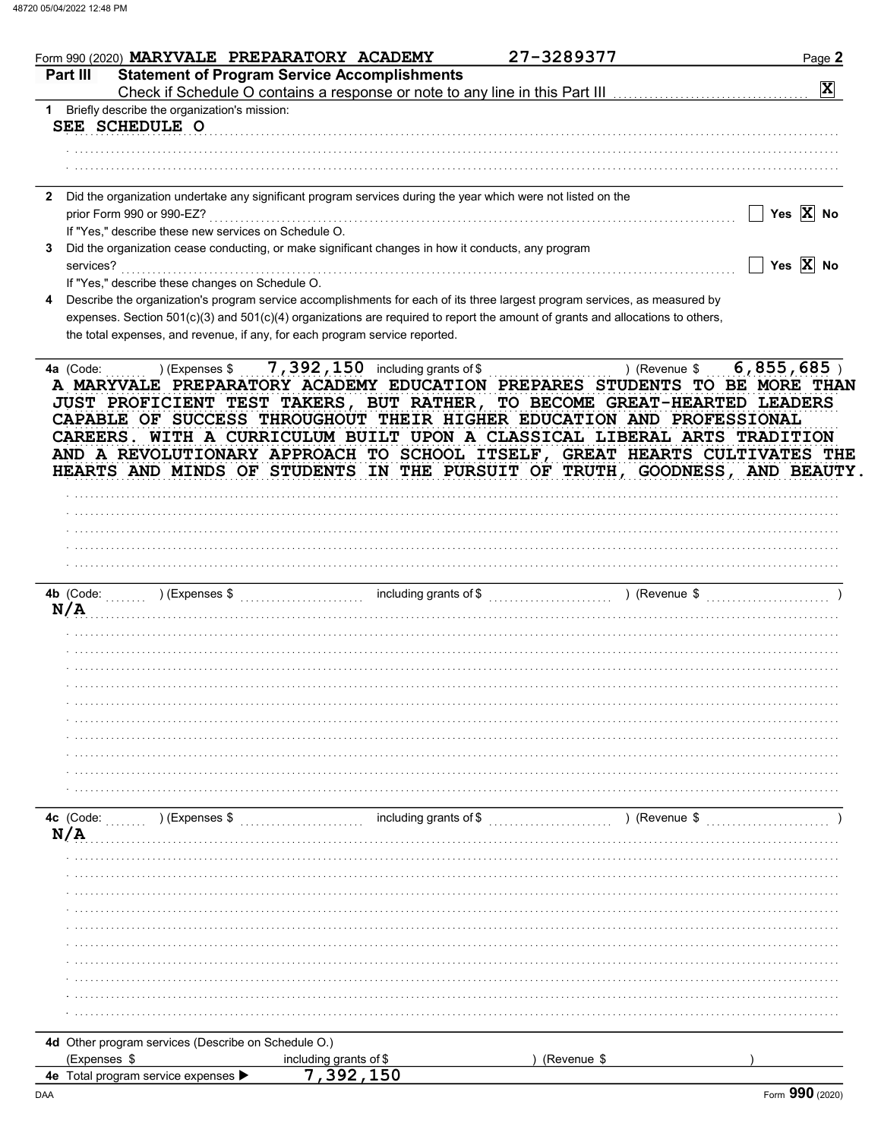|              | Form 990 (2020) MARYVALE PREPARATORY ACADEMY                                                                                                                                                                                                                                                                                                                                                                                                                             |                                                     | 27-3289377    | Page 2                |
|--------------|--------------------------------------------------------------------------------------------------------------------------------------------------------------------------------------------------------------------------------------------------------------------------------------------------------------------------------------------------------------------------------------------------------------------------------------------------------------------------|-----------------------------------------------------|---------------|-----------------------|
|              | Part III                                                                                                                                                                                                                                                                                                                                                                                                                                                                 | <b>Statement of Program Service Accomplishments</b> |               |                       |
|              |                                                                                                                                                                                                                                                                                                                                                                                                                                                                          |                                                     |               | $\mathbf{x}$          |
|              | 1 Briefly describe the organization's mission:                                                                                                                                                                                                                                                                                                                                                                                                                           |                                                     |               |                       |
|              | SEE SCHEDULE O                                                                                                                                                                                                                                                                                                                                                                                                                                                           |                                                     |               |                       |
|              |                                                                                                                                                                                                                                                                                                                                                                                                                                                                          |                                                     |               |                       |
|              |                                                                                                                                                                                                                                                                                                                                                                                                                                                                          |                                                     |               |                       |
|              |                                                                                                                                                                                                                                                                                                                                                                                                                                                                          |                                                     |               |                       |
| $\mathbf{2}$ | Did the organization undertake any significant program services during the year which were not listed on the<br>prior Form 990 or 990-EZ?                                                                                                                                                                                                                                                                                                                                |                                                     |               | Yes $\overline{X}$ No |
|              | If "Yes," describe these new services on Schedule O.                                                                                                                                                                                                                                                                                                                                                                                                                     |                                                     |               |                       |
| 3            | Did the organization cease conducting, or make significant changes in how it conducts, any program                                                                                                                                                                                                                                                                                                                                                                       |                                                     |               |                       |
|              | services?                                                                                                                                                                                                                                                                                                                                                                                                                                                                |                                                     |               | Yes $X$ No            |
|              | If "Yes," describe these changes on Schedule O.                                                                                                                                                                                                                                                                                                                                                                                                                          |                                                     |               |                       |
|              | Describe the organization's program service accomplishments for each of its three largest program services, as measured by                                                                                                                                                                                                                                                                                                                                               |                                                     |               |                       |
|              | expenses. Section 501(c)(3) and 501(c)(4) organizations are required to report the amount of grants and allocations to others,                                                                                                                                                                                                                                                                                                                                           |                                                     |               |                       |
|              | the total expenses, and revenue, if any, for each program service reported.                                                                                                                                                                                                                                                                                                                                                                                              |                                                     |               |                       |
|              |                                                                                                                                                                                                                                                                                                                                                                                                                                                                          | 7, 392, 150 including grants of \$                  |               |                       |
|              | A MARYVALE PREPARATORY ACADEMY EDUCATION PREPARES STUDENTS TO BE MORE THAN<br>JUST PROFICIENT TEST TAKERS, BUT RATHER, TO BECOME GREAT-HEARTED LEADERS<br>CAPABLE OF SUCCESS THROUGHOUT THEIR HIGHER EDUCATION AND PROFESSIONAL<br>CAREERS. WITH A CURRICULUM BUILT UPON A CLASSICAL LIBERAL ARTS TRADITION<br>AND A REVOLUTIONARY APPROACH TO SCHOOL ITSELF, GREAT HEARTS CULTIVATES THE<br>HEARTS AND MINDS OF STUDENTS IN THE PURSUIT OF TRUTH, GOODNESS, AND BEAUTY. |                                                     |               |                       |
|              |                                                                                                                                                                                                                                                                                                                                                                                                                                                                          |                                                     |               |                       |
|              |                                                                                                                                                                                                                                                                                                                                                                                                                                                                          |                                                     |               |                       |
|              |                                                                                                                                                                                                                                                                                                                                                                                                                                                                          |                                                     |               |                       |
|              |                                                                                                                                                                                                                                                                                                                                                                                                                                                                          |                                                     |               |                       |
|              | N/A                                                                                                                                                                                                                                                                                                                                                                                                                                                                      |                                                     |               |                       |
|              |                                                                                                                                                                                                                                                                                                                                                                                                                                                                          |                                                     |               |                       |
|              |                                                                                                                                                                                                                                                                                                                                                                                                                                                                          |                                                     |               |                       |
|              |                                                                                                                                                                                                                                                                                                                                                                                                                                                                          |                                                     |               |                       |
|              |                                                                                                                                                                                                                                                                                                                                                                                                                                                                          |                                                     |               |                       |
|              |                                                                                                                                                                                                                                                                                                                                                                                                                                                                          |                                                     |               |                       |
|              |                                                                                                                                                                                                                                                                                                                                                                                                                                                                          |                                                     |               |                       |
|              |                                                                                                                                                                                                                                                                                                                                                                                                                                                                          |                                                     |               |                       |
|              |                                                                                                                                                                                                                                                                                                                                                                                                                                                                          |                                                     |               |                       |
|              |                                                                                                                                                                                                                                                                                                                                                                                                                                                                          |                                                     |               |                       |
|              | 4c (Code:<br>) (Expenses \$                                                                                                                                                                                                                                                                                                                                                                                                                                              | including grants of \$                              | ) (Revenue \$ |                       |
|              | N/A                                                                                                                                                                                                                                                                                                                                                                                                                                                                      |                                                     |               |                       |
|              |                                                                                                                                                                                                                                                                                                                                                                                                                                                                          |                                                     |               |                       |
|              |                                                                                                                                                                                                                                                                                                                                                                                                                                                                          |                                                     |               |                       |
|              |                                                                                                                                                                                                                                                                                                                                                                                                                                                                          |                                                     |               |                       |
|              |                                                                                                                                                                                                                                                                                                                                                                                                                                                                          |                                                     |               |                       |
|              |                                                                                                                                                                                                                                                                                                                                                                                                                                                                          |                                                     |               |                       |
|              |                                                                                                                                                                                                                                                                                                                                                                                                                                                                          |                                                     |               |                       |
|              |                                                                                                                                                                                                                                                                                                                                                                                                                                                                          |                                                     |               |                       |
|              |                                                                                                                                                                                                                                                                                                                                                                                                                                                                          |                                                     |               |                       |
|              |                                                                                                                                                                                                                                                                                                                                                                                                                                                                          |                                                     |               |                       |
|              |                                                                                                                                                                                                                                                                                                                                                                                                                                                                          |                                                     |               |                       |
|              | 4d Other program services (Describe on Schedule O.)<br>(Expenses \$                                                                                                                                                                                                                                                                                                                                                                                                      | including grants of \$                              | (Revenue \$   |                       |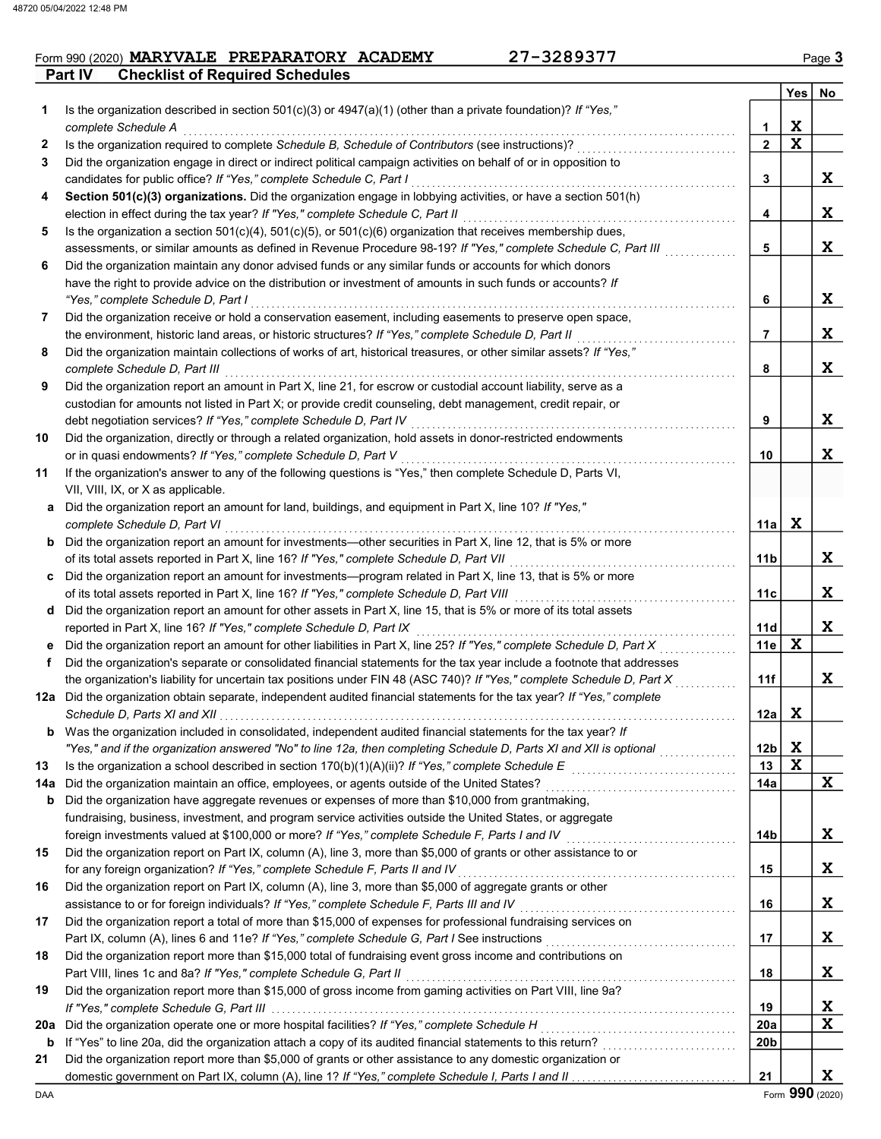### **Part IV** Checklist of Required Schedules  $From 990 (2020) **MARYVALE PREPARATORY ACADEMY** 27-3289377$

|     |                                                                                                                                                                                                                             |                       | $Yes \mid No$ |             |
|-----|-----------------------------------------------------------------------------------------------------------------------------------------------------------------------------------------------------------------------------|-----------------------|---------------|-------------|
| 1   | Is the organization described in section 501(c)(3) or $4947(a)(1)$ (other than a private foundation)? If "Yes,"                                                                                                             |                       |               |             |
|     | complete Schedule A                                                                                                                                                                                                         | 1                     | X             |             |
| 2   | Is the organization required to complete Schedule B, Schedule of Contributors (see instructions)?                                                                                                                           | $\mathbf{2}$          | $\mathbf x$   |             |
| 3   | Did the organization engage in direct or indirect political campaign activities on behalf of or in opposition to                                                                                                            |                       |               |             |
|     | candidates for public office? If "Yes," complete Schedule C, Part I                                                                                                                                                         | 3                     |               | X           |
| 4   | Section 501(c)(3) organizations. Did the organization engage in lobbying activities, or have a section 501(h)                                                                                                               |                       |               |             |
|     | election in effect during the tax year? If "Yes," complete Schedule C, Part II                                                                                                                                              | 4                     |               | X           |
| 5   | Is the organization a section $501(c)(4)$ , $501(c)(5)$ , or $501(c)(6)$ organization that receives membership dues,                                                                                                        |                       |               |             |
|     | assessments, or similar amounts as defined in Revenue Procedure 98-19? If "Yes," complete Schedule C, Part III                                                                                                              | 5                     |               | X           |
| 6   | Did the organization maintain any donor advised funds or any similar funds or accounts for which donors                                                                                                                     |                       |               |             |
|     | have the right to provide advice on the distribution or investment of amounts in such funds or accounts? If                                                                                                                 |                       |               |             |
|     | "Yes," complete Schedule D, Part I                                                                                                                                                                                          | 6                     |               | X           |
| 7   | Did the organization receive or hold a conservation easement, including easements to preserve open space,                                                                                                                   |                       |               | X           |
| 8   | the environment, historic land areas, or historic structures? If "Yes," complete Schedule D, Part II<br>Did the organization maintain collections of works of art, historical treasures, or other similar assets? If "Yes," | 7                     |               |             |
|     | complete Schedule D, Part III                                                                                                                                                                                               | 8                     |               | X           |
| 9   | Did the organization report an amount in Part X, line 21, for escrow or custodial account liability, serve as a                                                                                                             |                       |               |             |
|     | custodian for amounts not listed in Part X; or provide credit counseling, debt management, credit repair, or                                                                                                                |                       |               |             |
|     | debt negotiation services? If "Yes," complete Schedule D, Part IV                                                                                                                                                           | 9                     |               | X           |
| 10  | Did the organization, directly or through a related organization, hold assets in donor-restricted endowments                                                                                                                |                       |               |             |
|     | or in quasi endowments? If "Yes," complete Schedule D, Part V                                                                                                                                                               | 10                    |               | X           |
| 11  | If the organization's answer to any of the following questions is "Yes," then complete Schedule D, Parts VI,                                                                                                                |                       |               |             |
|     | VII, VIII, IX, or X as applicable.                                                                                                                                                                                          |                       |               |             |
|     | a Did the organization report an amount for land, buildings, and equipment in Part X, line 10? If "Yes,"                                                                                                                    |                       |               |             |
|     | complete Schedule D, Part VI                                                                                                                                                                                                | 11a                   | $\mathbf{x}$  |             |
|     | <b>b</b> Did the organization report an amount for investments—other securities in Part X, line 12, that is 5% or more                                                                                                      |                       |               |             |
|     | of its total assets reported in Part X, line 16? If "Yes," complete Schedule D, Part VII                                                                                                                                    | 11b                   |               | X           |
|     | c Did the organization report an amount for investments—program related in Part X, line 13, that is 5% or more                                                                                                              |                       |               |             |
|     | of its total assets reported in Part X, line 16? If "Yes," complete Schedule D, Part VIII [[[[[[[[[[[[[[[[[[[                                                                                                               | 11c                   |               | X           |
|     | d Did the organization report an amount for other assets in Part X, line 15, that is 5% or more of its total assets                                                                                                         |                       |               |             |
|     | reported in Part X, line 16? If "Yes," complete Schedule D, Part IX                                                                                                                                                         | 11d                   |               | X           |
|     | e Did the organization report an amount for other liabilities in Part X, line 25? If "Yes," complete Schedule D, Part X                                                                                                     | 11e                   | X             |             |
| f   | Did the organization's separate or consolidated financial statements for the tax year include a footnote that addresses                                                                                                     |                       |               |             |
|     | the organization's liability for uncertain tax positions under FIN 48 (ASC 740)? If "Yes," complete Schedule D, Part X                                                                                                      | 11f                   |               | X           |
|     | 12a Did the organization obtain separate, independent audited financial statements for the tax year? If "Yes," complete                                                                                                     |                       |               |             |
|     |                                                                                                                                                                                                                             | 12a                   | X             |             |
| b   | Was the organization included in consolidated, independent audited financial statements for the tax year? If                                                                                                                |                       | X             |             |
| 13  | "Yes," and if the organization answered "No" to line 12a, then completing Schedule D, Parts XI and XII is optional                                                                                                          | 12 <sub>b</sub><br>13 | $\mathbf X$   |             |
| 14a |                                                                                                                                                                                                                             | 14a                   |               | X           |
| b   | Did the organization have aggregate revenues or expenses of more than \$10,000 from grantmaking,                                                                                                                            |                       |               |             |
|     | fundraising, business, investment, and program service activities outside the United States, or aggregate                                                                                                                   |                       |               |             |
|     | foreign investments valued at \$100,000 or more? If "Yes," complete Schedule F, Parts I and IV [[[[[[[[[[[[[[[                                                                                                              | 14b                   |               | X           |
| 15  | Did the organization report on Part IX, column (A), line 3, more than \$5,000 of grants or other assistance to or                                                                                                           |                       |               |             |
|     | for any foreign organization? If "Yes," complete Schedule F, Parts II and IV                                                                                                                                                | 15                    |               | X           |
| 16  | Did the organization report on Part IX, column (A), line 3, more than \$5,000 of aggregate grants or other                                                                                                                  |                       |               |             |
|     | assistance to or for foreign individuals? If "Yes," complete Schedule F, Parts III and IV                                                                                                                                   | 16                    |               | X           |
| 17  | Did the organization report a total of more than \$15,000 of expenses for professional fundraising services on                                                                                                              |                       |               |             |
|     | Part IX, column (A), lines 6 and 11e? If "Yes," complete Schedule G, Part I See instructions [[[[[[[[[[[[[[[[                                                                                                               | 17                    |               | X           |
| 18  | Did the organization report more than \$15,000 total of fundraising event gross income and contributions on                                                                                                                 |                       |               |             |
|     | Part VIII, lines 1c and 8a? If "Yes," complete Schedule G, Part II                                                                                                                                                          | 18                    |               | X           |
| 19  | Did the organization report more than \$15,000 of gross income from gaming activities on Part VIII, line 9a?                                                                                                                |                       |               |             |
|     |                                                                                                                                                                                                                             | 19                    |               | X           |
| 20a | Did the organization operate one or more hospital facilities? If "Yes," complete Schedule H [ [ [ [ [ ] ] [ ]                                                                                                               | 20a                   |               | $\mathbf X$ |
| b   |                                                                                                                                                                                                                             | 20b                   |               |             |
| 21  | Did the organization report more than \$5,000 of grants or other assistance to any domestic organization or                                                                                                                 |                       |               |             |
|     |                                                                                                                                                                                                                             | 21                    |               | X           |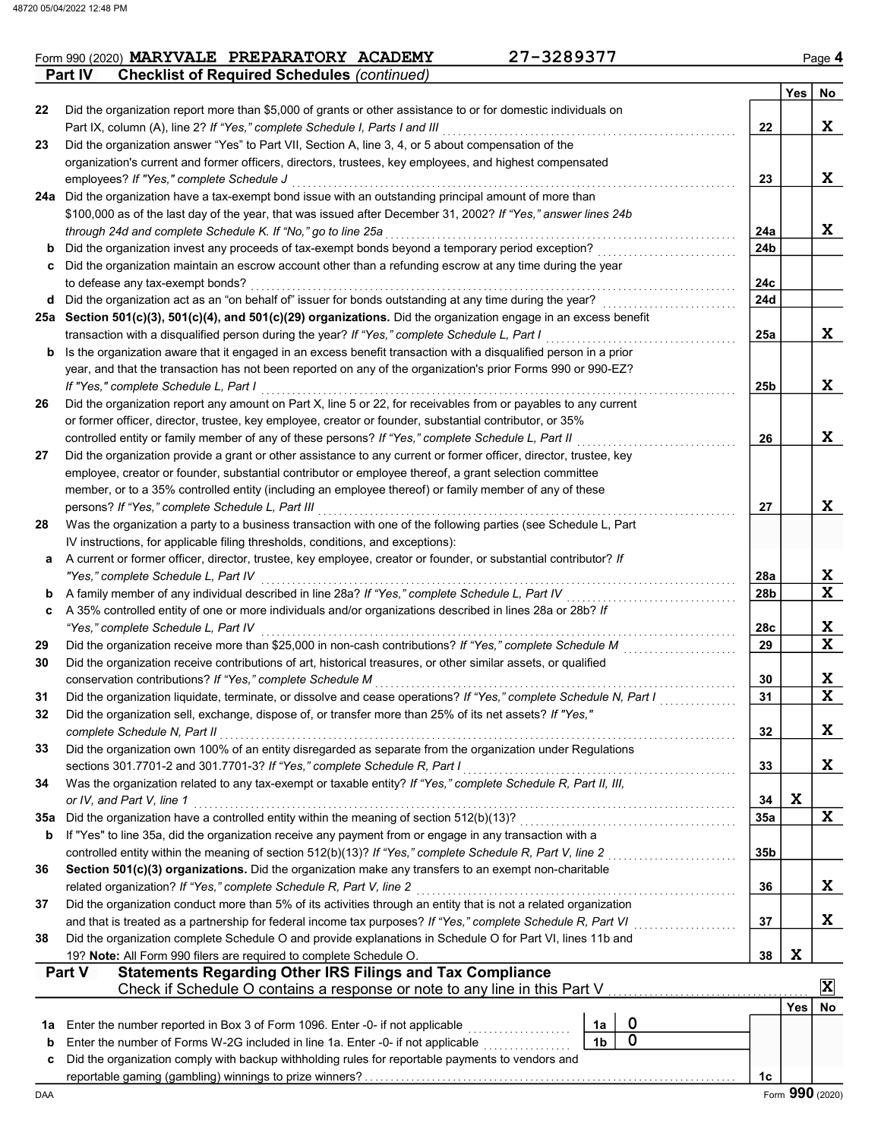23

Part IV Checklist of Required Schedules (continued)

Part IX, column (A), line 2? If "Yes," complete Schedule I, Parts I and III

Did the organization answer "Yes" to Part VII, Section A, line 3, 4, or 5 about compensation of the

22 Did the organization report more than \$5,000 of grants or other assistance to or for domestic individuals on

|        | organization's current and former officers, directors, trustees, key employees, and highest compensated                                                                                               |                        |            |                 |
|--------|-------------------------------------------------------------------------------------------------------------------------------------------------------------------------------------------------------|------------------------|------------|-----------------|
|        | employees? If "Yes," complete Schedule J                                                                                                                                                              | 23                     |            | X               |
|        | 24a Did the organization have a tax-exempt bond issue with an outstanding principal amount of more than                                                                                               |                        |            |                 |
|        | \$100,000 as of the last day of the year, that was issued after December 31, 2002? If "Yes," answer lines 24b                                                                                         |                        |            |                 |
|        | through 24d and complete Schedule K. If "No," go to line 25a                                                                                                                                          | 24a                    |            | X               |
| b      | Did the organization invest any proceeds of tax-exempt bonds beyond a temporary period exception?                                                                                                     | 24 <sub>b</sub>        |            |                 |
|        | Did the organization maintain an escrow account other than a refunding escrow at any time during the year                                                                                             |                        |            |                 |
|        | to defease any tax-exempt bonds?<br>d Did the organization act as an "on behalf of" issuer for bonds outstanding at any time during the year?                                                         | 24c<br><b>24d</b>      |            |                 |
|        | 25a Section 501(c)(3), 501(c)(4), and 501(c)(29) organizations. Did the organization engage in an excess benefit                                                                                      |                        |            |                 |
|        | transaction with a disqualified person during the year? If "Yes," complete Schedule L, Part I                                                                                                         | 25a                    |            | X               |
| b      | Is the organization aware that it engaged in an excess benefit transaction with a disqualified person in a prior                                                                                      |                        |            |                 |
|        | year, and that the transaction has not been reported on any of the organization's prior Forms 990 or 990-EZ?                                                                                          |                        |            |                 |
|        | If "Yes," complete Schedule L, Part I                                                                                                                                                                 | 25b                    |            | X               |
| 26     | Did the organization report any amount on Part X, line 5 or 22, for receivables from or payables to any current                                                                                       |                        |            |                 |
|        | or former officer, director, trustee, key employee, creator or founder, substantial contributor, or 35%                                                                                               |                        |            |                 |
|        | controlled entity or family member of any of these persons? If "Yes," complete Schedule L, Part II                                                                                                    | 26                     |            | X               |
| 27     | Did the organization provide a grant or other assistance to any current or former officer, director, trustee, key                                                                                     |                        |            |                 |
|        | employee, creator or founder, substantial contributor or employee thereof, a grant selection committee                                                                                                |                        |            |                 |
|        | member, or to a 35% controlled entity (including an employee thereof) or family member of any of these                                                                                                |                        |            |                 |
|        | persons? If "Yes," complete Schedule L, Part III                                                                                                                                                      | 27                     |            | X               |
| 28     | Was the organization a party to a business transaction with one of the following parties (see Schedule L, Part                                                                                        |                        |            |                 |
|        | IV instructions, for applicable filing thresholds, conditions, and exceptions):                                                                                                                       |                        |            |                 |
| а      | A current or former officer, director, trustee, key employee, creator or founder, or substantial contributor? If                                                                                      |                        |            |                 |
|        | "Yes," complete Schedule L, Part IV<br>A family member of any individual described in line 28a? If "Yes," complete Schedule L, Part IV                                                                | 28a<br>28 <sub>b</sub> |            | X<br>X          |
| b<br>C | A 35% controlled entity of one or more individuals and/or organizations described in lines 28a or 28b? If                                                                                             |                        |            |                 |
|        | "Yes," complete Schedule L, Part IV                                                                                                                                                                   | 28c                    |            | X               |
| 29     | Did the organization receive more than \$25,000 in non-cash contributions? If "Yes," complete Schedule M                                                                                              | 29                     |            | $\mathbf x$     |
| 30     | Did the organization receive contributions of art, historical treasures, or other similar assets, or qualified                                                                                        |                        |            |                 |
|        | conservation contributions? If "Yes," complete Schedule M                                                                                                                                             | 30                     |            | X               |
| 31     | Did the organization liquidate, terminate, or dissolve and cease operations? If "Yes," complete Schedule N, Part I                                                                                    | 31                     |            | $\mathbf x$     |
| 32     | Did the organization sell, exchange, dispose of, or transfer more than 25% of its net assets? If "Yes,"                                                                                               |                        |            |                 |
|        | complete Schedule N, Part II                                                                                                                                                                          | 32                     |            | X               |
| 33     | Did the organization own 100% of an entity disregarded as separate from the organization under Regulations                                                                                            |                        |            |                 |
|        | sections 301.7701-2 and 301.7701-3? If "Yes," complete Schedule R, Part I                                                                                                                             | 33                     |            | X               |
| 34     | Was the organization related to any tax-exempt or taxable entity? If "Yes," complete Schedule R, Part II, III,                                                                                        |                        |            |                 |
|        | or IV, and Part V, line 1                                                                                                                                                                             | 34                     | X          | X               |
| 35а    | Did the organization have a controlled entity within the meaning of section 512(b)(13)?<br>If "Yes" to line 35a, did the organization receive any payment from or engage in any transaction with a    | 35a                    |            |                 |
| b      | controlled entity within the meaning of section 512(b)(13)? If "Yes," complete Schedule R, Part V, line 2                                                                                             | 35b                    |            |                 |
| 36     | Section 501(c)(3) organizations. Did the organization make any transfers to an exempt non-charitable                                                                                                  |                        |            |                 |
|        | related organization? If "Yes," complete Schedule R, Part V, line 2                                                                                                                                   | 36                     |            | X               |
| 37     | Did the organization conduct more than 5% of its activities through an entity that is not a related organization                                                                                      |                        |            |                 |
|        | and that is treated as a partnership for federal income tax purposes? If "Yes," complete Schedule R, Part VI                                                                                          | 37                     |            | X               |
| 38     | Did the organization complete Schedule O and provide explanations in Schedule O for Part VI, lines 11b and                                                                                            |                        |            |                 |
|        | 19? Note: All Form 990 filers are required to complete Schedule O.                                                                                                                                    | 38                     | X          |                 |
|        | <b>Statements Regarding Other IRS Filings and Tax Compliance</b><br><b>Part V</b>                                                                                                                     |                        |            |                 |
|        | Check if Schedule O contains a response or note to any line in this Part V                                                                                                                            |                        |            | $\mathbf x$     |
|        |                                                                                                                                                                                                       |                        | <b>Yes</b> | No              |
| 1a     | $\mathbf 0$<br>Enter the number reported in Box 3 of Form 1096. Enter -0- if not applicable<br>1a<br>$\mathbf 0$                                                                                      |                        |            |                 |
| b      | Enter the number of Forms W-2G included in line 1a. Enter -0- if not applicable<br>1 <sub>b</sub><br>Did the organization comply with backup withholding rules for reportable payments to vendors and |                        |            |                 |
| c      |                                                                                                                                                                                                       | 1c                     |            |                 |
| DAA    |                                                                                                                                                                                                       |                        |            | Form 990 (2020) |
|        |                                                                                                                                                                                                       |                        |            |                 |
|        |                                                                                                                                                                                                       |                        |            |                 |

X

 $Yes \mid No$ 

22

. . . . . . . . . . . . . . . . . . . . . . . . . . . . . . . . . . . . . . . . . . . . . . . . . . . . . . . . .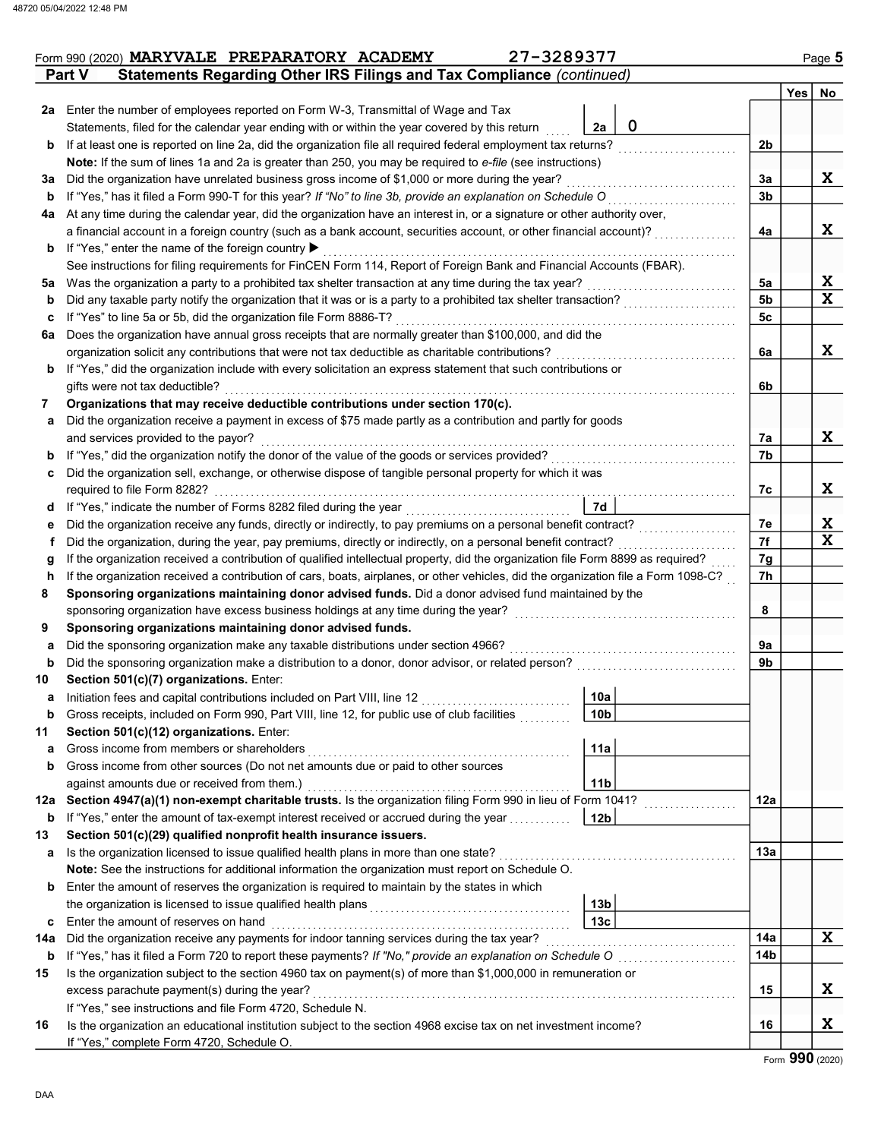|     | 27-3289377<br>Form 990 (2020) MARYVALE PREPARATORY ACADEMY                                                                                                                                         |                                   |             |                |     | Page 5 |
|-----|----------------------------------------------------------------------------------------------------------------------------------------------------------------------------------------------------|-----------------------------------|-------------|----------------|-----|--------|
|     | Statements Regarding Other IRS Filings and Tax Compliance (continued)<br>Part V                                                                                                                    |                                   |             |                | Yes | No     |
|     | 2a Enter the number of employees reported on Form W-3, Transmittal of Wage and Tax                                                                                                                 |                                   |             |                |     |        |
|     | Statements, filed for the calendar year ending with or within the year covered by this return                                                                                                      | 2a                                | $\mathbf 0$ |                |     |        |
| b   | If at least one is reported on line 2a, did the organization file all required federal employment tax returns?                                                                                     |                                   |             | 2 <sub>b</sub> |     |        |
|     | Note: If the sum of lines 1a and 2a is greater than 250, you may be required to e-file (see instructions)                                                                                          |                                   |             |                |     |        |
|     | Did the organization have unrelated business gross income of \$1,000 or more during the year?                                                                                                      |                                   |             | 3a             |     | X      |
| За  | If "Yes," has it filed a Form 990-T for this year? If "No" to line 3b, provide an explanation on Schedule O                                                                                        |                                   |             | 3 <sub>b</sub> |     |        |
| b   |                                                                                                                                                                                                    |                                   |             |                |     |        |
| 4a  | At any time during the calendar year, did the organization have an interest in, or a signature or other authority over,                                                                            |                                   |             |                |     |        |
|     | a financial account in a foreign country (such as a bank account, securities account, or other financial account)?                                                                                 |                                   |             | 4a             |     | X      |
| b   | If "Yes," enter the name of the foreign country ▶                                                                                                                                                  |                                   |             |                |     |        |
|     | See instructions for filing requirements for FinCEN Form 114, Report of Foreign Bank and Financial Accounts (FBAR).                                                                                |                                   |             |                |     |        |
| 5а  | Was the organization a party to a prohibited tax shelter transaction at any time during the tax year?                                                                                              |                                   |             | 5a             |     | X      |
| b   | Did any taxable party notify the organization that it was or is a party to a prohibited tax shelter transaction?                                                                                   |                                   |             | 5 <sub>b</sub> |     | X      |
| c   | If "Yes" to line 5a or 5b, did the organization file Form 8886-T?                                                                                                                                  |                                   |             | 5c             |     |        |
| 6a  | Does the organization have annual gross receipts that are normally greater than \$100,000, and did the                                                                                             |                                   |             |                |     |        |
|     | organization solicit any contributions that were not tax deductible as charitable contributions?                                                                                                   |                                   |             | 6a             |     | X      |
| b   | If "Yes," did the organization include with every solicitation an express statement that such contributions or                                                                                     |                                   |             |                |     |        |
|     | gifts were not tax deductible?                                                                                                                                                                     |                                   |             | 6b             |     |        |
| 7   | Organizations that may receive deductible contributions under section 170(c).                                                                                                                      |                                   |             |                |     |        |
| a   | Did the organization receive a payment in excess of \$75 made partly as a contribution and partly for goods                                                                                        |                                   |             |                |     |        |
|     | and services provided to the payor?                                                                                                                                                                |                                   |             | 7a             |     | X      |
| b   | If "Yes," did the organization notify the donor of the value of the goods or services provided?<br>If "Yes," did the organization notify the donor of the value of the goods or services provided? |                                   |             | 7b             |     |        |
| c   | Did the organization sell, exchange, or otherwise dispose of tangible personal property for which it was                                                                                           |                                   |             |                |     |        |
|     | required to file Form 8282?                                                                                                                                                                        |                                   |             | 7с             |     | X      |
| a   | If "Yes," indicate the number of Forms 8282 filed during the year<br>[[[[[[[[[[[[[[]]]]]                                                                                                           | 7d                                |             |                |     |        |
| е   | Did the organization receive any funds, directly or indirectly, to pay premiums on a personal benefit contract?                                                                                    |                                   |             | 7e             |     | X      |
| f   |                                                                                                                                                                                                    |                                   |             | 7f             |     | X      |
| g   | If the organization received a contribution of qualified intellectual property, did the organization file Form 8899 as required?                                                                   |                                   |             | 7g             |     |        |
| h   | If the organization received a contribution of cars, boats, airplanes, or other vehicles, did the organization file a Form 1098-C?                                                                 |                                   |             | 7h             |     |        |
| 8   | Sponsoring organizations maintaining donor advised funds. Did a donor advised fund maintained by the                                                                                               |                                   |             |                |     |        |
|     | sponsoring organization have excess business holdings at any time during the year?                                                                                                                 |                                   |             | 8              |     |        |
| 9   |                                                                                                                                                                                                    |                                   |             |                |     |        |
|     | Sponsoring organizations maintaining donor advised funds.                                                                                                                                          |                                   |             | 9a             |     |        |
| a   | Did the sponsoring organization make any taxable distributions under section 4966?                                                                                                                 |                                   |             |                |     |        |
| b   | Did the sponsoring organization make a distribution to a donor, donor advisor, or related person?                                                                                                  |                                   |             | 9b             |     |        |
| 10  | Section 501(c)(7) organizations. Enter:                                                                                                                                                            | <b>Contract Contract Contract</b> |             |                |     |        |
| a   | Initiation fees and capital contributions included on Part VIII, line 12                                                                                                                           | 10a                               |             |                |     |        |
| b   | Gross receipts, included on Form 990, Part VIII, line 12, for public use of club facilities                                                                                                        | 10b                               |             |                |     |        |
| 11  | Section 501(c)(12) organizations. Enter:                                                                                                                                                           |                                   |             |                |     |        |
| а   | Gross income from members or shareholders                                                                                                                                                          | 11a                               |             |                |     |        |
| b   | Gross income from other sources (Do not net amounts due or paid to other sources                                                                                                                   |                                   |             |                |     |        |
|     | against amounts due or received from them.)                                                                                                                                                        | 11 <sub>b</sub>                   |             |                |     |        |
| 12a |                                                                                                                                                                                                    |                                   |             | 12a            |     |        |
| b   | If "Yes," enter the amount of tax-exempt interest received or accrued during the year                                                                                                              | 12 <sub>b</sub>                   |             |                |     |        |
| 13  | Section 501(c)(29) qualified nonprofit health insurance issuers.                                                                                                                                   |                                   |             |                |     |        |
| а   | Is the organization licensed to issue qualified health plans in more than one state?                                                                                                               |                                   |             | 13а            |     |        |
|     | Note: See the instructions for additional information the organization must report on Schedule O.                                                                                                  |                                   |             |                |     |        |
| b   | Enter the amount of reserves the organization is required to maintain by the states in which                                                                                                       |                                   |             |                |     |        |
|     |                                                                                                                                                                                                    | 13 <sub>b</sub>                   |             |                |     |        |
| c   | Enter the amount of reserves on hand                                                                                                                                                               | 13 <sub>c</sub>                   |             |                |     |        |
| 14a |                                                                                                                                                                                                    |                                   |             | 14a            |     | X      |
| b   | If "Yes," has it filed a Form 720 to report these payments? If "No," provide an explanation on Schedule O                                                                                          |                                   |             | 14b            |     |        |
|     | Is the organization subject to the section 4960 tax on payment(s) of more than \$1,000,000 in remuneration or                                                                                      |                                   |             |                |     |        |
|     |                                                                                                                                                                                                    |                                   |             |                |     | X      |
| 15  |                                                                                                                                                                                                    |                                   |             |                |     |        |
|     | excess parachute payment(s) during the year?                                                                                                                                                       |                                   |             | 15             |     |        |
| 16  | If "Yes," see instructions and file Form 4720, Schedule N.<br>Is the organization an educational institution subject to the section 4968 excise tax on net investment income?                      |                                   |             | 16             |     | X      |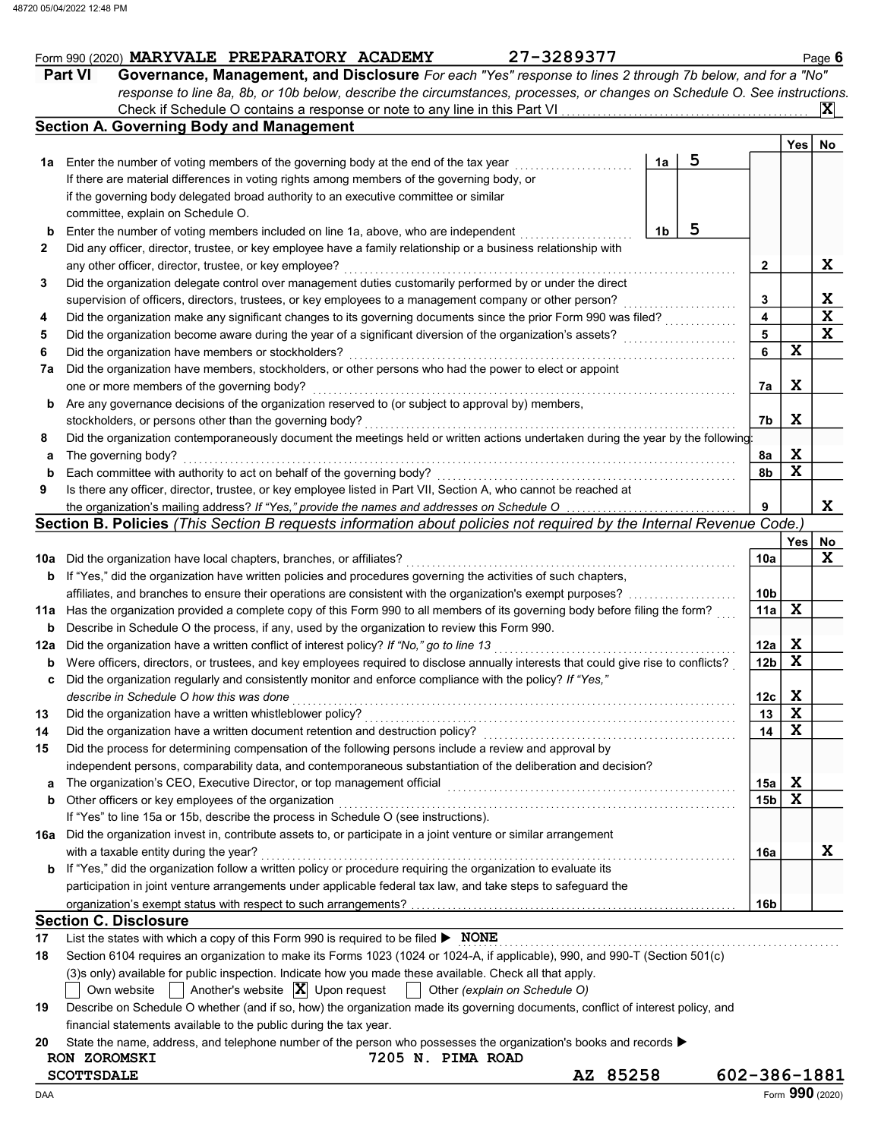|     | response to line 8a, 8b, or 10b below, describe the circumstances, processes, or changes on Schedule O. See instructions.                                                                                       |    |   |                 |                         |                 |
|-----|-----------------------------------------------------------------------------------------------------------------------------------------------------------------------------------------------------------------|----|---|-----------------|-------------------------|-----------------|
|     |                                                                                                                                                                                                                 |    |   |                 |                         | IXI             |
|     | <b>Section A. Governing Body and Management</b>                                                                                                                                                                 |    |   |                 |                         |                 |
|     |                                                                                                                                                                                                                 |    |   |                 | Yes                     | No              |
| 1a  | Enter the number of voting members of the governing body at the end of the tax year                                                                                                                             | 1a | 5 |                 |                         |                 |
|     | If there are material differences in voting rights among members of the governing body, or                                                                                                                      |    |   |                 |                         |                 |
|     | if the governing body delegated broad authority to an executive committee or similar                                                                                                                            |    |   |                 |                         |                 |
|     | committee, explain on Schedule O.                                                                                                                                                                               |    |   |                 |                         |                 |
| b   | Enter the number of voting members included on line 1a, above, who are independent                                                                                                                              | 1b | 5 |                 |                         |                 |
| 2   | Did any officer, director, trustee, or key employee have a family relationship or a business relationship with                                                                                                  |    |   |                 |                         |                 |
|     | any other officer, director, trustee, or key employee?                                                                                                                                                          |    |   | $\mathbf{2}$    |                         | X               |
| 3   | Did the organization delegate control over management duties customarily performed by or under the direct                                                                                                       |    |   |                 |                         |                 |
|     | supervision of officers, directors, trustees, or key employees to a management company or other person?                                                                                                         |    |   | 3               |                         | X               |
| 4   | Did the organization make any significant changes to its governing documents since the prior Form 990 was filed?                                                                                                |    |   | 4               |                         | $\mathbf x$     |
| 5   | Did the organization become aware during the year of a significant diversion of the organization's assets?                                                                                                      |    |   | 5               |                         | X               |
| 6   | Did the organization have members or stockholders?                                                                                                                                                              |    |   | 6               | $\mathbf x$             |                 |
| 7a  | Did the organization have members, stockholders, or other persons who had the power to elect or appoint                                                                                                         |    |   |                 |                         |                 |
|     | one or more members of the governing body?                                                                                                                                                                      |    |   | 7a              | X                       |                 |
| b   | Are any governance decisions of the organization reserved to (or subject to approval by) members,                                                                                                               |    |   |                 |                         |                 |
|     | stockholders, or persons other than the governing body?<br>Did the organization contemporaneously document the meetings held or written actions undertaken during the year by the following:                    |    |   | 7b              | $\mathbf X$             |                 |
| 8   |                                                                                                                                                                                                                 |    |   |                 | X                       |                 |
| а   | The governing body?<br>Each committee with authority to act on behalf of the governing body?                                                                                                                    |    |   | 8a              | $\mathbf x$             |                 |
| b   |                                                                                                                                                                                                                 |    |   | 8b              |                         |                 |
| 9   | Is there any officer, director, trustee, or key employee listed in Part VII, Section A, who cannot be reached at<br>the organization's mailing address? If "Yes," provide the names and addresses on Schedule O |    |   | 9               |                         | X               |
|     | Section B. Policies (This Section B requests information about policies not required by the Internal Revenue Code.)                                                                                             |    |   |                 |                         |                 |
|     |                                                                                                                                                                                                                 |    |   |                 | Yes                     | No              |
|     | 10a Did the organization have local chapters, branches, or affiliates?                                                                                                                                          |    |   | 10a             |                         | X               |
| b   | If "Yes," did the organization have written policies and procedures governing the activities of such chapters,                                                                                                  |    |   |                 |                         |                 |
|     | affiliates, and branches to ensure their operations are consistent with the organization's exempt purposes?                                                                                                     |    |   | 10 <sub>b</sub> |                         |                 |
|     | 11a Has the organization provided a complete copy of this Form 990 to all members of its governing body before filing the form?                                                                                 |    |   | 11a             | X                       |                 |
| b   | Describe in Schedule O the process, if any, used by the organization to review this Form 990.                                                                                                                   |    |   |                 |                         |                 |
| 12a | Did the organization have a written conflict of interest policy? If "No," go to line 13                                                                                                                         |    |   | 12a             | X                       |                 |
| b   | Were officers, directors, or trustees, and key employees required to disclose annually interests that could give rise to conflicts?                                                                             |    |   | 12 <sub>b</sub> | $\mathbf x$             |                 |
| c   | Did the organization regularly and consistently monitor and enforce compliance with the policy? If "Yes,"                                                                                                       |    |   |                 |                         |                 |
|     | describe in Schedule O how this was done                                                                                                                                                                        |    |   | 12c             | X                       |                 |
| 13  | Did the organization have a written whistleblower policy?                                                                                                                                                       |    |   | 13              | $\mathbf x$             |                 |
|     | Did the organization have a written document retention and destruction policy?                                                                                                                                  |    |   | 14              | $\overline{\mathbf{x}}$ |                 |
| 15  | Did the process for determining compensation of the following persons include a review and approval by                                                                                                          |    |   |                 |                         |                 |
|     | independent persons, comparability data, and contemporaneous substantiation of the deliberation and decision?                                                                                                   |    |   |                 |                         |                 |
| a   | The organization's CEO, Executive Director, or top management official                                                                                                                                          |    |   | 15a             | $\mathbf x$             |                 |
| b   | Other officers or key employees of the organization                                                                                                                                                             |    |   | 15 <sub>b</sub> | $\mathbf x$             |                 |
|     | If "Yes" to line 15a or 15b, describe the process in Schedule O (see instructions).                                                                                                                             |    |   |                 |                         |                 |
| 16а | Did the organization invest in, contribute assets to, or participate in a joint venture or similar arrangement                                                                                                  |    |   |                 |                         |                 |
|     | with a taxable entity during the year?                                                                                                                                                                          |    |   | 16a             |                         | X               |
| b   | If "Yes," did the organization follow a written policy or procedure requiring the organization to evaluate its                                                                                                  |    |   |                 |                         |                 |
|     | participation in joint venture arrangements under applicable federal tax law, and take steps to safeguard the                                                                                                   |    |   |                 |                         |                 |
|     |                                                                                                                                                                                                                 |    |   | 16b             |                         |                 |
|     | <b>Section C. Disclosure</b>                                                                                                                                                                                    |    |   |                 |                         |                 |
| 17  | List the states with which a copy of this Form 990 is required to be filed ▶ NONE                                                                                                                               |    |   |                 |                         |                 |
| 18  | Section 6104 requires an organization to make its Forms 1023 (1024 or 1024-A, if applicable), 990, and 990-T (Section 501(c)                                                                                    |    |   |                 |                         |                 |
|     | (3)s only) available for public inspection. Indicate how you made these available. Check all that apply.                                                                                                        |    |   |                 |                         |                 |
|     | Another's website $ \mathbf{X} $ Upon request<br>Other (explain on Schedule O)<br>Own website                                                                                                                   |    |   |                 |                         |                 |
| 19  | Describe on Schedule O whether (and if so, how) the organization made its governing documents, conflict of interest policy, and                                                                                 |    |   |                 |                         |                 |
|     | financial statements available to the public during the tax year.                                                                                                                                               |    |   |                 |                         |                 |
| 20  | State the name, address, and telephone number of the person who possesses the organization's books and records $\blacktriangleright$                                                                            |    |   |                 |                         |                 |
|     | 7205 N. PIMA ROAD<br>RON ZOROMSKI                                                                                                                                                                               |    |   |                 |                         |                 |
|     | AZ 85258<br><b>SCOTTSDALE</b>                                                                                                                                                                                   |    |   | 602-386-1881    |                         |                 |
| DAA |                                                                                                                                                                                                                 |    |   |                 |                         | Form 990 (2020) |

 $\frac{1}{\text{Form }990 (2020)}$  MARYVALE PREPARATORY ACADEMY 27-3289377 Form 990 (2020) **MARYVALE PREPARATORY ACADEMY** 27-3289377<br>**Part VI Governance, Management, and Disclosure** For each "Yes" response to lines 2 through 7b below, and for a "No"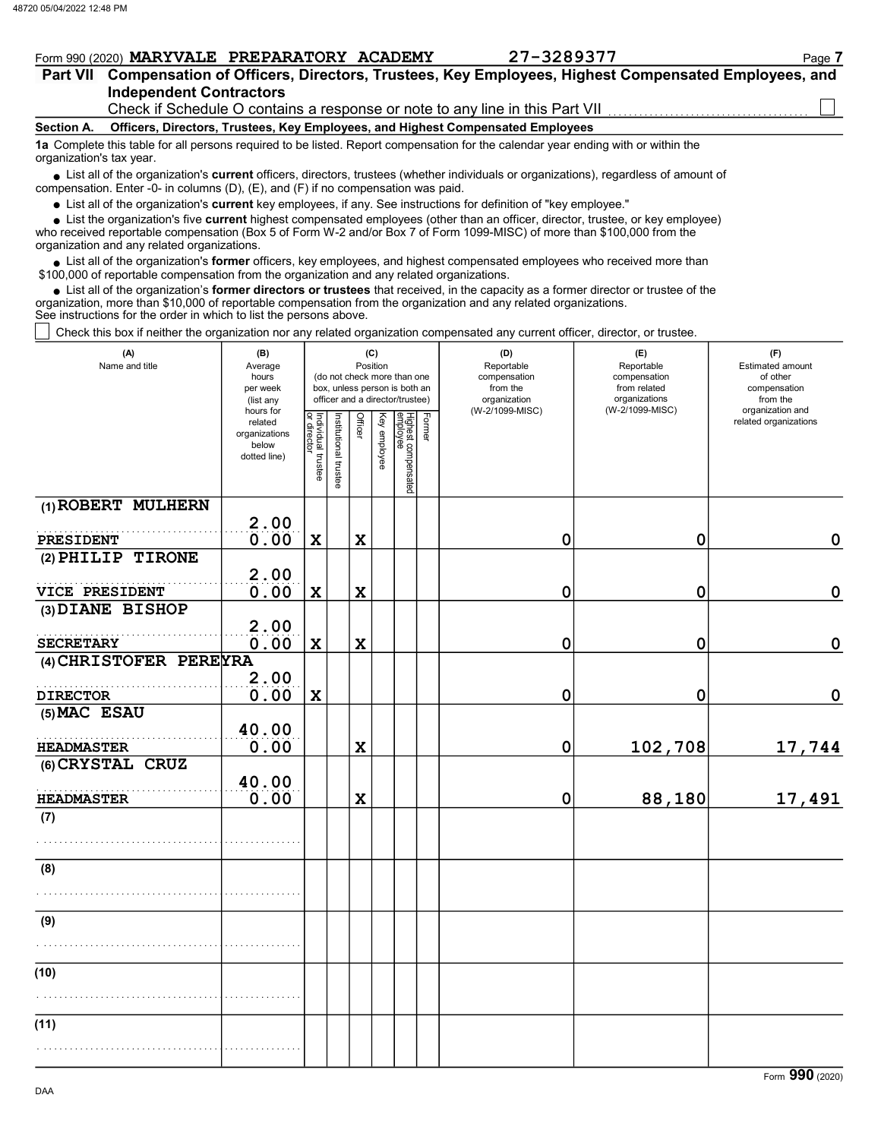# Form 990 (2020) MARYVALE PREPARATORY ACADEMY 27-3289377

| Part VII Compensation of Officers, Directors, Trustees, Key Employees, Highest Compensated Employees, and |  |
|-----------------------------------------------------------------------------------------------------------|--|
| <b>Independent Contractors</b>                                                                            |  |
| Check if Schedule O contains a response or note to any line in this Part VII                              |  |

#### Section A. Officers, Directors, Trustees, Key Employees, and Highest Compensated Employees

1a Complete this table for all persons required to be listed. Report compensation for the calendar year ending with or within the organization's tax year.

• List all of the organization's **current** officers, directors, trustees (whether individuals or organizations), regardless of amount of proposation. Enter  $\Omega$  in columns  $(D)$ ,  $(E)$  and  $(E)$  if no componention was paid compensation. Enter -0- in columns (D), (E), and (F) if no compensation was paid.

• List all of the organization's **current** key employees, if any. See instructions for definition of "key employee."

• List the organization's five **current** highest compensated employees (other than an officer, director, trustee, or key employee)<br>• received reportable compensation (Box 5 of Form W 2 and/or Box 7 of Form 1000 MISC) of m

who received reportable compensation (Box 5 of Form W-2 and/or Box 7 of Form 1099-MISC) of more than \$100,000 from the organization and any related organizations.

 $\bullet$  List all of the organization's **former** officers, key employees, and highest compensated employees who received more than  $\Omega$  0.00 of reportable compensation from the erganization and any related erganizations. \$100,000 of reportable compensation from the organization and any related organizations.

 $\bullet$  List all of the organization's **former directors or trustees** that received, in the capacity as a former director or trustee of the entrance in the organization and any related organizations organization, more than \$10,000 of reportable compensation from the organization and any related organizations. See instructions for the order in which to list the persons above.

Check this box if neither the organization nor any related organization compensated any current officer, director, or trustee.

| (A)<br>Name and title  | (B)<br>Average<br>hours<br>per week<br>(list any               |                                          |                       |             | (C)<br>Position | (do not check more than one<br>box, unless person is both an<br>officer and a director/trustee) |        | (D)<br>Reportable<br>compensation<br>from the<br>organization<br>(W-2/1099-MISC) | (E)<br>Reportable<br>compensation<br>from related<br>organizations<br>(W-2/1099-MISC) | (F)<br>Estimated amount<br>of other<br>compensation<br>from the<br>organization and |  |  |
|------------------------|----------------------------------------------------------------|------------------------------------------|-----------------------|-------------|-----------------|-------------------------------------------------------------------------------------------------|--------|----------------------------------------------------------------------------------|---------------------------------------------------------------------------------------|-------------------------------------------------------------------------------------|--|--|
|                        | hours for<br>related<br>organizations<br>below<br>dotted line) | Individual trustee<br><u>or director</u> | Institutional trustee | Officer     | Key employee    | Highest compensated<br>employee                                                                 | Former |                                                                                  |                                                                                       | related organizations                                                               |  |  |
| (1) ROBERT MULHERN     | 2.00                                                           |                                          |                       |             |                 |                                                                                                 |        |                                                                                  |                                                                                       |                                                                                     |  |  |
| PRESIDENT              | 0.00                                                           | $\mathbf x$                              |                       | $\mathbf x$ |                 |                                                                                                 |        | $\mathbf 0$                                                                      | 0                                                                                     | $\mathbf 0$                                                                         |  |  |
| (2) PHILIP TIRONE      |                                                                |                                          |                       |             |                 |                                                                                                 |        |                                                                                  |                                                                                       |                                                                                     |  |  |
| VICE PRESIDENT         | 2.00<br>0.00                                                   | $\mathbf x$                              |                       | $\mathbf x$ |                 |                                                                                                 |        | 0                                                                                | $\mathbf 0$                                                                           | 0                                                                                   |  |  |
| (3) DIANE BISHOP       |                                                                |                                          |                       |             |                 |                                                                                                 |        |                                                                                  |                                                                                       |                                                                                     |  |  |
|                        | 2.00                                                           |                                          |                       |             |                 |                                                                                                 |        |                                                                                  |                                                                                       |                                                                                     |  |  |
| <b>SECRETARY</b>       | 0.00                                                           | $\mathbf x$                              |                       | $\mathbf x$ |                 |                                                                                                 |        | $\mathbf 0$                                                                      | 0                                                                                     | 0                                                                                   |  |  |
| (4) CHRISTOFER PEREYRA | 2.00                                                           |                                          |                       |             |                 |                                                                                                 |        |                                                                                  |                                                                                       |                                                                                     |  |  |
| <b>DIRECTOR</b>        | 0.00                                                           | $\mathbf x$                              |                       |             |                 |                                                                                                 |        | $\mathbf 0$                                                                      | 0                                                                                     | $\mathbf 0$                                                                         |  |  |
| (5) MAC ESAU           |                                                                |                                          |                       |             |                 |                                                                                                 |        |                                                                                  |                                                                                       |                                                                                     |  |  |
|                        | 40.00                                                          |                                          |                       |             |                 |                                                                                                 |        |                                                                                  |                                                                                       |                                                                                     |  |  |
| <b>HEADMASTER</b>      | 0.00                                                           |                                          |                       | X           |                 |                                                                                                 |        | 0                                                                                | 102,708                                                                               | 17,744                                                                              |  |  |
| (6) CRYSTAL CRUZ       | 40.00                                                          |                                          |                       |             |                 |                                                                                                 |        |                                                                                  |                                                                                       |                                                                                     |  |  |
| <b>HEADMASTER</b>      | 0.00                                                           |                                          |                       | $\mathbf x$ |                 |                                                                                                 |        | 0                                                                                | 88,180                                                                                | 17,491                                                                              |  |  |
| (7)                    |                                                                |                                          |                       |             |                 |                                                                                                 |        |                                                                                  |                                                                                       |                                                                                     |  |  |
|                        |                                                                |                                          |                       |             |                 |                                                                                                 |        |                                                                                  |                                                                                       |                                                                                     |  |  |
|                        |                                                                |                                          |                       |             |                 |                                                                                                 |        |                                                                                  |                                                                                       |                                                                                     |  |  |
| (8)                    |                                                                |                                          |                       |             |                 |                                                                                                 |        |                                                                                  |                                                                                       |                                                                                     |  |  |
|                        |                                                                |                                          |                       |             |                 |                                                                                                 |        |                                                                                  |                                                                                       |                                                                                     |  |  |
| (9)                    |                                                                |                                          |                       |             |                 |                                                                                                 |        |                                                                                  |                                                                                       |                                                                                     |  |  |
|                        |                                                                |                                          |                       |             |                 |                                                                                                 |        |                                                                                  |                                                                                       |                                                                                     |  |  |
| (10)                   |                                                                |                                          |                       |             |                 |                                                                                                 |        |                                                                                  |                                                                                       |                                                                                     |  |  |
|                        |                                                                |                                          |                       |             |                 |                                                                                                 |        |                                                                                  |                                                                                       |                                                                                     |  |  |
| (11)                   |                                                                |                                          |                       |             |                 |                                                                                                 |        |                                                                                  |                                                                                       |                                                                                     |  |  |
|                        |                                                                |                                          |                       |             |                 |                                                                                                 |        |                                                                                  |                                                                                       |                                                                                     |  |  |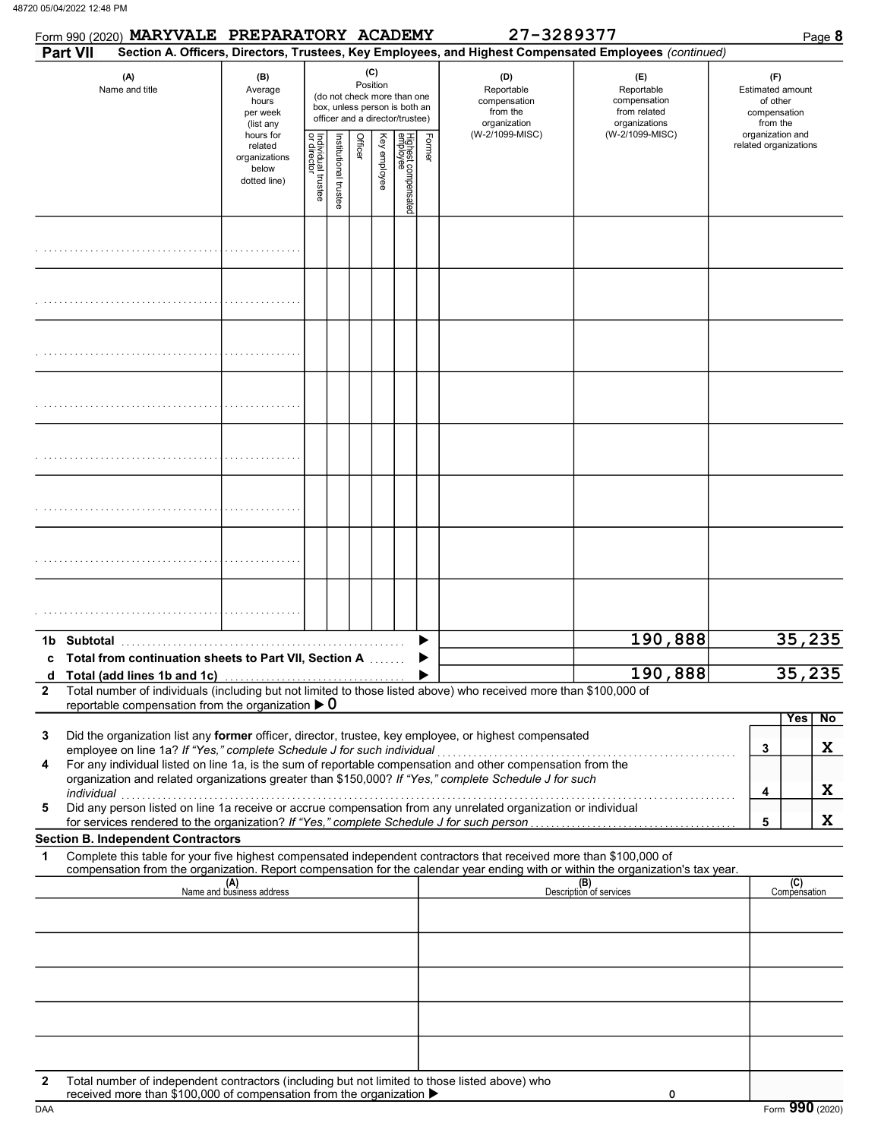|              |             | Form 990 (2020) MARYVALE PREPARATORY ACADEMY                           |                                                                |                                   |                      |         |                 |                                                                                                 |        | 27-3289377                                                                                                                 |                                                                                                                                  |                                                                        | Page 8              |  |
|--------------|-------------|------------------------------------------------------------------------|----------------------------------------------------------------|-----------------------------------|----------------------|---------|-----------------|-------------------------------------------------------------------------------------------------|--------|----------------------------------------------------------------------------------------------------------------------------|----------------------------------------------------------------------------------------------------------------------------------|------------------------------------------------------------------------|---------------------|--|
|              | Part VII    |                                                                        |                                                                |                                   |                      |         |                 |                                                                                                 |        |                                                                                                                            | Section A. Officers, Directors, Trustees, Key Employees, and Highest Compensated Employees (continued)                           |                                                                        |                     |  |
|              |             | (A)<br>Name and title                                                  | (B)<br>Average<br>hours<br>per week<br>(list any               |                                   |                      |         | (C)<br>Position | (do not check more than one<br>box, unless person is both an<br>officer and a director/trustee) |        | (D)<br>Reportable<br>compensation<br>from the<br>organization                                                              | (E)<br>Reportable<br>compensation<br>from related<br>organizations                                                               | (F)<br><b>Estimated amount</b><br>of other<br>compensation<br>from the |                     |  |
|              |             |                                                                        | hours for<br>related<br>organizations<br>below<br>dotted line) | Individual trustee<br>or director | Institutional truste | Officer | Key employee    | Highest compensated<br>employee                                                                 | Former | (W-2/1099-MISC)                                                                                                            | (W-2/1099-MISC)                                                                                                                  | organization and<br>related organizations                              |                     |  |
|              |             |                                                                        |                                                                |                                   |                      |         |                 |                                                                                                 |        |                                                                                                                            |                                                                                                                                  |                                                                        |                     |  |
|              |             |                                                                        |                                                                |                                   |                      |         |                 |                                                                                                 |        |                                                                                                                            |                                                                                                                                  |                                                                        |                     |  |
|              |             |                                                                        |                                                                |                                   |                      |         |                 |                                                                                                 |        |                                                                                                                            |                                                                                                                                  |                                                                        |                     |  |
|              |             |                                                                        |                                                                |                                   |                      |         |                 |                                                                                                 |        |                                                                                                                            |                                                                                                                                  |                                                                        |                     |  |
|              |             |                                                                        |                                                                |                                   |                      |         |                 |                                                                                                 |        |                                                                                                                            |                                                                                                                                  |                                                                        |                     |  |
|              |             |                                                                        |                                                                |                                   |                      |         |                 |                                                                                                 |        |                                                                                                                            |                                                                                                                                  |                                                                        |                     |  |
|              |             |                                                                        |                                                                |                                   |                      |         |                 |                                                                                                 |        |                                                                                                                            |                                                                                                                                  |                                                                        |                     |  |
|              |             |                                                                        |                                                                |                                   |                      |         |                 |                                                                                                 |        |                                                                                                                            |                                                                                                                                  |                                                                        |                     |  |
|              | 1b Subtotal | c Total from continuation sheets to Part VII, Section A                |                                                                |                                   |                      |         |                 |                                                                                                 |        |                                                                                                                            | 190,888                                                                                                                          |                                                                        | 35,235              |  |
| d            |             |                                                                        |                                                                |                                   |                      |         |                 |                                                                                                 |        |                                                                                                                            | 190,888                                                                                                                          |                                                                        | 35,235              |  |
| $\mathbf{2}$ |             | reportable compensation from the organization $\blacktriangleright$ 0  |                                                                |                                   |                      |         |                 |                                                                                                 |        | Total number of individuals (including but not limited to those listed above) who received more than \$100,000 of          |                                                                                                                                  |                                                                        |                     |  |
| 3            |             |                                                                        |                                                                |                                   |                      |         |                 |                                                                                                 |        | Did the organization list any former officer, director, trustee, key employee, or highest compensated                      |                                                                                                                                  |                                                                        | <b>Yes</b><br>No    |  |
| 4            |             | employee on line 1a? If "Yes," complete Schedule J for such individual |                                                                |                                   |                      |         |                 |                                                                                                 |        | For any individual listed on line 1a, is the sum of reportable compensation and other compensation from the                |                                                                                                                                  | 3                                                                      | X                   |  |
|              | individual  |                                                                        |                                                                |                                   |                      |         |                 |                                                                                                 |        | organization and related organizations greater than \$150,000? If "Yes," complete Schedule J for such                      |                                                                                                                                  | 4                                                                      | X                   |  |
| 5            |             |                                                                        |                                                                |                                   |                      |         |                 |                                                                                                 |        | marviqual<br>Did any person listed on line 1a receive or accrue compensation from any unrelated organization or individual |                                                                                                                                  |                                                                        |                     |  |
|              |             | <b>Section B. Independent Contractors</b>                              |                                                                |                                   |                      |         |                 |                                                                                                 |        |                                                                                                                            |                                                                                                                                  | 5                                                                      | X                   |  |
| 1            |             |                                                                        |                                                                |                                   |                      |         |                 |                                                                                                 |        | Complete this table for your five highest compensated independent contractors that received more than \$100,000 of         | compensation from the organization. Report compensation for the calendar year ending with or within the organization's tax year. |                                                                        |                     |  |
|              |             |                                                                        | (A)<br>Name and business address                               |                                   |                      |         |                 |                                                                                                 |        |                                                                                                                            | (B)<br>Description of services                                                                                                   |                                                                        | (C)<br>Compensation |  |
|              |             |                                                                        |                                                                |                                   |                      |         |                 |                                                                                                 |        |                                                                                                                            |                                                                                                                                  |                                                                        |                     |  |
|              |             |                                                                        |                                                                |                                   |                      |         |                 |                                                                                                 |        |                                                                                                                            |                                                                                                                                  |                                                                        |                     |  |
|              |             |                                                                        |                                                                |                                   |                      |         |                 |                                                                                                 |        |                                                                                                                            |                                                                                                                                  |                                                                        |                     |  |
|              |             |                                                                        |                                                                |                                   |                      |         |                 |                                                                                                 |        |                                                                                                                            |                                                                                                                                  |                                                                        |                     |  |
|              |             |                                                                        |                                                                |                                   |                      |         |                 |                                                                                                 |        |                                                                                                                            |                                                                                                                                  |                                                                        |                     |  |
| $\mathbf{2}$ |             | received more than \$100,000 of compensation from the organization ▶   |                                                                |                                   |                      |         |                 |                                                                                                 |        | Total number of independent contractors (including but not limited to those listed above) who                              | 0                                                                                                                                |                                                                        |                     |  |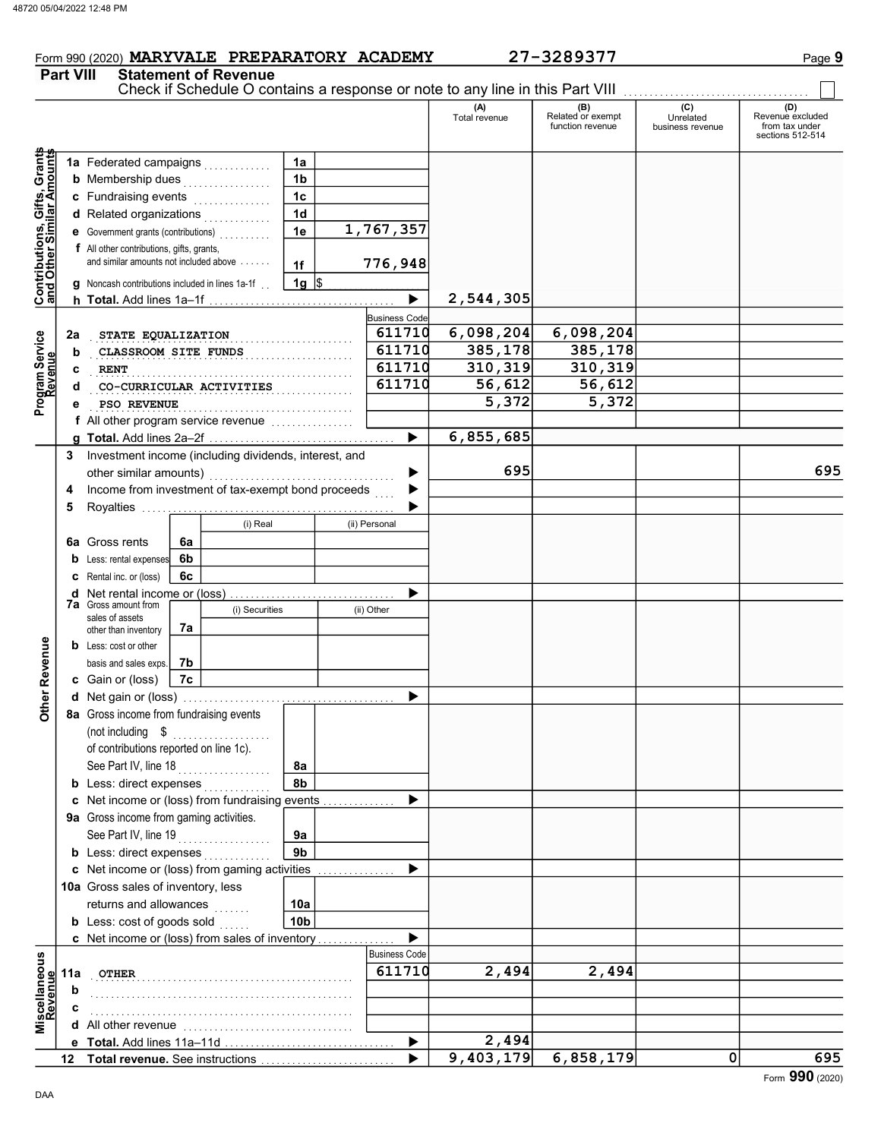# Form 990 (2020) MARYVALE PREPARATORY ACADEMY 27-3289377 Page 9

Part VIII Statement of Revenue

 $\Box$ 

|                                                                  |     |                                                                                                                                                                                                                                                                                                                          |    |                          |                 |   |                      | Check if Schedule O contains a response or note to any line in this Part VIII |                                              |                                      |                                                               |
|------------------------------------------------------------------|-----|--------------------------------------------------------------------------------------------------------------------------------------------------------------------------------------------------------------------------------------------------------------------------------------------------------------------------|----|--------------------------|-----------------|---|----------------------|-------------------------------------------------------------------------------|----------------------------------------------|--------------------------------------|---------------------------------------------------------------|
|                                                                  |     |                                                                                                                                                                                                                                                                                                                          |    |                          |                 |   |                      | (A)<br>Total revenue                                                          | (B)<br>Related or exempt<br>function revenue | (C)<br>Unrelated<br>business revenue | (D)<br>Revenue excluded<br>from tax under<br>sections 512-514 |
|                                                                  |     | 1a Federated campaigns                                                                                                                                                                                                                                                                                                   |    |                          | 1a              |   |                      |                                                                               |                                              |                                      |                                                               |
| <b>Contributions, Gifts, Grants</b><br>and Other Similar Amounts |     | <b>b</b> Membership dues                                                                                                                                                                                                                                                                                                 |    | .                        | 1b              |   |                      |                                                                               |                                              |                                      |                                                               |
|                                                                  |     | c Fundraising events                                                                                                                                                                                                                                                                                                     |    | .                        | 1 <sub>c</sub>  |   |                      |                                                                               |                                              |                                      |                                                               |
|                                                                  |     | d Related organizations                                                                                                                                                                                                                                                                                                  |    | .                        | 1 <sub>d</sub>  |   |                      |                                                                               |                                              |                                      |                                                               |
|                                                                  |     | <b>e</b> Government grants (contributions)                                                                                                                                                                                                                                                                               |    |                          | 1e              |   | 1,767,357            |                                                                               |                                              |                                      |                                                               |
|                                                                  |     | f All other contributions, gifts, grants,                                                                                                                                                                                                                                                                                |    |                          |                 |   |                      |                                                                               |                                              |                                      |                                                               |
|                                                                  |     | and similar amounts not included above                                                                                                                                                                                                                                                                                   |    |                          | 1f              |   | 776,948              |                                                                               |                                              |                                      |                                                               |
|                                                                  |     | <b>g</b> Noncash contributions included in lines 1a-1f                                                                                                                                                                                                                                                                   |    |                          | 1g $\vert$ \$   |   |                      |                                                                               |                                              |                                      |                                                               |
|                                                                  |     |                                                                                                                                                                                                                                                                                                                          |    |                          |                 |   | ▶                    | 2,544,305                                                                     |                                              |                                      |                                                               |
|                                                                  |     |                                                                                                                                                                                                                                                                                                                          |    |                          |                 |   | <b>Business Code</b> |                                                                               |                                              |                                      |                                                               |
|                                                                  | 2a  | STATE EQUALIZATION                                                                                                                                                                                                                                                                                                       |    |                          |                 |   | 611710               | 6,098,204                                                                     | 6,098,204                                    |                                      |                                                               |
|                                                                  | b   | CLASSROOM SITE FUNDS                                                                                                                                                                                                                                                                                                     |    |                          |                 | . | 611710               | 385,178                                                                       | 385,178                                      |                                      |                                                               |
|                                                                  | c   | <b>RENT</b>                                                                                                                                                                                                                                                                                                              |    |                          |                 |   | 611710               | 310, 319                                                                      | 310,319                                      |                                      |                                                               |
| Program Service                                                  |     |                                                                                                                                                                                                                                                                                                                          |    | CO-CURRICULAR ACTIVITIES |                 | . | 611710               | 56,612                                                                        | 56,612                                       |                                      |                                                               |
|                                                                  |     | PSO REVENUE                                                                                                                                                                                                                                                                                                              |    |                          |                 |   |                      | 5,372                                                                         | 5,372                                        |                                      |                                                               |
|                                                                  |     | f All other program service revenue                                                                                                                                                                                                                                                                                      |    |                          |                 |   |                      |                                                                               |                                              |                                      |                                                               |
|                                                                  |     |                                                                                                                                                                                                                                                                                                                          |    |                          |                 |   | ▶                    | 6,855,685                                                                     |                                              |                                      |                                                               |
|                                                                  | 3   | Investment income (including dividends, interest, and                                                                                                                                                                                                                                                                    |    |                          |                 |   |                      |                                                                               |                                              |                                      |                                                               |
|                                                                  |     | other similar amounts)                                                                                                                                                                                                                                                                                                   |    |                          |                 |   | ▶                    | 695                                                                           |                                              |                                      | 695                                                           |
|                                                                  | 4   | Income from investment of tax-exempt bond proceeds                                                                                                                                                                                                                                                                       |    |                          |                 |   |                      |                                                                               |                                              |                                      |                                                               |
|                                                                  | 5   |                                                                                                                                                                                                                                                                                                                          |    |                          |                 |   |                      |                                                                               |                                              |                                      |                                                               |
|                                                                  |     | (i) Real<br><b>6a</b> Gross rents<br>6a                                                                                                                                                                                                                                                                                  |    |                          | (ii) Personal   |   |                      |                                                                               |                                              |                                      |                                                               |
|                                                                  |     |                                                                                                                                                                                                                                                                                                                          |    |                          |                 |   |                      |                                                                               |                                              |                                      |                                                               |
|                                                                  | b   | Less: rental expenses                                                                                                                                                                                                                                                                                                    | 6b |                          |                 |   |                      |                                                                               |                                              |                                      |                                                               |
|                                                                  |     | <b>C</b> Rental inc. or (loss)                                                                                                                                                                                                                                                                                           | 6c |                          |                 |   |                      |                                                                               |                                              |                                      |                                                               |
|                                                                  |     | d Net rental income or (loss)<br><b>7a</b> Gross amount from<br>(i) Securities                                                                                                                                                                                                                                           |    |                          |                 | ▶ |                      |                                                                               |                                              |                                      |                                                               |
|                                                                  |     | sales of assets                                                                                                                                                                                                                                                                                                          |    |                          |                 |   | (ii) Other           |                                                                               |                                              |                                      |                                                               |
|                                                                  |     | other than inventory                                                                                                                                                                                                                                                                                                     | 7a |                          |                 |   |                      |                                                                               |                                              |                                      |                                                               |
|                                                                  |     | <b>b</b> Less: cost or other<br>basis and sales exps.                                                                                                                                                                                                                                                                    | 7b |                          |                 |   |                      |                                                                               |                                              |                                      |                                                               |
| Other Revenue                                                    |     | c Gain or (loss)                                                                                                                                                                                                                                                                                                         | 7c |                          |                 |   |                      |                                                                               |                                              |                                      |                                                               |
|                                                                  |     |                                                                                                                                                                                                                                                                                                                          |    |                          |                 |   | ▶                    |                                                                               |                                              |                                      |                                                               |
|                                                                  |     | 8a Gross income from fundraising events                                                                                                                                                                                                                                                                                  |    |                          |                 |   |                      |                                                                               |                                              |                                      |                                                               |
|                                                                  |     | (not including $\quad$ , $\quad$ , $\quad$ , $\quad$ , $\quad$ , $\quad$ , $\quad$ , $\quad$ , $\quad$ , $\quad$ , $\quad$ , $\quad$ , $\quad$ , $\quad$ , $\quad$ , $\quad$ , $\quad$ , $\quad$ , $\quad$ , $\quad$ , $\quad$ , $\quad$ , $\quad$ , $\quad$ , $\quad$ , $\quad$ , $\quad$ , $\quad$ , $\quad$ , $\quad$ |    |                          |                 |   |                      |                                                                               |                                              |                                      |                                                               |
|                                                                  |     | of contributions reported on line 1c).                                                                                                                                                                                                                                                                                   |    |                          |                 |   |                      |                                                                               |                                              |                                      |                                                               |
|                                                                  |     | See Part IV, line 18                                                                                                                                                                                                                                                                                                     |    | .                        | 8a              |   |                      |                                                                               |                                              |                                      |                                                               |
|                                                                  |     | <b>b</b> Less: direct expenses                                                                                                                                                                                                                                                                                           |    |                          | 8b              |   |                      |                                                                               |                                              |                                      |                                                               |
|                                                                  |     | c Net income or (loss) from fundraising events                                                                                                                                                                                                                                                                           |    |                          |                 |   | ▶                    |                                                                               |                                              |                                      |                                                               |
|                                                                  |     | 9a Gross income from gaming activities.                                                                                                                                                                                                                                                                                  |    |                          |                 |   |                      |                                                                               |                                              |                                      |                                                               |
|                                                                  |     | See Part IV, line 19                                                                                                                                                                                                                                                                                                     |    | .                        | 9a              |   |                      |                                                                               |                                              |                                      |                                                               |
|                                                                  |     | <b>b</b> Less: direct expenses                                                                                                                                                                                                                                                                                           |    |                          | 9 <sub>b</sub>  |   |                      |                                                                               |                                              |                                      |                                                               |
|                                                                  |     | c Net income or (loss) from gaming activities                                                                                                                                                                                                                                                                            |    |                          |                 |   | ▶                    |                                                                               |                                              |                                      |                                                               |
|                                                                  |     | 10a Gross sales of inventory, less                                                                                                                                                                                                                                                                                       |    |                          |                 |   |                      |                                                                               |                                              |                                      |                                                               |
|                                                                  |     | returns and allowances                                                                                                                                                                                                                                                                                                   |    | .                        | 10a             |   |                      |                                                                               |                                              |                                      |                                                               |
|                                                                  |     | <b>b</b> Less: cost of goods sold                                                                                                                                                                                                                                                                                        |    |                          | 10 <sub>b</sub> |   |                      |                                                                               |                                              |                                      |                                                               |
|                                                                  |     | c Net income or (loss) from sales of inventory                                                                                                                                                                                                                                                                           |    |                          |                 |   | ▶                    |                                                                               |                                              |                                      |                                                               |
|                                                                  |     |                                                                                                                                                                                                                                                                                                                          |    |                          |                 |   | <b>Business Code</b> |                                                                               |                                              |                                      |                                                               |
| Miscellaneous<br>Revenue                                         | 11a | <b>OTHER</b>                                                                                                                                                                                                                                                                                                             |    |                          |                 |   | 611710               | 2,494                                                                         | 2,494                                        |                                      |                                                               |
|                                                                  | b   |                                                                                                                                                                                                                                                                                                                          |    |                          |                 |   |                      |                                                                               |                                              |                                      |                                                               |
|                                                                  |     |                                                                                                                                                                                                                                                                                                                          |    |                          |                 |   |                      |                                                                               |                                              |                                      |                                                               |
|                                                                  |     | All other revenue [11] [11] All other revenue [11] [11] All other revenue [11] [11] $\frac{1}{2}$                                                                                                                                                                                                                        |    |                          |                 |   |                      |                                                                               |                                              |                                      |                                                               |
|                                                                  |     |                                                                                                                                                                                                                                                                                                                          |    |                          |                 |   | ▶                    | 2,494                                                                         |                                              |                                      |                                                               |
|                                                                  | 12  |                                                                                                                                                                                                                                                                                                                          |    |                          |                 |   | ▶                    | $\overline{9}$ , 403, 179                                                     | 6,858,179                                    | 0                                    | 695                                                           |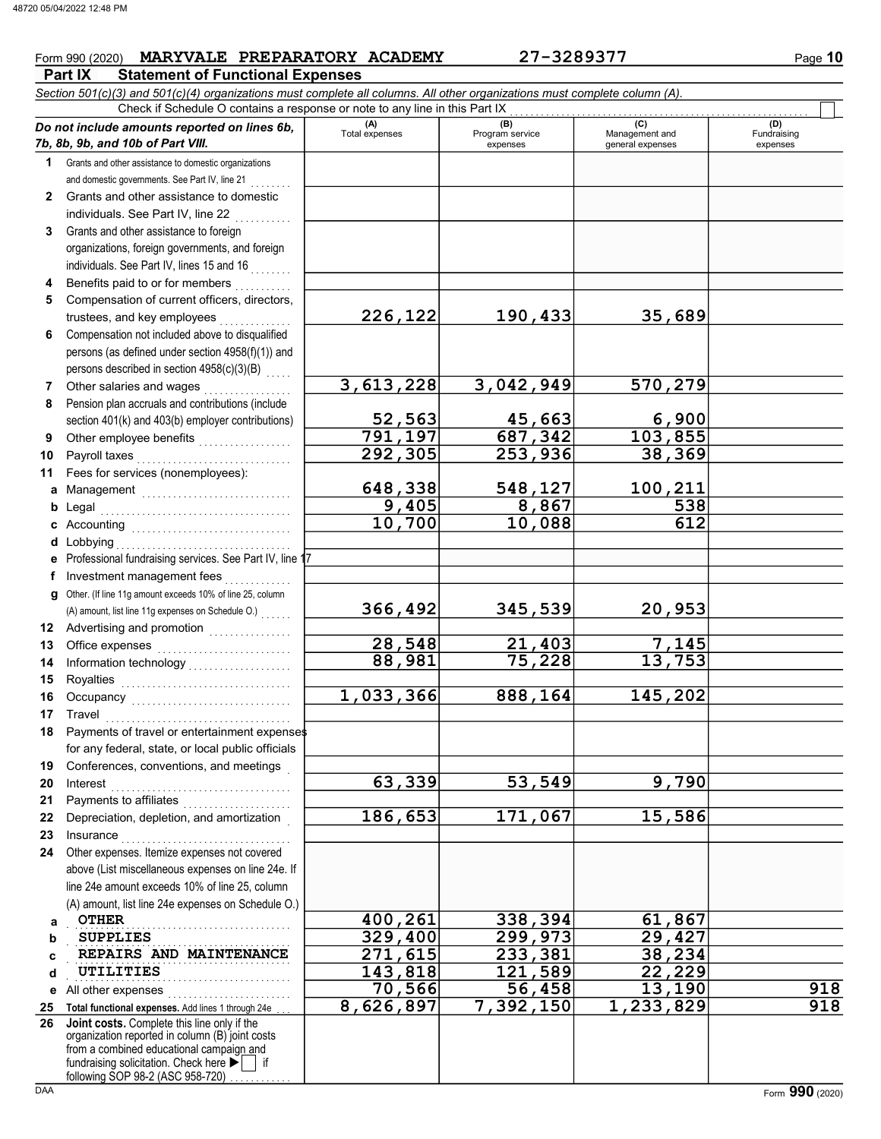# $From 990 (2020)$  MARYVALE PREPARATORY ACADEMY  $27-3289377$  Page 10

**Part IX Statement of Functional Expenses** 

|              | Section 501(c)(3) and 501(c)(4) organizations must complete all columns. All other organizations must complete column (A).<br>Check if Schedule O contains a response or note to any line in this Part IX |                   |                             |                                    |                         |
|--------------|-----------------------------------------------------------------------------------------------------------------------------------------------------------------------------------------------------------|-------------------|-----------------------------|------------------------------------|-------------------------|
|              | Do not include amounts reported on lines 6b,                                                                                                                                                              | (A)               | (B)                         | (C)                                | (D)                     |
|              | 7b, 8b, 9b, and 10b of Part VIII.                                                                                                                                                                         | Total expenses    | Program service<br>expenses | Management and<br>general expenses | Fundraising<br>expenses |
| 1            | Grants and other assistance to domestic organizations                                                                                                                                                     |                   |                             |                                    |                         |
|              | and domestic governments. See Part IV, line 21                                                                                                                                                            |                   |                             |                                    |                         |
| $\mathbf{2}$ | Grants and other assistance to domestic                                                                                                                                                                   |                   |                             |                                    |                         |
|              | individuals. See Part IV, line 22                                                                                                                                                                         |                   |                             |                                    |                         |
| 3            | Grants and other assistance to foreign                                                                                                                                                                    |                   |                             |                                    |                         |
|              | organizations, foreign governments, and foreign                                                                                                                                                           |                   |                             |                                    |                         |
|              | individuals. See Part IV, lines 15 and 16                                                                                                                                                                 |                   |                             |                                    |                         |
| 4            | Benefits paid to or for members                                                                                                                                                                           |                   |                             |                                    |                         |
| 5            | Compensation of current officers, directors,                                                                                                                                                              |                   |                             |                                    |                         |
|              | trustees, and key employees                                                                                                                                                                               | 226,122           | 190,433                     | 35,689                             |                         |
| 6            | Compensation not included above to disqualified                                                                                                                                                           |                   |                             |                                    |                         |
|              | persons (as defined under section 4958(f)(1)) and                                                                                                                                                         |                   |                             |                                    |                         |
|              | persons described in section 4958(c)(3)(B)                                                                                                                                                                |                   |                             |                                    |                         |
| 7            | Other salaries and wages                                                                                                                                                                                  | 3,613,228         | 3,042,949                   | 570,279                            |                         |
| 8            | Pension plan accruals and contributions (include                                                                                                                                                          |                   |                             |                                    |                         |
|              | section 401(k) and 403(b) employer contributions)                                                                                                                                                         | 52,563<br>791,197 | 45,663<br>687,342           | 6,900                              |                         |
| 9            | Other employee benefits<br>interaction                                                                                                                                                                    | 292, 305          | 253,936                     | 103,855<br>38,369                  |                         |
| 10           | Payroll taxes<br>Fees for services (nonemployees):                                                                                                                                                        |                   |                             |                                    |                         |
| 11           |                                                                                                                                                                                                           | 648,338           | 548,127                     | 100,211                            |                         |
| a            | Management Management                                                                                                                                                                                     | 9,405             | 8,867                       | 538                                |                         |
| b<br>c       | Legal<br>Accounting                                                                                                                                                                                       | 10,700            | 10,088                      | 612                                |                         |
| d            | Lobbying                                                                                                                                                                                                  |                   |                             |                                    |                         |
|              | Professional fundraising services. See Part IV, line 1                                                                                                                                                    |                   |                             |                                    |                         |
| f            | Investment management fees                                                                                                                                                                                |                   |                             |                                    |                         |
| a            | Other. (If line 11g amount exceeds 10% of line 25, column                                                                                                                                                 |                   |                             |                                    |                         |
|              | (A) amount, list line 11g expenses on Schedule O.)                                                                                                                                                        | 366,492           | 345,539                     | 20,953                             |                         |
|              | 12 Advertising and promotion <i>[[[[[[[[[[[[[[[[[[[[[[[]]]]]</i>                                                                                                                                          |                   |                             |                                    |                         |
| 13           | Office expenses                                                                                                                                                                                           | 28,548            | 21,403                      | 7,145                              |                         |
| 14           |                                                                                                                                                                                                           | 88,981            | 75,228                      | 13,753                             |                         |
| 15           | Royalties                                                                                                                                                                                                 |                   |                             |                                    |                         |
| 16           |                                                                                                                                                                                                           | 1,033,366         | 888,164                     | 145,202                            |                         |
|              | 17 Travel                                                                                                                                                                                                 |                   |                             |                                    |                         |
|              | 18 Payments of travel or entertainment expenses                                                                                                                                                           |                   |                             |                                    |                         |
|              | for any federal, state, or local public officials                                                                                                                                                         |                   |                             |                                    |                         |
| 19           | Conferences, conventions, and meetings                                                                                                                                                                    |                   |                             |                                    |                         |
| 20           | Interest                                                                                                                                                                                                  | 63,339            | 53,549                      | 9,790                              |                         |
| 21           | Payments to affiliates                                                                                                                                                                                    |                   |                             |                                    |                         |
| 22           | Depreciation, depletion, and amortization                                                                                                                                                                 | 186,653           | 171,067                     | 15,586                             |                         |
| 23           | Insurance                                                                                                                                                                                                 |                   |                             |                                    |                         |
| 24           | Other expenses. Itemize expenses not covered                                                                                                                                                              |                   |                             |                                    |                         |
|              | above (List miscellaneous expenses on line 24e. If<br>line 24e amount exceeds 10% of line 25, column                                                                                                      |                   |                             |                                    |                         |
|              | (A) amount, list line 24e expenses on Schedule O.)                                                                                                                                                        |                   |                             |                                    |                         |
| a            | <b>OTHER</b>                                                                                                                                                                                              | 400,261           | 338,394                     | 61,867                             |                         |
| b            | <b>SUPPLIES</b>                                                                                                                                                                                           | 329,400           | 299,973                     | 29,427                             |                         |
| c            | REPAIRS AND MAINTENANCE                                                                                                                                                                                   | 271,615           | 233,381                     | 38,234                             |                         |
| d            | UTILITIES                                                                                                                                                                                                 | 143,818           | 121,589                     | 22,229                             |                         |
| е            | All other expenses                                                                                                                                                                                        | 70,566            | 56,458                      | 13,190                             | 918                     |
| 25           | Total functional expenses. Add lines 1 through 24e                                                                                                                                                        | 8,626,897         | 7,392,150                   | $\overline{1,233,829}$             | 918                     |
| 26           | Joint costs. Complete this line only if the                                                                                                                                                               |                   |                             |                                    |                         |
|              | organization reported in column (B) joint costs<br>from a combined educational campaign and                                                                                                               |                   |                             |                                    |                         |
|              | fundraising solicitation. Check here<br>l if                                                                                                                                                              |                   |                             |                                    |                         |
|              | following SOP 98-2 (ASC 958-720)                                                                                                                                                                          |                   |                             |                                    |                         |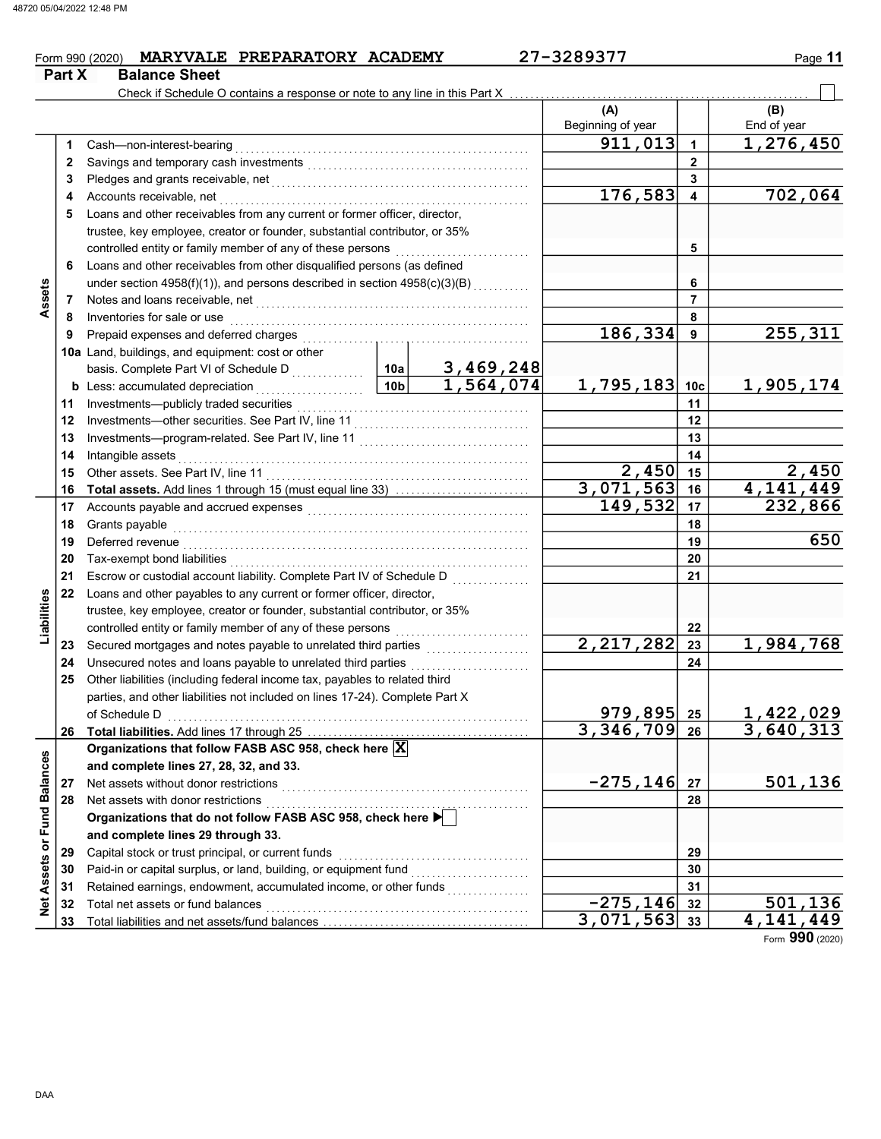Part X Balance Sheet

# $From 990 (2020)$  MARYVALE PREPARATORY ACADEMY  $27-3289377$  Page 11

#### $(A)$   $\qquad \qquad$   $\qquad \qquad$   $(B)$ Beginning of year  $\vert$  | End of year 1 2 3 4 5 6 7 8 Inventories for sale or use electron contains and container and container and container and container and conta 9 10a Land, buildings, and equipment: cost or other **b** Less: accumulated depreciation  $\ldots \ldots \ldots \ldots \ldots$ 11 12 13 Investments—program-related. See Part IV, line 11 . . . . . . . . . . . . . . . . . . . . . . . . . . . . . . . . . **14** Intangible assets 15 Other assets. See Part IV, line 11 . . . . . . . . . . . . . . . . . . . . . . . . . . . . . . . . . . . . . . . . . . . . . . . . . . . 16 17 18 19  $20$ 21 22 23 24 25 Other liabilities (including federal income tax, payables to related third 26 Total liabilities. Add lines 17 through 25 . . . . . . . . . . . . . . . . . . . . . . . . . . . . . . . . . . . . . . . . . . . 27 28 Net assets with donor restrictions . . . . . . . . . . . . . . . . . . . . . . . . . . . . . . . . . . . . . . . . . . . . . . . . . . . 29 30 31 32 33 22 21 20 19 18 17 16 15 14 13 12 11 10c 9 8 7 6 5 4 3 2 1 29 28 27 26 25 24 23 33 32 31 30 Cash—non-interest-bearing . . . . . . . . . . . . . . . . . . . . . . . . . . . . . . . . . . . . . . . . . . . . . . . . . . . . . . . . . Savings and temporary cash investments . . . . . . . . . . . . . . . . . . . . . . . . . . . . . . . . . . . . . . . . . . . Pledges and grants receivable, net . . . . . . . . . . . . . . . . . . . . . . . . . . . . . . . . . . . . . . . . . . . . . . . . . . Accounts receivable, net . . . . . . . . . . . . . . . . . . . . . . . . . . . . . . . . . . . . . . . . . . . . . . . . . . . . . . . . . . . . Loans and other receivables from any current or former officer, director, trustee, key employee, creator or founder, substantial contributor, or 35% Loans and other receivables from other disqualified persons (as defined under section 4958(f)(1)), and persons described in section 4958(c)(3)(B)  $\overline{\phantom{a} \phantom{a} \phantom{a}} \phantom{a} \phantom{a}$ Notes and loans receivable, net . . . . . . . . . . . . . . . . . . . . . . . . . . . . . . . . . . . . . . . . . . . . . . . . . . . . . Prepaid expenses and deferred charges . . . . . . . . . . . . . . . . . . . . . . . . . . . . . . . . . . . . . . . . . . . . Investments—publicly traded securities . . . . . . . . . . . . . . . . . . . . . . . . . . . . . . . . . . . . . . . . . . . . . Investments—other securities. See Part IV, line 11 . . . . . . . . . . . . . . . . . . . . . . . . . . . . . . . . . . Intangible assets . . . . . . . . . . . . . . . . . . . . . . . . . . . . . . . . . . . . . . . . . . . . . . . . . . . . . . . . . . . . . . . . . . . . Total assets. Add lines 1 through 15 (must equal line 33) ........................... Accounts payable and accrued expenses . . . . . . . . . . . . . . . . . . . . . . . . . . . . . . . . . . . . . . . . . . . Grants payable . . . . . . . . . . . . . . . . . . . . . . . . . . . . . . . . . . . . . . . . . . . . . . . . . . . . . . . . . . . . . . . . . . . . . Deferred revenue . . . . . . . . . . . . . . . . . . . . . . . . . . . . . . . . . . . . . . . . . . . . . . . . . . . . . . . . . . . . . . . . . . . Tax-exempt bond liabilities . . . . . . . . . . . . . . . . . . . . . . . . . . . . . . . . . . . . . . . . . . . . . . . . . . . . . . . . . . Escrow or custodial account liability. Complete Part IV of Schedule D . . . . . . . . . . . . . . . Loans and other payables to any current or former officer, director, trustee, key employee, creator or founder, substantial contributor, or 35% controlled entity or family member of any of these persons . . . . . . . . . . . . . . . . . . . . . . . . . . Secured mortgages and notes payable to unrelated third parties ..................... Unsecured notes and loans payable to unrelated third parties Organizations that follow FASB ASC 958, check here  $\vert \mathbf{X} \vert$ and complete lines 27, 28, 32, and 33. Net assets without donor restrictions . . . . . . . . . . . . . . . . . . . . . . . . . . . . . . . . . . . . . . . . . . . . . . . . and complete lines 29 through 33. Organizations that do not follow FASB ASC 958, check here  $\blacktriangleright$ Capital stock or trust principal, or current funds . . . . . . . . . . . . . . . . . . . . . . . . . . . . . . . . . . . . . Paid-in or capital surplus, or land, building, or equipment fund . . . . . . . . . . . . . . . . . . . . . . . Retained earnings, endowment, accumulated income, or other funds . . . . . . . . . . . . . . . . Total net assets or fund balances<br>Total liabilities and net assets/fund balances Total liabilities and control of the control of the control of the control of the control of the control of the control of the control of the control of the control of the control of the control of the control of the contr 10a  $|10b|$ controlled entity or family member of any of these persons ............................ basis. Complete Part VI of Schedule D . . . . . . . . . . . . of Schedule D . . . . . . . . . . . . . . . . . . . . . . . . . . . . . . . . . . . . . . . . . . . . . . . . . . . . . . . . . . . . . . . . . . . . . . parties, and other liabilities not included on lines 17-24). Complete Part X Check if Schedule O contains a response or note to any line in this Part X  $911,013$  1,276,450  $176,583$  4 702,064 186,334 255,311 3,469,248 1,564,074 1,795,183 1,905,174  $\begin{array}{|c|c|c|c|}\n 2,450 & 15 & 2,450 \\
 \hline\n 1,563 & 16 & 4,141,449\n \end{array}$ <mark>3,071,563</mark><br>|149,532 232,866 650  $2,217,282$   $23$  1,984,768 <mark>979,895</mark> 25 1,422,029<br>346,709 26 3,640,313  $3,346,709$  $-275,146$   $27$  501,136  $\frac{-275,146}{071,563}$   $\frac{32}{33}$   $\frac{501,136}{4,141,449}$  $3,071,563$

Form 990 (2020)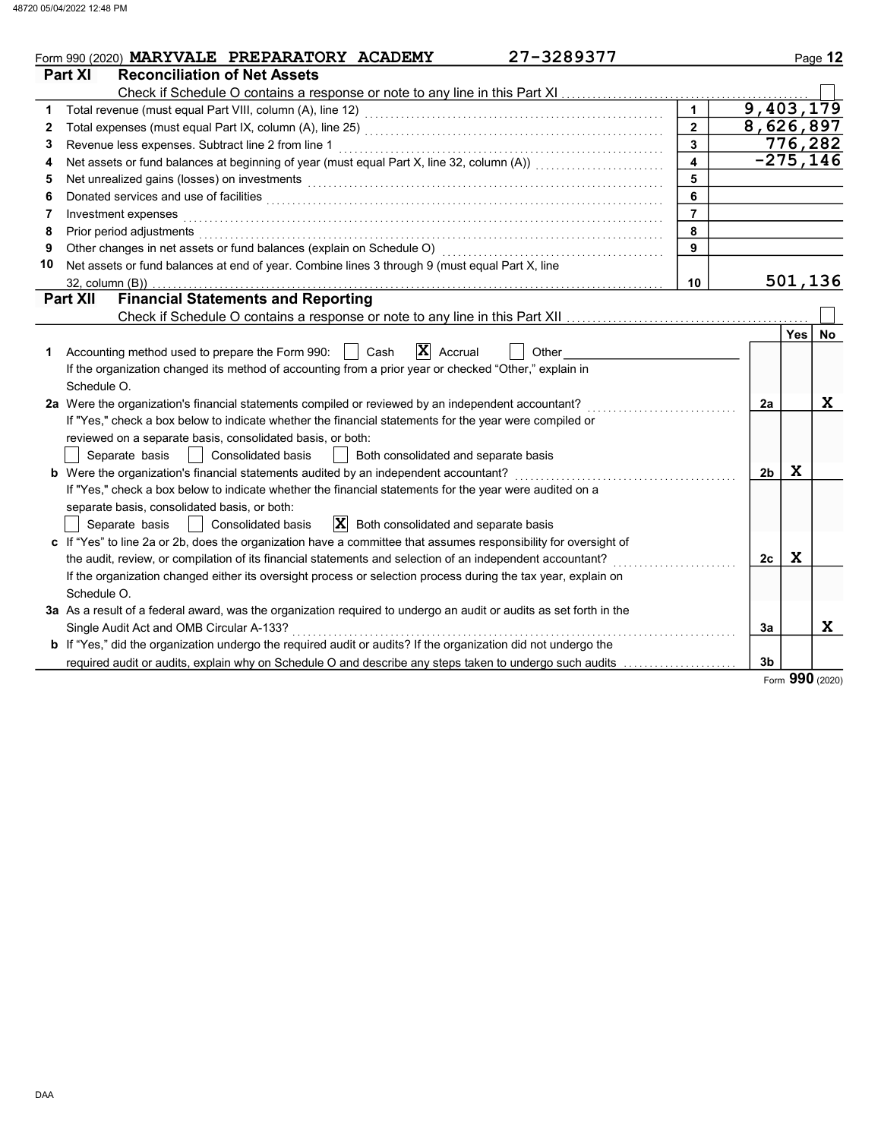|    | 27-3289377<br>Form 990 (2020) MARYVALE PREPARATORY ACADEMY                                                                                                                                                                          |                         |                |         | Page 12     |
|----|-------------------------------------------------------------------------------------------------------------------------------------------------------------------------------------------------------------------------------------|-------------------------|----------------|---------|-------------|
|    | Part XI<br><b>Reconciliation of Net Assets</b>                                                                                                                                                                                      |                         |                |         |             |
|    | Check if Schedule O contains a response or note to any line in this Part XI                                                                                                                                                         |                         |                |         |             |
| 1  |                                                                                                                                                                                                                                     |                         | 9,403,179      |         |             |
| 2  |                                                                                                                                                                                                                                     | $\overline{2}$          | 8,626,897      |         |             |
| 3  | Revenue less expenses. Subtract line 2 from line 1                                                                                                                                                                                  | $\overline{3}$          |                |         | 776,282     |
| 4  |                                                                                                                                                                                                                                     | $\overline{\mathbf{4}}$ |                |         | $-275, 146$ |
| 5  | Net unrealized gains (losses) on investments                                                                                                                                                                                        | 5                       |                |         |             |
| 6  | Donated services and use of facilities <b>constructs</b> and a service of the service of the service of the service of the service of the service of the service of the service of the service of the service of the service of the | 6                       |                |         |             |
| 7  | Investment expenses                                                                                                                                                                                                                 | $\overline{7}$          |                |         |             |
| 8  | Prior period adjustments                                                                                                                                                                                                            | 8                       |                |         |             |
| 9  | Other changes in net assets or fund balances (explain on Schedule O)                                                                                                                                                                | 9                       |                |         |             |
| 10 | Net assets or fund balances at end of year. Combine lines 3 through 9 (must equal Part X, line                                                                                                                                      |                         |                |         |             |
|    | 32, column (B))                                                                                                                                                                                                                     | 10                      |                | 501,136 |             |
|    | <b>Financial Statements and Reporting</b><br><b>Part XII</b>                                                                                                                                                                        |                         |                |         |             |
|    | Check if Schedule O contains a response or note to any line in this Part XII                                                                                                                                                        |                         |                |         |             |
|    |                                                                                                                                                                                                                                     |                         |                | Yes l   | No.         |
| 1  | $ \mathbf{X} $ Accrual<br>Cash<br>Accounting method used to prepare the Form 990:<br>Other                                                                                                                                          |                         |                |         |             |
|    | If the organization changed its method of accounting from a prior year or checked "Other," explain in                                                                                                                               |                         |                |         |             |
|    | Schedule O.                                                                                                                                                                                                                         |                         |                |         |             |
|    | 2a Were the organization's financial statements compiled or reviewed by an independent accountant?                                                                                                                                  |                         | 2a             |         | X           |
|    | If "Yes," check a box below to indicate whether the financial statements for the year were compiled or                                                                                                                              |                         |                |         |             |
|    | reviewed on a separate basis, consolidated basis, or both:                                                                                                                                                                          |                         |                |         |             |
|    | <b>Consolidated basis</b><br>Both consolidated and separate basis<br>Separate basis                                                                                                                                                 |                         |                |         |             |
|    | b Were the organization's financial statements audited by an independent accountant?                                                                                                                                                |                         | 2 <sub>b</sub> | X       |             |
|    | If "Yes," check a box below to indicate whether the financial statements for the year were audited on a                                                                                                                             |                         |                |         |             |
|    | separate basis, consolidated basis, or both:                                                                                                                                                                                        |                         |                |         |             |
|    | $ \mathbf{X} $ Both consolidated and separate basis<br>Consolidated basis<br>Separate basis                                                                                                                                         |                         |                |         |             |
|    | c If "Yes" to line 2a or 2b, does the organization have a committee that assumes responsibility for oversight of                                                                                                                    |                         |                |         |             |
|    | the audit, review, or compilation of its financial statements and selection of an independent accountant?                                                                                                                           |                         | 2c             | X       |             |
|    | If the organization changed either its oversight process or selection process during the tax year, explain on                                                                                                                       |                         |                |         |             |
|    | Schedule O.                                                                                                                                                                                                                         |                         |                |         |             |
|    | 3a As a result of a federal award, was the organization required to undergo an audit or audits as set forth in the                                                                                                                  |                         |                |         |             |
|    | Single Audit Act and OMB Circular A-133?                                                                                                                                                                                            |                         | 3a             |         | X           |
|    | <b>b</b> If "Yes," did the organization undergo the required audit or audits? If the organization did not undergo the                                                                                                               |                         |                |         |             |
|    | required audit or audits, explain why on Schedule O and describe any steps taken to undergo such audits                                                                                                                             |                         | 3b             | nnn     |             |

Form 990 (2020)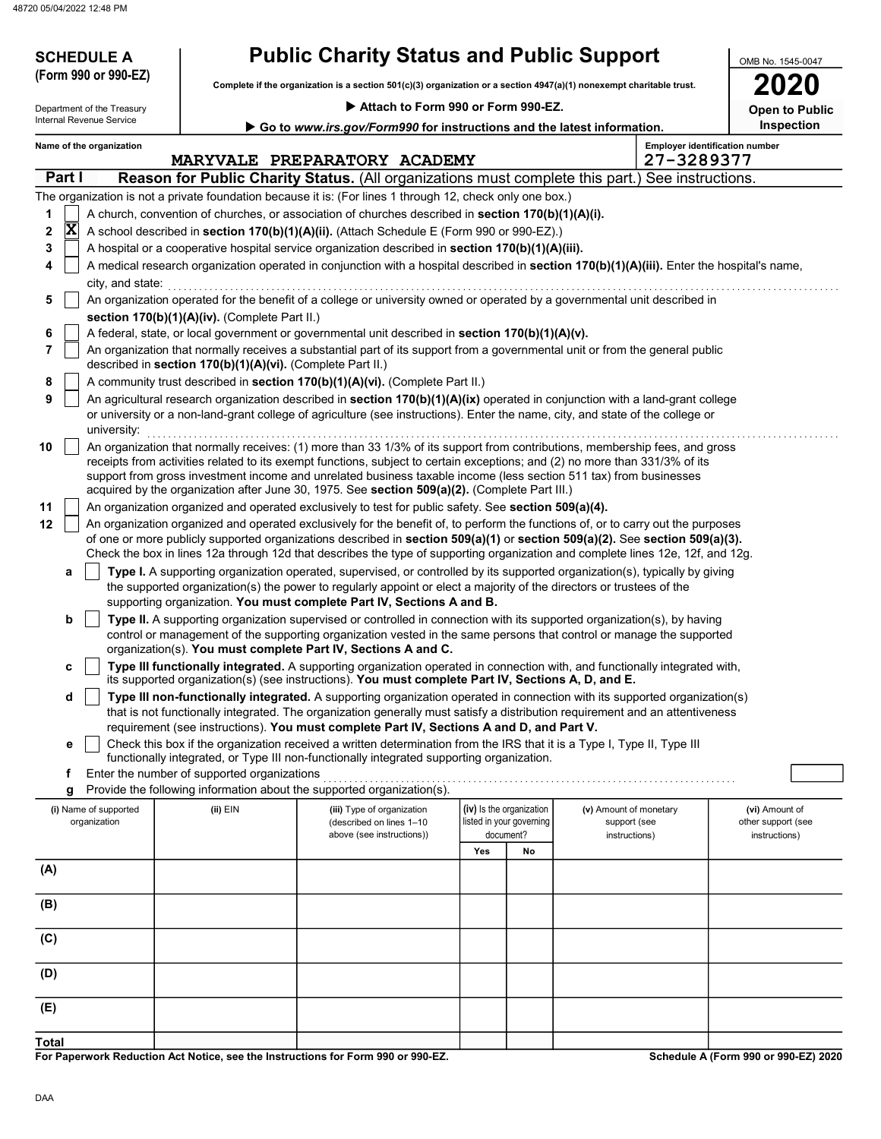48720 05/04/2022 12:48 PM

| <b>SCHEDULE A</b>                                      |                                                            | <b>Public Charity Status and Public Support</b>                                                                                                                                                                                                                                                                                                                                 |                                                                   |    |                                                         | OMB No. 1545-0047                                     |
|--------------------------------------------------------|------------------------------------------------------------|---------------------------------------------------------------------------------------------------------------------------------------------------------------------------------------------------------------------------------------------------------------------------------------------------------------------------------------------------------------------------------|-------------------------------------------------------------------|----|---------------------------------------------------------|-------------------------------------------------------|
| (Form 990 or 990-EZ)                                   |                                                            | Complete if the organization is a section 501(c)(3) organization or a section 4947(a)(1) nonexempt charitable trust.                                                                                                                                                                                                                                                            |                                                                   |    |                                                         |                                                       |
|                                                        |                                                            | Attach to Form 990 or Form 990-EZ.                                                                                                                                                                                                                                                                                                                                              |                                                                   |    |                                                         |                                                       |
| Department of the Treasury<br>Internal Revenue Service |                                                            |                                                                                                                                                                                                                                                                                                                                                                                 |                                                                   |    |                                                         | <b>Open to Public</b><br>Inspection                   |
| Name of the organization                               |                                                            | Go to www.irs.gov/Form990 for instructions and the latest information.                                                                                                                                                                                                                                                                                                          |                                                                   |    |                                                         | <b>Employer identification number</b>                 |
|                                                        |                                                            | MARYVALE PREPARATORY ACADEMY                                                                                                                                                                                                                                                                                                                                                    |                                                                   |    | 27-3289377                                              |                                                       |
| Part I                                                 |                                                            | <b>Reason for Public Charity Status.</b> (All organizations must complete this part.) See instructions.                                                                                                                                                                                                                                                                         |                                                                   |    |                                                         |                                                       |
|                                                        |                                                            | The organization is not a private foundation because it is: (For lines 1 through 12, check only one box.)                                                                                                                                                                                                                                                                       |                                                                   |    |                                                         |                                                       |
| 1                                                      |                                                            | A church, convention of churches, or association of churches described in section 170(b)(1)(A)(i).                                                                                                                                                                                                                                                                              |                                                                   |    |                                                         |                                                       |
| $\vert \mathbf{X} \vert$<br>2                          |                                                            | A school described in section 170(b)(1)(A)(ii). (Attach Schedule E (Form 990 or 990-EZ).)                                                                                                                                                                                                                                                                                       |                                                                   |    |                                                         |                                                       |
| 3                                                      |                                                            | A hospital or a cooperative hospital service organization described in section 170(b)(1)(A)(iii).                                                                                                                                                                                                                                                                               |                                                                   |    |                                                         |                                                       |
| 4<br>city, and state:                                  |                                                            | A medical research organization operated in conjunction with a hospital described in section 170(b)(1)(A)(iii). Enter the hospital's name,                                                                                                                                                                                                                                      |                                                                   |    |                                                         |                                                       |
| 5                                                      |                                                            | An organization operated for the benefit of a college or university owned or operated by a governmental unit described in                                                                                                                                                                                                                                                       |                                                                   |    |                                                         |                                                       |
|                                                        | section 170(b)(1)(A)(iv). (Complete Part II.)              |                                                                                                                                                                                                                                                                                                                                                                                 |                                                                   |    |                                                         |                                                       |
| 6<br>7                                                 |                                                            | A federal, state, or local government or governmental unit described in section 170(b)(1)(A)(v).<br>An organization that normally receives a substantial part of its support from a governmental unit or from the general public                                                                                                                                                |                                                                   |    |                                                         |                                                       |
|                                                        | described in section 170(b)(1)(A)(vi). (Complete Part II.) |                                                                                                                                                                                                                                                                                                                                                                                 |                                                                   |    |                                                         |                                                       |
| 8                                                      |                                                            | A community trust described in section 170(b)(1)(A)(vi). (Complete Part II.)                                                                                                                                                                                                                                                                                                    |                                                                   |    |                                                         |                                                       |
| 9<br>university:                                       |                                                            | An agricultural research organization described in section $170(b)(1)(A)(ix)$ operated in conjunction with a land-grant college<br>or university or a non-land-grant college of agriculture (see instructions). Enter the name, city, and state of the college or                                                                                                               |                                                                   |    |                                                         |                                                       |
| 10                                                     |                                                            | An organization that normally receives: (1) more than 33 1/3% of its support from contributions, membership fees, and gross<br>receipts from activities related to its exempt functions, subject to certain exceptions; and (2) no more than 331/3% of its<br>support from gross investment income and unrelated business taxable income (less section 511 tax) from businesses |                                                                   |    |                                                         |                                                       |
| 11                                                     |                                                            | acquired by the organization after June 30, 1975. See section 509(a)(2). (Complete Part III.)<br>An organization organized and operated exclusively to test for public safety. See section 509(a)(4).                                                                                                                                                                           |                                                                   |    |                                                         |                                                       |
| 12                                                     |                                                            | An organization organized and operated exclusively for the benefit of, to perform the functions of, or to carry out the purposes                                                                                                                                                                                                                                                |                                                                   |    |                                                         |                                                       |
|                                                        |                                                            | of one or more publicly supported organizations described in section 509(a)(1) or section 509(a)(2). See section 509(a)(3).                                                                                                                                                                                                                                                     |                                                                   |    |                                                         |                                                       |
|                                                        |                                                            | Check the box in lines 12a through 12d that describes the type of supporting organization and complete lines 12e, 12f, and 12g.                                                                                                                                                                                                                                                 |                                                                   |    |                                                         |                                                       |
| a                                                      |                                                            | Type I. A supporting organization operated, supervised, or controlled by its supported organization(s), typically by giving<br>the supported organization(s) the power to regularly appoint or elect a majority of the directors or trustees of the<br>supporting organization. You must complete Part IV, Sections A and B.                                                    |                                                                   |    |                                                         |                                                       |
| b                                                      |                                                            | Type II. A supporting organization supervised or controlled in connection with its supported organization(s), by having                                                                                                                                                                                                                                                         |                                                                   |    |                                                         |                                                       |
|                                                        |                                                            | control or management of the supporting organization vested in the same persons that control or manage the supported                                                                                                                                                                                                                                                            |                                                                   |    |                                                         |                                                       |
|                                                        |                                                            | organization(s). You must complete Part IV, Sections A and C.                                                                                                                                                                                                                                                                                                                   |                                                                   |    |                                                         |                                                       |
| c                                                      |                                                            | Type III functionally integrated. A supporting organization operated in connection with, and functionally integrated with,<br>its supported organization(s) (see instructions). You must complete Part IV, Sections A, D, and E.                                                                                                                                                |                                                                   |    |                                                         |                                                       |
| d                                                      |                                                            | Type III non-functionally integrated. A supporting organization operated in connection with its supported organization(s)                                                                                                                                                                                                                                                       |                                                                   |    |                                                         |                                                       |
|                                                        |                                                            | that is not functionally integrated. The organization generally must satisfy a distribution requirement and an attentiveness                                                                                                                                                                                                                                                    |                                                                   |    |                                                         |                                                       |
|                                                        |                                                            | requirement (see instructions). You must complete Part IV, Sections A and D, and Part V.                                                                                                                                                                                                                                                                                        |                                                                   |    |                                                         |                                                       |
| е                                                      |                                                            | Check this box if the organization received a written determination from the IRS that it is a Type I, Type II, Type III<br>functionally integrated, or Type III non-functionally integrated supporting organization.                                                                                                                                                            |                                                                   |    |                                                         |                                                       |
| f                                                      | Enter the number of supported organizations                |                                                                                                                                                                                                                                                                                                                                                                                 |                                                                   |    |                                                         |                                                       |
| g                                                      |                                                            | Provide the following information about the supported organization(s).                                                                                                                                                                                                                                                                                                          |                                                                   |    |                                                         |                                                       |
| (i) Name of supported<br>organization                  | (ii) EIN                                                   | (iii) Type of organization<br>(described on lines 1-10<br>above (see instructions))                                                                                                                                                                                                                                                                                             | (iv) Is the organization<br>listed in your governing<br>document? |    | (v) Amount of monetary<br>support (see<br>instructions) | (vi) Amount of<br>other support (see<br>instructions) |
|                                                        |                                                            |                                                                                                                                                                                                                                                                                                                                                                                 | Yes                                                               | No |                                                         |                                                       |
| (A)                                                    |                                                            |                                                                                                                                                                                                                                                                                                                                                                                 |                                                                   |    |                                                         |                                                       |
|                                                        |                                                            |                                                                                                                                                                                                                                                                                                                                                                                 |                                                                   |    |                                                         |                                                       |
| (B)                                                    |                                                            |                                                                                                                                                                                                                                                                                                                                                                                 |                                                                   |    |                                                         |                                                       |
| (C)                                                    |                                                            |                                                                                                                                                                                                                                                                                                                                                                                 |                                                                   |    |                                                         |                                                       |
| (D)                                                    |                                                            |                                                                                                                                                                                                                                                                                                                                                                                 |                                                                   |    |                                                         |                                                       |
| (E)                                                    |                                                            |                                                                                                                                                                                                                                                                                                                                                                                 |                                                                   |    |                                                         |                                                       |
| Total                                                  |                                                            |                                                                                                                                                                                                                                                                                                                                                                                 |                                                                   |    |                                                         |                                                       |

For Paperwork Reduction Act Notice, see the Instructions for Form 990 or 990-EZ.

Schedule A (Form 990 or 990-EZ) 2020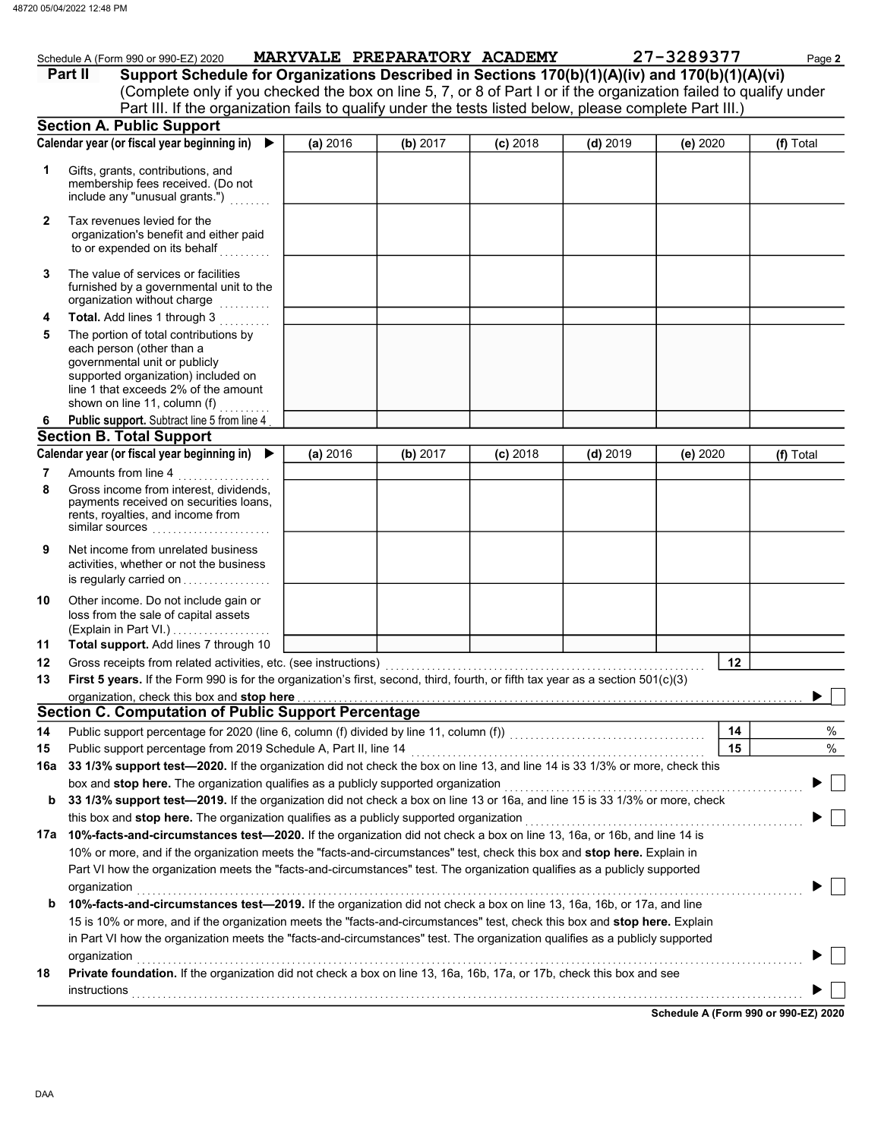|              | Schedule A (Form 990 or 990-EZ) 2020<br>Support Schedule for Organizations Described in Sections 170(b)(1)(A)(iv) and 170(b)(1)(A)(vi)<br>Part II<br>(Complete only if you checked the box on line 5, 7, or 8 of Part I or if the organization failed to qualify under<br>Part III. If the organization fails to qualify under the tests listed below, please complete Part III.) |          |          | MARYVALE PREPARATORY ACADEMY |            | 27-3289377 | Page 2    |
|--------------|-----------------------------------------------------------------------------------------------------------------------------------------------------------------------------------------------------------------------------------------------------------------------------------------------------------------------------------------------------------------------------------|----------|----------|------------------------------|------------|------------|-----------|
|              | <b>Section A. Public Support</b>                                                                                                                                                                                                                                                                                                                                                  |          |          |                              |            |            |           |
|              | Calendar year (or fiscal year beginning in)                                                                                                                                                                                                                                                                                                                                       | (a) 2016 | (b) 2017 | $(c)$ 2018                   | $(d)$ 2019 | (e) 2020   | (f) Total |
| 1            | Gifts, grants, contributions, and<br>membership fees received. (Do not<br>include any "unusual grants.")                                                                                                                                                                                                                                                                          |          |          |                              |            |            |           |
| $\mathbf{2}$ | Tax revenues levied for the<br>organization's benefit and either paid<br>to or expended on its behalf                                                                                                                                                                                                                                                                             |          |          |                              |            |            |           |
| 3            | The value of services or facilities<br>furnished by a governmental unit to the<br>organization without charge<br><u>.</u><br>Geografia eta erre                                                                                                                                                                                                                                   |          |          |                              |            |            |           |
| 4            | Total. Add lines 1 through 3                                                                                                                                                                                                                                                                                                                                                      |          |          |                              |            |            |           |
| 5            | The portion of total contributions by<br>each person (other than a<br>governmental unit or publicly<br>supported organization) included on<br>line 1 that exceeds 2% of the amount<br>shown on line 11, column (f)                                                                                                                                                                |          |          |                              |            |            |           |
| 6            | Public support. Subtract line 5 from line 4                                                                                                                                                                                                                                                                                                                                       |          |          |                              |            |            |           |
|              | <b>Section B. Total Support</b>                                                                                                                                                                                                                                                                                                                                                   |          |          |                              |            |            |           |
|              | Calendar year (or fiscal year beginning in)                                                                                                                                                                                                                                                                                                                                       | (a) 2016 | (b) 2017 | $(c)$ 2018                   | $(d)$ 2019 | (e) 2020   | (f) Total |
| 7            | Amounts from line 4                                                                                                                                                                                                                                                                                                                                                               |          |          |                              |            |            |           |
| 8            | Gross income from interest, dividends,<br>payments received on securities loans,<br>rents, royalties, and income from<br>similar sources                                                                                                                                                                                                                                          |          |          |                              |            |            |           |
| 9            | Net income from unrelated business<br>activities, whether or not the business<br>is regularly carried on                                                                                                                                                                                                                                                                          |          |          |                              |            |            |           |
| 10           | Other income. Do not include gain or<br>loss from the sale of capital assets                                                                                                                                                                                                                                                                                                      |          |          |                              |            |            |           |
| 11           | Total support. Add lines 7 through 10                                                                                                                                                                                                                                                                                                                                             |          |          |                              |            |            |           |
| 12           |                                                                                                                                                                                                                                                                                                                                                                                   |          |          |                              |            | 12         |           |
| 13           | First 5 years. If the Form 990 is for the organization's first, second, third, fourth, or fifth tax year as a section 501(c)(3)                                                                                                                                                                                                                                                   |          |          |                              |            |            |           |
|              | organization, check this box and stop here<br><b>Section C. Computation of Public Support Percentage</b>                                                                                                                                                                                                                                                                          |          |          |                              |            |            |           |
|              |                                                                                                                                                                                                                                                                                                                                                                                   |          |          |                              |            |            | %         |
| 14           | Public support percentage from 2019 Schedule A, Part II, line 14                                                                                                                                                                                                                                                                                                                  |          |          |                              |            | 14<br>15   | %         |
| 15<br>16a    | 33 1/3% support test-2020. If the organization did not check the box on line 13, and line 14 is 33 1/3% or more, check this                                                                                                                                                                                                                                                       |          |          |                              |            |            |           |
|              | box and stop here. The organization qualifies as a publicly supported organization                                                                                                                                                                                                                                                                                                |          |          |                              |            |            |           |
| b            | 33 1/3% support test-2019. If the organization did not check a box on line 13 or 16a, and line 15 is 33 1/3% or more, check                                                                                                                                                                                                                                                       |          |          |                              |            |            |           |
|              | this box and stop here. The organization qualifies as a publicly supported organization                                                                                                                                                                                                                                                                                           |          |          |                              |            |            |           |
|              | 17a 10%-facts-and-circumstances test-2020. If the organization did not check a box on line 13, 16a, or 16b, and line 14 is                                                                                                                                                                                                                                                        |          |          |                              |            |            |           |
|              | 10% or more, and if the organization meets the "facts-and-circumstances" test, check this box and stop here. Explain in<br>Part VI how the organization meets the "facts-and-circumstances" test. The organization qualifies as a publicly supported<br>organization                                                                                                              |          |          |                              |            |            |           |
| b            | 10%-facts-and-circumstances test-2019. If the organization did not check a box on line 13, 16a, 16b, or 17a, and line                                                                                                                                                                                                                                                             |          |          |                              |            |            |           |
|              | 15 is 10% or more, and if the organization meets the "facts-and-circumstances" test, check this box and stop here. Explain                                                                                                                                                                                                                                                        |          |          |                              |            |            |           |
|              | in Part VI how the organization meets the "facts-and-circumstances" test. The organization qualifies as a publicly supported                                                                                                                                                                                                                                                      |          |          |                              |            |            |           |
|              | organization                                                                                                                                                                                                                                                                                                                                                                      |          |          |                              |            |            |           |
| 18           | Private foundation. If the organization did not check a box on line 13, 16a, 16b, 17a, or 17b, check this box and see                                                                                                                                                                                                                                                             |          |          |                              |            |            |           |
|              | <b>instructions</b>                                                                                                                                                                                                                                                                                                                                                               |          |          |                              |            |            |           |

Schedule A (Form 990 or 990-EZ) 2020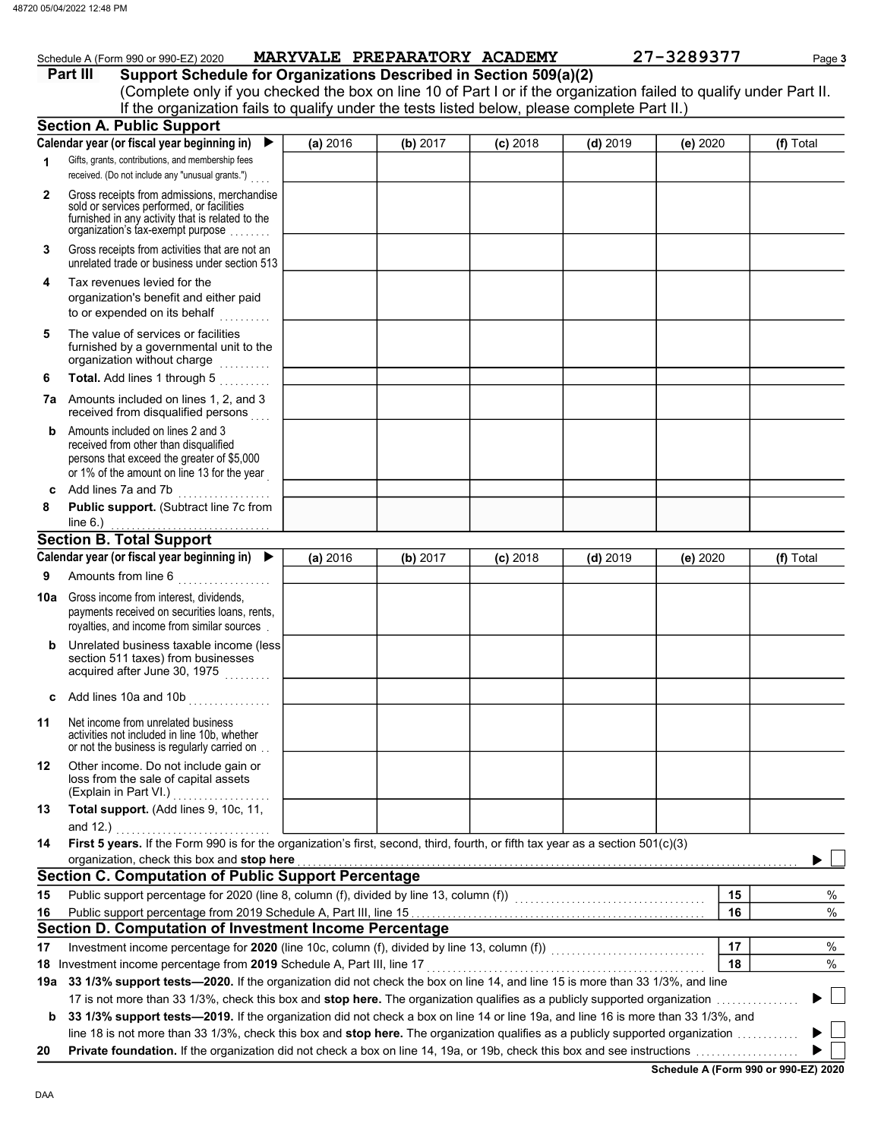# Schedule A (Form 990 or 990-EZ) 2020 MARYVALE PREPARATORY ACADEMY 27-3289377 Page 3

|     | Part III<br>Support Schedule for Organizations Described in Section 509(a)(2)                                                                                                                                                                                     |          |          |            |            |          |           |
|-----|-------------------------------------------------------------------------------------------------------------------------------------------------------------------------------------------------------------------------------------------------------------------|----------|----------|------------|------------|----------|-----------|
|     | (Complete only if you checked the box on line 10 of Part I or if the organization failed to qualify under Part II.                                                                                                                                                |          |          |            |            |          |           |
|     | If the organization fails to qualify under the tests listed below, please complete Part II.)                                                                                                                                                                      |          |          |            |            |          |           |
|     | <b>Section A. Public Support</b>                                                                                                                                                                                                                                  |          |          |            |            |          |           |
|     | Calendar year (or fiscal year beginning in)                                                                                                                                                                                                                       | (a) 2016 | (b) 2017 | $(c)$ 2018 | $(d)$ 2019 | (e) 2020 | (f) Total |
| 1   | Gifts, grants, contributions, and membership fees<br>received. (Do not include any "unusual grants.")                                                                                                                                                             |          |          |            |            |          |           |
| 2   | Gross receipts from admissions, merchandise<br>sold or services performed, or facilities<br>furnished in any activity that is related to the<br>organization's tax-exempt purpose                                                                                 |          |          |            |            |          |           |
| 3   | Gross receipts from activities that are not an<br>unrelated trade or business under section 513                                                                                                                                                                   |          |          |            |            |          |           |
| 4   | Tax revenues levied for the<br>organization's benefit and either paid<br>to or expended on its behalf<br>in de la calendaria.<br>Constituidades                                                                                                                   |          |          |            |            |          |           |
| 5   | The value of services or facilities<br>furnished by a governmental unit to the<br>organization without charge                                                                                                                                                     |          |          |            |            |          |           |
| 6   | Total. Add lines 1 through 5                                                                                                                                                                                                                                      |          |          |            |            |          |           |
|     | 7a Amounts included on lines 1, 2, and 3<br>received from disqualified persons                                                                                                                                                                                    |          |          |            |            |          |           |
| b   | Amounts included on lines 2 and 3<br>received from other than disqualified<br>persons that exceed the greater of \$5,000<br>or 1% of the amount on line 13 for the year                                                                                           |          |          |            |            |          |           |
| c   | Add lines 7a and 7b<br>.                                                                                                                                                                                                                                          |          |          |            |            |          |           |
| 8   | Public support. (Subtract line 7c from                                                                                                                                                                                                                            |          |          |            |            |          |           |
|     | line $6.$ )<br><b>Section B. Total Support</b>                                                                                                                                                                                                                    |          |          |            |            |          |           |
|     | Calendar year (or fiscal year beginning in) $\blacktriangleright$                                                                                                                                                                                                 | (a) 2016 | (b) 2017 | $(c)$ 2018 | $(d)$ 2019 | (e) 2020 | (f) Total |
| 9   | Amounts from line 6                                                                                                                                                                                                                                               |          |          |            |            |          |           |
|     | Gross income from interest, dividends,                                                                                                                                                                                                                            |          |          |            |            |          |           |
| 10a | payments received on securities loans, rents,<br>royalties, and income from similar sources.                                                                                                                                                                      |          |          |            |            |          |           |
| b   | Unrelated business taxable income (less<br>section 511 taxes) from businesses<br>acquired after June 30, 1975                                                                                                                                                     |          |          |            |            |          |           |
|     | c Add lines 10a and 10b $\ldots$                                                                                                                                                                                                                                  |          |          |            |            |          |           |
| 11  | Net income from unrelated business<br>activities not included in line 10b, whether<br>or not the business is regularly carried on                                                                                                                                 |          |          |            |            |          |           |
| 12  | Other income. Do not include gain or<br>loss from the sale of capital assets<br>(Explain in Part VI.)<br>.                                                                                                                                                        |          |          |            |            |          |           |
| 13  | Total support. (Add lines 9, 10c, 11,<br>and 12.) $\qquad \qquad$                                                                                                                                                                                                 |          |          |            |            |          |           |
| 14  | First 5 years. If the Form 990 is for the organization's first, second, third, fourth, or fifth tax year as a section 501(c)(3)                                                                                                                                   |          |          |            |            |          |           |
|     | organization, check this box and stop here                                                                                                                                                                                                                        |          |          |            |            |          |           |
|     | <b>Section C. Computation of Public Support Percentage</b>                                                                                                                                                                                                        |          |          |            |            |          |           |
| 15  |                                                                                                                                                                                                                                                                   |          |          |            |            | 15       | %         |
| 16  |                                                                                                                                                                                                                                                                   |          |          |            |            | 16       | $\%$      |
|     | Section D. Computation of Investment Income Percentage                                                                                                                                                                                                            |          |          |            |            |          |           |
| 17  |                                                                                                                                                                                                                                                                   |          |          |            |            | 17       | %         |
|     | 18 Investment income percentage from 2019 Schedule A, Part III, line 17                                                                                                                                                                                           |          |          |            |            | 18       | %         |
| 19а | 33 1/3% support tests-2020. If the organization did not check the box on line 14, and line 15 is more than 33 1/3%, and line                                                                                                                                      |          |          |            |            |          |           |
|     | 17 is not more than 33 1/3%, check this box and stop here. The organization qualifies as a publicly supported organization<br>b 33 1/3% support tests-2019. If the organization did not check a box on line 14 or line 19a, and line 16 is more than 33 1/3%, and |          |          |            |            |          |           |

line 18 is not more than 33 1/3%, check this box and stop here. The organization qualifies as a publicly supported organization . . . . . . . . . . . .

20 Private foundation. If the organization did not check a box on line 14, 19a, or 19b, check this box and see instructions . . . . . . . . . . . . . . . . . . . .

Schedule A (Form 990 or 990-EZ) 2020

 $\blacktriangleright$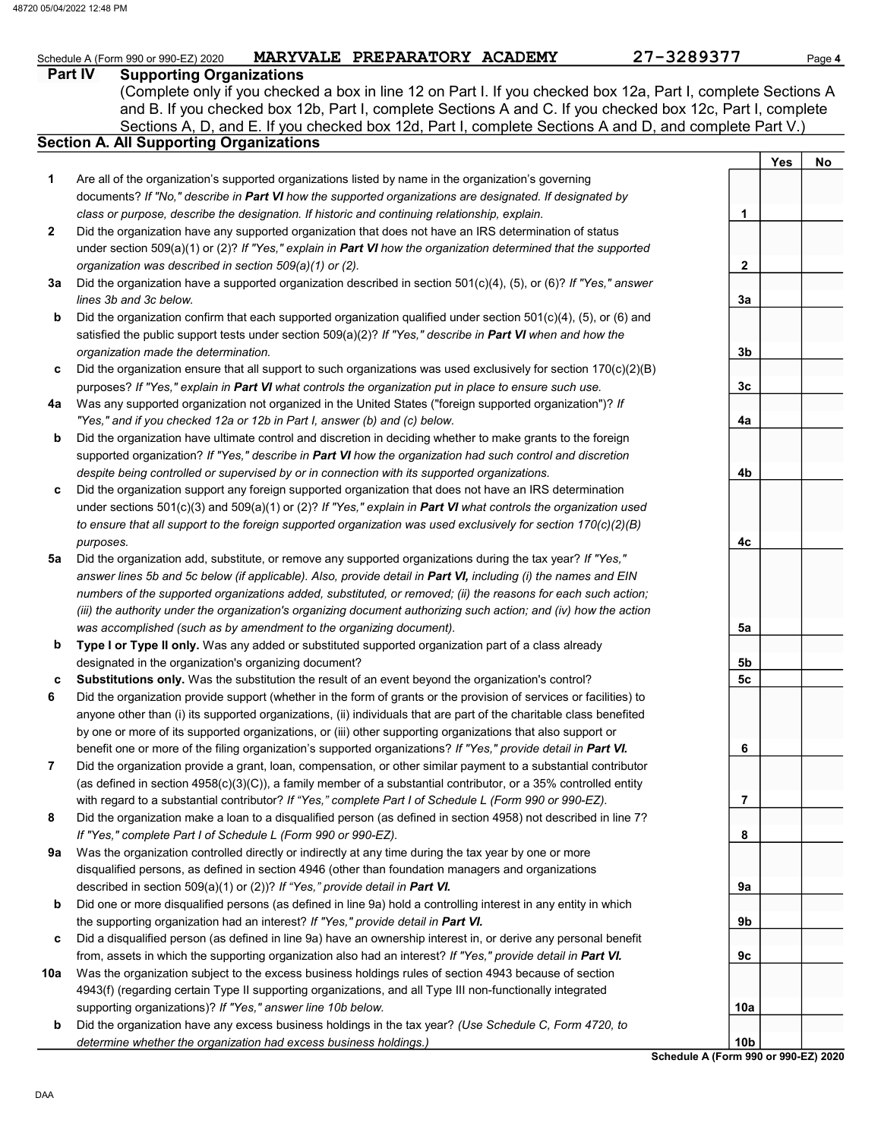#### Part IV Supporting Organizations Sections A, D, and E. If you checked box 12d, Part I, complete Sections A and D, and complete Part V.) Schedule A (Form 990 or 990-EZ) 2020 MARYVALE PREPARATORY ACADEMY 27-3289377 Page 4 Section A. All Supporting Organizations (Complete only if you checked a box in line 12 on Part I. If you checked box 12a, Part I, complete Sections A and B. If you checked box 12b, Part I, complete Sections A and C. If you checked box 12c, Part I, complete Are all of the organization's supported organizations listed by name in the organization's governing documents? If "No," describe in Part VI how the supported organizations are designated. If designated by class or purpose, describe the designation. If historic and continuing relationship, explain. Did the organization have any supported organization that does not have an IRS determination of status under section 509(a)(1) or (2)? If "Yes," explain in Part VI how the organization determined that the supported organization was described in section 509(a)(1) or (2). 1 2 **3a** Did the organization have a supported organization described in section 501(c)(4), (5), or (6)? If "Yes," answer b c Did the organization ensure that all support to such organizations was used exclusively for section 170(c)(2)(B) 4a Was any supported organization not organized in the United States ("foreign supported organization")? If b c Did the organization support any foreign supported organization that does not have an IRS determination 5a Did the organization add, substitute, or remove any supported organizations during the tax year? If "Yes," b c lines 3b and 3c below. Did the organization confirm that each supported organization qualified under section 501(c)(4), (5), or (6) and satisfied the public support tests under section  $509(a)(2)$ ? If "Yes," describe in Part VI when and how the organization made the determination. purposes? If "Yes," explain in Part VI what controls the organization put in place to ensure such use. "Yes," and if you checked 12a or 12b in Part I, answer (b) and (c) below. Did the organization have ultimate control and discretion in deciding whether to make grants to the foreign supported organization? If "Yes," describe in Part VI how the organization had such control and discretion despite being controlled or supervised by or in connection with its supported organizations. under sections  $501(c)(3)$  and  $509(a)(1)$  or (2)? If "Yes," explain in Part VI what controls the organization used to ensure that all support to the foreign supported organization was used exclusively for section 170(c)(2)(B) purposes. answer lines 5b and 5c below (if applicable). Also, provide detail in Part VI, including (i) the names and EIN numbers of the supported organizations added, substituted, or removed; (ii) the reasons for each such action; (iii) the authority under the organization's organizing document authorizing such action; and (iv) how the action was accomplished (such as by amendment to the organizing document). Type I or Type II only. Was any added or substituted supported organization part of a class already designated in the organization's organizing document? Substitutions only. Was the substitution the result of an event beyond the organization's control? 1 2 3a 3b 3c 4a 4b 4c 5a 5b 5c 48720 05/04/2022 12:48 PM

- 6 Did the organization provide support (whether in the form of grants or the provision of services or facilities) to anyone other than (i) its supported organizations, (ii) individuals that are part of the charitable class benefited by one or more of its supported organizations, or (iii) other supporting organizations that also support or benefit one or more of the filing organization's supported organizations? If "Yes," provide detail in Part VI.
- 7 Did the organization provide a grant, loan, compensation, or other similar payment to a substantial contributor (as defined in section  $4958(c)(3)(C)$ ), a family member of a substantial contributor, or a 35% controlled entity with regard to a substantial contributor? If "Yes," complete Part I of Schedule L (Form 990 or 990-EZ).
- 8 Did the organization make a loan to a disqualified person (as defined in section 4958) not described in line 7? If "Yes," complete Part I of Schedule L (Form 990 or 990-EZ).
- 9a Was the organization controlled directly or indirectly at any time during the tax year by one or more disqualified persons, as defined in section 4946 (other than foundation managers and organizations described in section 509(a)(1) or (2))? If "Yes," provide detail in Part VI.
- b Did one or more disqualified persons (as defined in line 9a) hold a controlling interest in any entity in which the supporting organization had an interest? If "Yes," provide detail in Part VI.
- c Did a disqualified person (as defined in line 9a) have an ownership interest in, or derive any personal benefit from, assets in which the supporting organization also had an interest? If "Yes," provide detail in Part VI.
- 10a Was the organization subject to the excess business holdings rules of section 4943 because of section 4943(f) (regarding certain Type II supporting organizations, and all Type III non-functionally integrated supporting organizations)? If "Yes," answer line 10b below.
- b Did the organization have any excess business holdings in the tax year? (Use Schedule C, Form 4720, to determine whether the organization had excess business holdings.)

Schedule A (Form 990 or 990-EZ) 2020 10b

6

7

8

9a

9b

9c

10a

Yes | No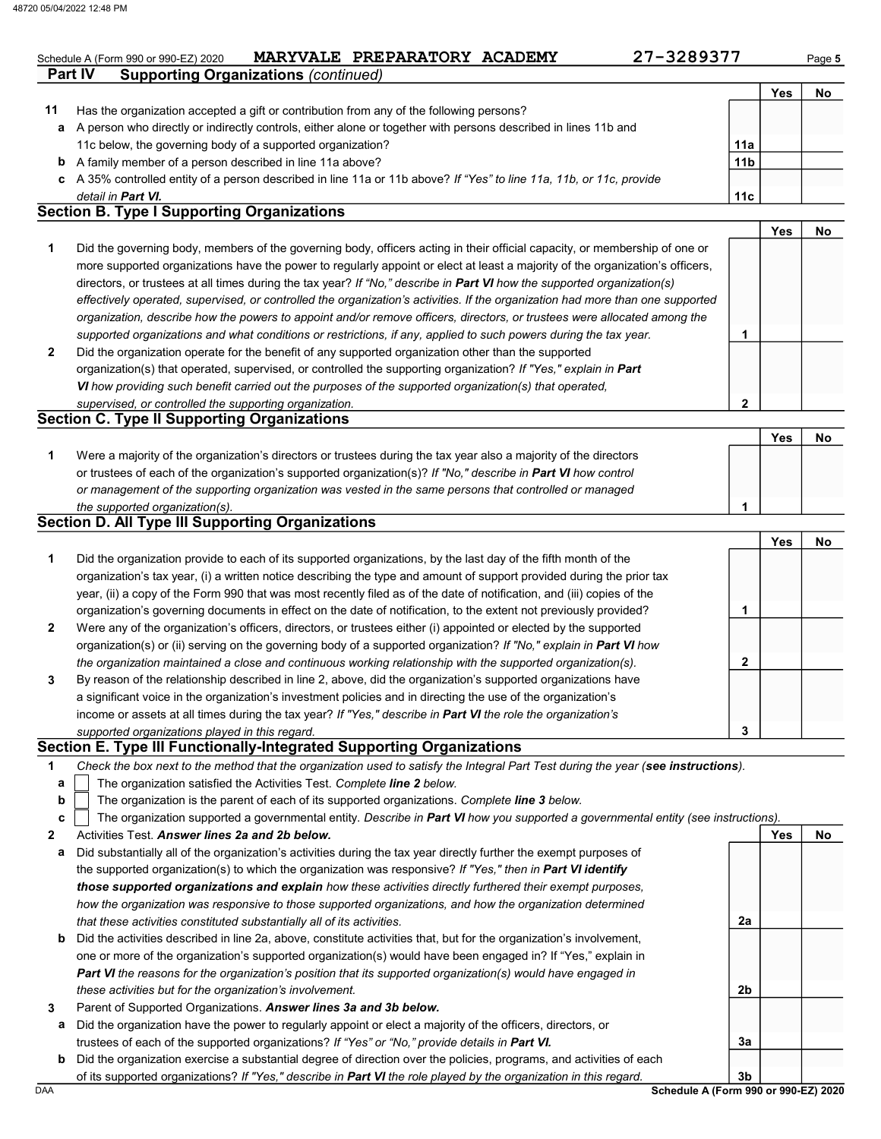# Schedule A (Form 990 or 990-EZ) 2020 MARYVALE PREPARATORY ACADEMY 27-3289377 Page 5

| 27-328937 |  |  |  |
|-----------|--|--|--|
|           |  |  |  |

2

|    |                                                                                                                      |                 | Yes | No |
|----|----------------------------------------------------------------------------------------------------------------------|-----------------|-----|----|
| 11 | Has the organization accepted a gift or contribution from any of the following persons?                              |                 |     |    |
| a  | A person who directly or indirectly controls, either alone or together with persons described in lines 11b and       |                 |     |    |
|    | 11c below, the governing body of a supported organization?                                                           | 11a             |     |    |
| b  | A family member of a person described in line 11a above?                                                             | 11 <sub>b</sub> |     |    |
|    | c A 35% controlled entity of a person described in line 11a or 11b above? If "Yes" to line 11a, 11b, or 11c, provide |                 |     |    |
|    | detail in <b>Part VI.</b>                                                                                            | 11c             |     |    |

#### Section B. Type I Supporting Organizations

Part IV Supporting Organizations (continued)

|                |                                                                                                                                | Yes | No |
|----------------|--------------------------------------------------------------------------------------------------------------------------------|-----|----|
| 1              | Did the governing body, members of the governing body, officers acting in their official capacity, or membership of one or     |     |    |
|                | more supported organizations have the power to regularly appoint or elect at least a majority of the organization's officers,  |     |    |
|                | directors, or trustees at all times during the tax year? If "No," describe in Part VI how the supported organization(s)        |     |    |
|                | effectively operated, supervised, or controlled the organization's activities. If the organization had more than one supported |     |    |
|                | organization, describe how the powers to appoint and/or remove officers, directors, or trustees were allocated among the       |     |    |
|                | supported organizations and what conditions or restrictions, if any, applied to such powers during the tax year.               |     |    |
| $\overline{2}$ | Did the organization operate for the benefit of any supported organization other than the supported                            |     |    |
|                | organization(s) that operated, supervised, or controlled the supporting organization? If "Yes," explain in Part                |     |    |
|                | VI how providing such benefit carried out the purposes of the supported organization(s) that operated,                         |     |    |

Section C. Type II Supporting Organizations Were a majority of the organization's directors or trustees during the tax year also a majority of the directors or trustees of each of the organization's supported organization(s)? If "No," describe in Part VI how control 1 or management of the supporting organization was vested in the same persons that controlled or managed the supported organization(s). Yes | No 1

#### Section D. All Type III Supporting Organizations

supervised, or controlled the supporting organization.

|                |                                                                                                                        |   | Yes | Nο |
|----------------|------------------------------------------------------------------------------------------------------------------------|---|-----|----|
| 1              | Did the organization provide to each of its supported organizations, by the last day of the fifth month of the         |   |     |    |
|                | organization's tax year, (i) a written notice describing the type and amount of support provided during the prior tax  |   |     |    |
|                | year, (ii) a copy of the Form 990 that was most recently filed as of the date of notification, and (iii) copies of the |   |     |    |
|                | organization's governing documents in effect on the date of notification, to the extent not previously provided?       |   |     |    |
| $\overline{2}$ | Were any of the organization's officers, directors, or trustees either (i) appointed or elected by the supported       |   |     |    |
|                | organization(s) or (ii) serving on the governing body of a supported organization? If "No," explain in Part VI how     |   |     |    |
|                | the organization maintained a close and continuous working relationship with the supported organization(s).            |   |     |    |
| 3              | By reason of the relationship described in line 2, above, did the organization's supported organizations have          |   |     |    |
|                | a significant voice in the organization's investment policies and in directing the use of the organization's           |   |     |    |
|                | income or assets at all times during the tax year? If "Yes," describe in Part VI the role the organization's           |   |     |    |
|                | supported organizations played in this regard.                                                                         | 3 |     |    |

#### Section E. Type III Functionally-Integrated Supporting Organizations

| Check the box next to the method that the organization used to satisfy the Integral Part Test during the year (see instructions). |  |
|-----------------------------------------------------------------------------------------------------------------------------------|--|
|-----------------------------------------------------------------------------------------------------------------------------------|--|

- The organization satisfied the Activities Test. Complete line 2 below. a
- The organization is the parent of each of its supported organizations. Complete line 3 below. b

|  | The organization supported a governmental entity. Describe in <b>Part VI</b> how you supported a governmental entity (see instructions). |
|--|------------------------------------------------------------------------------------------------------------------------------------------|
|--|------------------------------------------------------------------------------------------------------------------------------------------|

- 2 Activities Test. Answer lines 2a and 2b below.
- a Did substantially all of the organization's activities during the tax year directly further the exempt purposes of the supported organization(s) to which the organization was responsive? If "Yes," then in Part VI identify those supported organizations and explain how these activities directly furthered their exempt purposes, how the organization was responsive to those supported organizations, and how the organization determined that these activities constituted substantially all of its activities.
- b Did the activities described in line 2a, above, constitute activities that, but for the organization's involvement, one or more of the organization's supported organization(s) would have been engaged in? If "Yes," explain in Part VI the reasons for the organization's position that its supported organization(s) would have engaged in these activities but for the organization's involvement.
- 3 Parent of Supported Organizations. Answer lines 3a and 3b below.
	- a Did the organization have the power to regularly appoint or elect a majority of the officers, directors, or trustees of each of the supported organizations? If "Yes" or "No," provide details in Part VI.
	- b Did the organization exercise a substantial degree of direction over the policies, programs, and activities of each of its supported organizations? If "Yes," describe in Part VI the role played by the organization in this regard.

DAA Schedule A (Form 990 or 990-EZ) 2020 3b

2a

2b

3a

Yes No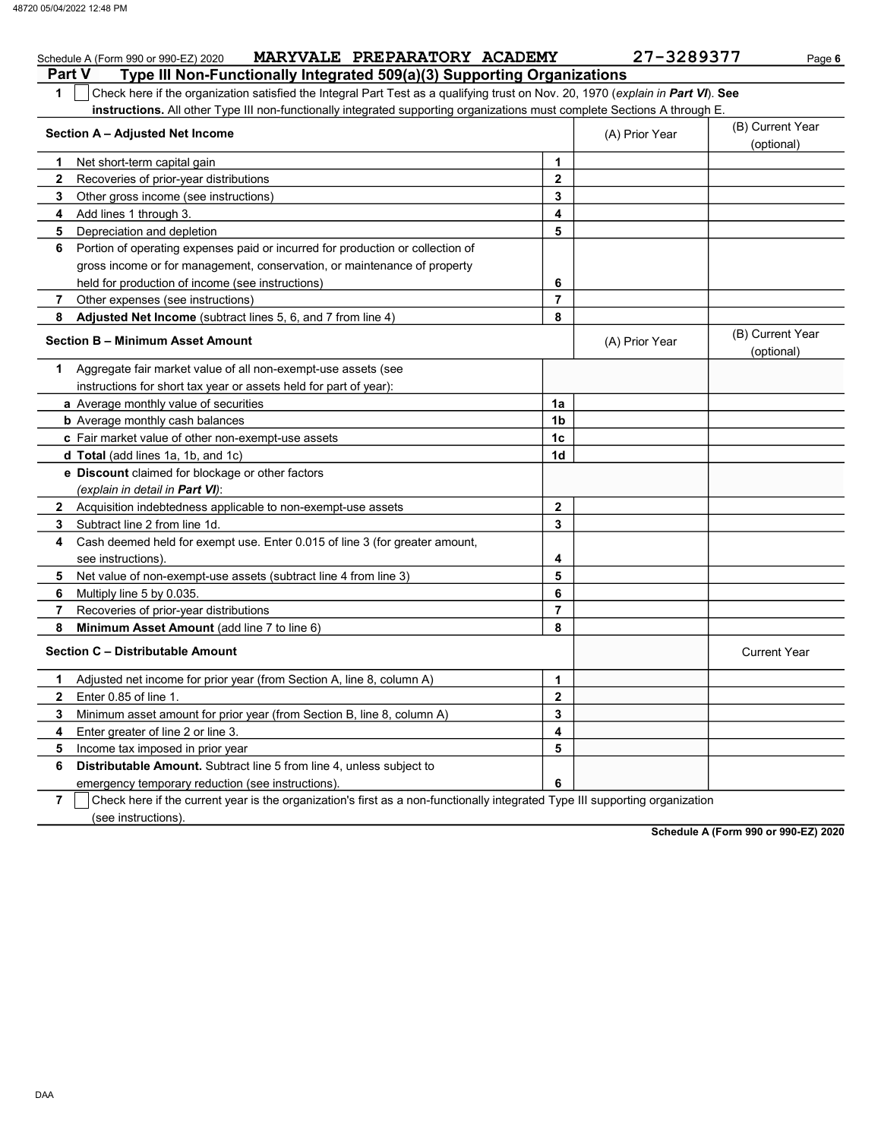|               | MARYVALE PREPARATORY ACADEMY<br>Schedule A (Form 990 or 990-EZ) 2020                                                             |                | 27-3289377     | Page 6                         |
|---------------|----------------------------------------------------------------------------------------------------------------------------------|----------------|----------------|--------------------------------|
| <b>Part V</b> | Type III Non-Functionally Integrated 509(a)(3) Supporting Organizations                                                          |                |                |                                |
| 1             | Check here if the organization satisfied the Integral Part Test as a qualifying trust on Nov. 20, 1970 (explain in Part VI). See |                |                |                                |
|               | instructions. All other Type III non-functionally integrated supporting organizations must complete Sections A through E.        |                |                |                                |
|               | Section A - Adjusted Net Income                                                                                                  |                | (A) Prior Year | (B) Current Year<br>(optional) |
| 1             | Net short-term capital gain                                                                                                      | $\mathbf{1}$   |                |                                |
| $\mathbf{2}$  | Recoveries of prior-year distributions                                                                                           | $\overline{2}$ |                |                                |
| 3             | Other gross income (see instructions)                                                                                            | 3              |                |                                |
| 4             | Add lines 1 through 3.                                                                                                           | 4              |                |                                |
| 5             | Depreciation and depletion                                                                                                       | 5              |                |                                |
| 6             | Portion of operating expenses paid or incurred for production or collection of                                                   |                |                |                                |
|               | gross income or for management, conservation, or maintenance of property                                                         |                |                |                                |
|               | held for production of income (see instructions)                                                                                 | 6              |                |                                |
| 7             | Other expenses (see instructions)                                                                                                | $\overline{7}$ |                |                                |
| 8             | Adjusted Net Income (subtract lines 5, 6, and 7 from line 4)                                                                     | 8              |                |                                |
|               | Section B - Minimum Asset Amount                                                                                                 |                | (A) Prior Year | (B) Current Year<br>(optional) |
| 1             | Aggregate fair market value of all non-exempt-use assets (see                                                                    |                |                |                                |
|               | instructions for short tax year or assets held for part of year):                                                                |                |                |                                |
|               | <b>a</b> Average monthly value of securities                                                                                     | 1a             |                |                                |
|               | <b>b</b> Average monthly cash balances                                                                                           | 1 <sub>b</sub> |                |                                |
|               | c Fair market value of other non-exempt-use assets                                                                               | 1 <sub>c</sub> |                |                                |
|               | d Total (add lines 1a, 1b, and 1c)                                                                                               | 1d             |                |                                |
|               | e Discount claimed for blockage or other factors                                                                                 |                |                |                                |
|               | (explain in detail in Part VI):                                                                                                  |                |                |                                |
| 2             | Acquisition indebtedness applicable to non-exempt-use assets                                                                     | $\overline{2}$ |                |                                |
| 3             | Subtract line 2 from line 1d.                                                                                                    | 3              |                |                                |
| 4             | Cash deemed held for exempt use. Enter 0.015 of line 3 (for greater amount,<br>see instructions).                                | 4              |                |                                |
| 5             | Net value of non-exempt-use assets (subtract line 4 from line 3)                                                                 | 5              |                |                                |
| 6             | Multiply line 5 by 0.035.                                                                                                        | 6              |                |                                |
| 7             | Recoveries of prior-year distributions                                                                                           | $\overline{7}$ |                |                                |
| 8             | Minimum Asset Amount (add line 7 to line 6)                                                                                      | 8              |                |                                |
|               | Section C - Distributable Amount                                                                                                 |                |                | <b>Current Year</b>            |
| 1             | Adjusted net income for prior year (from Section A, line 8, column A)                                                            | 1              |                |                                |
| $\mathbf{2}$  | Enter 0.85 of line 1.                                                                                                            | $\mathbf{2}$   |                |                                |
| 3             | Minimum asset amount for prior year (from Section B, line 8, column A)                                                           | 3              |                |                                |
| 4             | Enter greater of line 2 or line 3.                                                                                               | 4              |                |                                |
| 5             | Income tax imposed in prior year                                                                                                 | 5              |                |                                |
| 6             | Distributable Amount. Subtract line 5 from line 4, unless subject to                                                             |                |                |                                |
|               | emergency temporary reduction (see instructions).                                                                                | 6              |                |                                |
|               |                                                                                                                                  |                |                |                                |

7 Check here if the current year is the organization's first as a non-functionally integrated Type III supporting organization (see instructions).

Schedule A (Form 990 or 990-EZ) 2020

DAA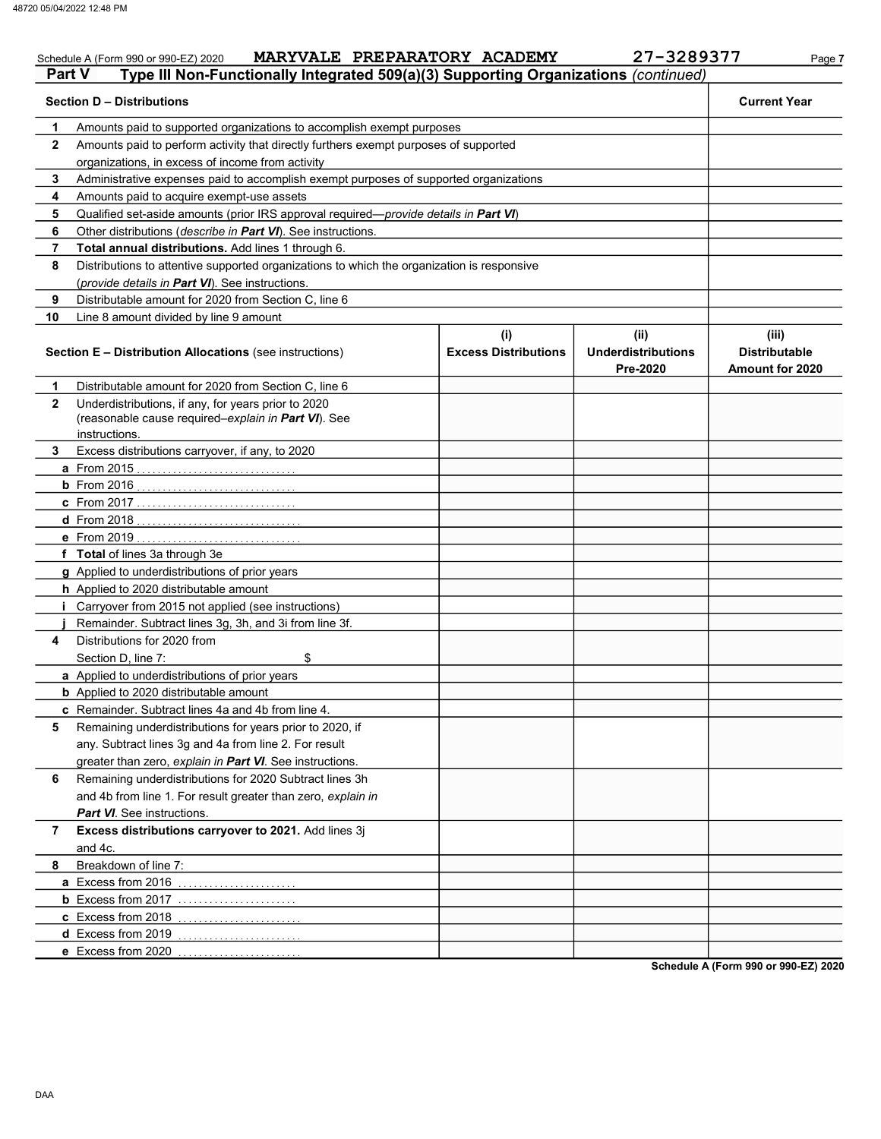#### Schedule A (Form 990 or 990-EZ) 2020 MARYVALE PREPARATORY ACADEMY 27-3289377 Page 7 Part V Type III Non-Functionally Integrated 509(a)(3) Supporting Organizations (continued) Section D – Distributions Current Year 1 2 3 4 5 6 7 8 9 10 Amounts paid to supported organizations to accomplish exempt purposes Amounts paid to perform activity that directly furthers exempt purposes of supported organizations, in excess of income from activity Administrative expenses paid to accomplish exempt purposes of supported organizations Amounts paid to acquire exempt-use assets Qualified set-aside amounts (prior IRS approval required—provide details in Part VI) Other distributions (describe in Part VI). See instructions. Total annual distributions. Add lines 1 through 6. Distributions to attentive supported organizations to which the organization is responsive (provide details in Part VI). See instructions. Distributable amount for 2020 from Section C, line 6 Line 8 amount divided by line 9 amount Section E – Distribution Allocations (see instructions) Excess Distributions (i) (ii) Underdistributions Pre-2020 (iii) Distributable Amount for 2020 6 Remaining underdistributions for 2020 Subtract lines 3h 5 4 3 2 1 a From 2015 . . . . . . . . . . . . . . . . . . . . . . . . . . . . . . . b From 2016 . . . . . . . . . . . . . . . . . . . . . . . . . . . . . . . c From 2017 . . . . . . . . . . . . . . . . . . . . . . . . . . . . . . . d From 2018 . . . . . . . . . . . . . . . . . . . . . . . . . . . . . . . . e From 2019 . . . . . . . . . . . . . . . . . . . . . . . . . . . . . . . . f Total of lines 3a through 3e g Applied to underdistributions of prior years h Applied to 2020 distributable amount i Carryover from 2015 not applied (see instructions) j Remainder. Subtract lines 3g, 3h, and 3i from line 3f. a Applied to underdistributions of prior years **b** Applied to 2020 distributable amount c Remainder. Subtract lines 4a and 4b from line 4. Distributable amount for 2020 from Section C, line 6 Underdistributions, if any, for years prior to 2020 (reasonable cause required–explain in Part VI). See Excess distributions carryover, if any, to 2020 Distributions for 2020 from Section D, line 7: \$ Remaining underdistributions for years prior to 2020, if any. Subtract lines 3g and 4a from line 2. For result greater than zero, explain in Part VI. See instructions. and 4b from line 1. For result greater than zero, explain in instructions.

a Excess from 2016 ........................ **b** Excess from 2017 ........................ c Excess from 2018 . . . . . . . . . . . . . . . . . . . . . . . . d Excess from 2019 ......................... e Excess from 2020 . . . . . . . . . . . . . . . . . . . . . . . . Part VI. See instructions. Excess distributions carryover to 2021. Add lines 3j and 4c. Breakdown of line 7:

Schedule A (Form 990 or 990-EZ) 2020

8

7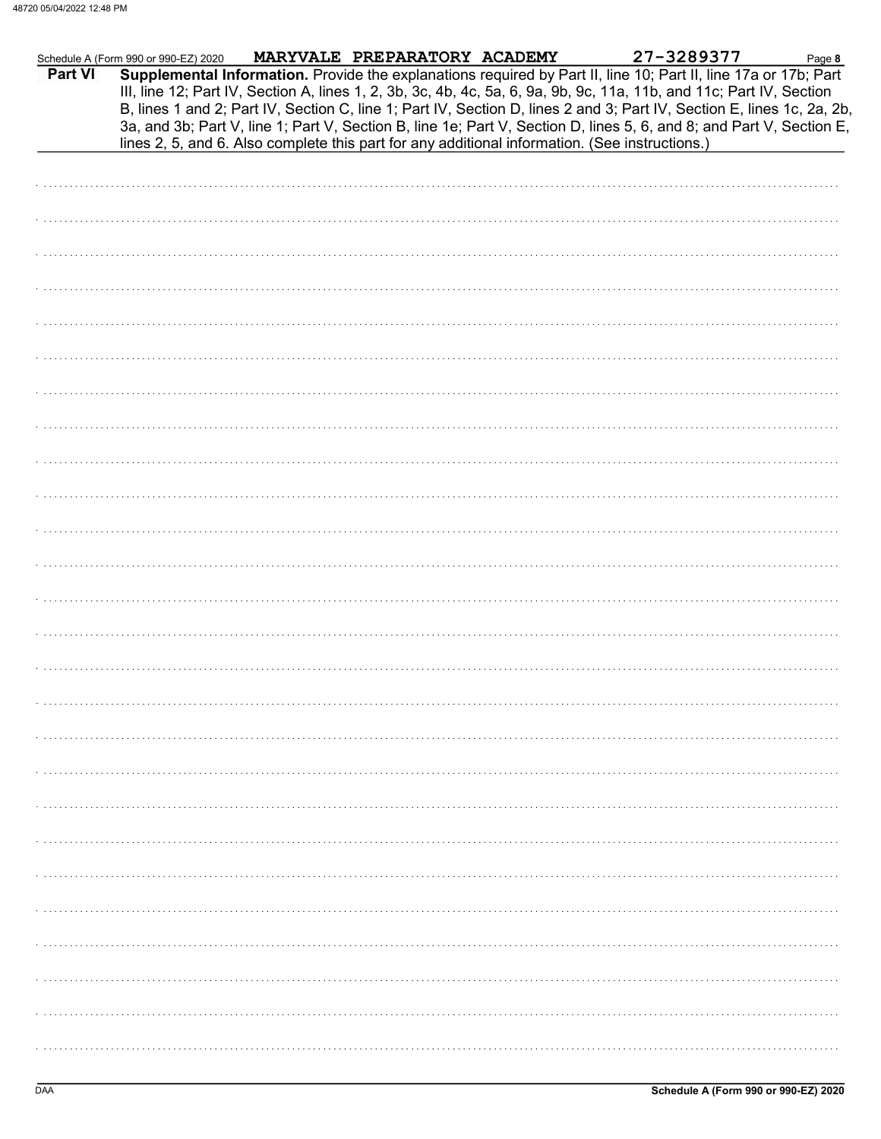|         | Schedule A (Form 990 or 990-EZ) 2020 | MARYVALE PREPARATORY ACADEMY | 27-3289377                                                                                                                                                                                                                                                                                                                                                        | Page 8 |
|---------|--------------------------------------|------------------------------|-------------------------------------------------------------------------------------------------------------------------------------------------------------------------------------------------------------------------------------------------------------------------------------------------------------------------------------------------------------------|--------|
| Part VI |                                      |                              | Supplemental Information. Provide the explanations required by Part II, line 10; Part II, line 17a or 17b; Part<br>III, line 12; Part IV, Section A, lines 1, 2, 3b, 3c, 4b, 4c, 5a, 6, 9a, 9b, 9c, 11a, 11b, and 11c; Part IV, Section<br>B, lines 1 and 2; Part IV, Section C, line 1; Part IV, Section D, lines 2 and 3; Part IV, Section E, lines 1c, 2a, 2b, |        |
|         |                                      |                              | 3a, and 3b; Part V, line 1; Part V, Section B, line 1e; Part V, Section D, lines 5, 6, and 8; and Part V, Section E,<br>lines 2, 5, and 6. Also complete this part for any additional information. (See instructions.)                                                                                                                                            |        |
|         |                                      |                              |                                                                                                                                                                                                                                                                                                                                                                   |        |
|         |                                      |                              |                                                                                                                                                                                                                                                                                                                                                                   |        |
|         |                                      |                              |                                                                                                                                                                                                                                                                                                                                                                   |        |
|         |                                      |                              |                                                                                                                                                                                                                                                                                                                                                                   |        |
|         |                                      |                              |                                                                                                                                                                                                                                                                                                                                                                   |        |
|         |                                      |                              |                                                                                                                                                                                                                                                                                                                                                                   |        |
|         |                                      |                              |                                                                                                                                                                                                                                                                                                                                                                   |        |
|         |                                      |                              |                                                                                                                                                                                                                                                                                                                                                                   |        |
|         |                                      |                              |                                                                                                                                                                                                                                                                                                                                                                   |        |
|         |                                      |                              |                                                                                                                                                                                                                                                                                                                                                                   |        |
|         |                                      |                              |                                                                                                                                                                                                                                                                                                                                                                   |        |
|         |                                      |                              |                                                                                                                                                                                                                                                                                                                                                                   |        |
|         |                                      |                              |                                                                                                                                                                                                                                                                                                                                                                   |        |
|         |                                      |                              |                                                                                                                                                                                                                                                                                                                                                                   |        |
|         |                                      |                              |                                                                                                                                                                                                                                                                                                                                                                   |        |
|         |                                      |                              |                                                                                                                                                                                                                                                                                                                                                                   |        |
|         |                                      |                              |                                                                                                                                                                                                                                                                                                                                                                   |        |
|         |                                      |                              |                                                                                                                                                                                                                                                                                                                                                                   |        |
|         |                                      |                              |                                                                                                                                                                                                                                                                                                                                                                   |        |
|         |                                      |                              |                                                                                                                                                                                                                                                                                                                                                                   |        |
|         |                                      |                              |                                                                                                                                                                                                                                                                                                                                                                   |        |
|         |                                      |                              |                                                                                                                                                                                                                                                                                                                                                                   |        |
|         |                                      |                              |                                                                                                                                                                                                                                                                                                                                                                   |        |
|         |                                      |                              |                                                                                                                                                                                                                                                                                                                                                                   |        |
|         |                                      |                              |                                                                                                                                                                                                                                                                                                                                                                   |        |
|         |                                      |                              |                                                                                                                                                                                                                                                                                                                                                                   |        |
|         |                                      |                              |                                                                                                                                                                                                                                                                                                                                                                   |        |
|         |                                      |                              |                                                                                                                                                                                                                                                                                                                                                                   |        |
|         |                                      |                              |                                                                                                                                                                                                                                                                                                                                                                   |        |
|         |                                      |                              |                                                                                                                                                                                                                                                                                                                                                                   |        |
|         |                                      |                              |                                                                                                                                                                                                                                                                                                                                                                   |        |
|         |                                      |                              |                                                                                                                                                                                                                                                                                                                                                                   |        |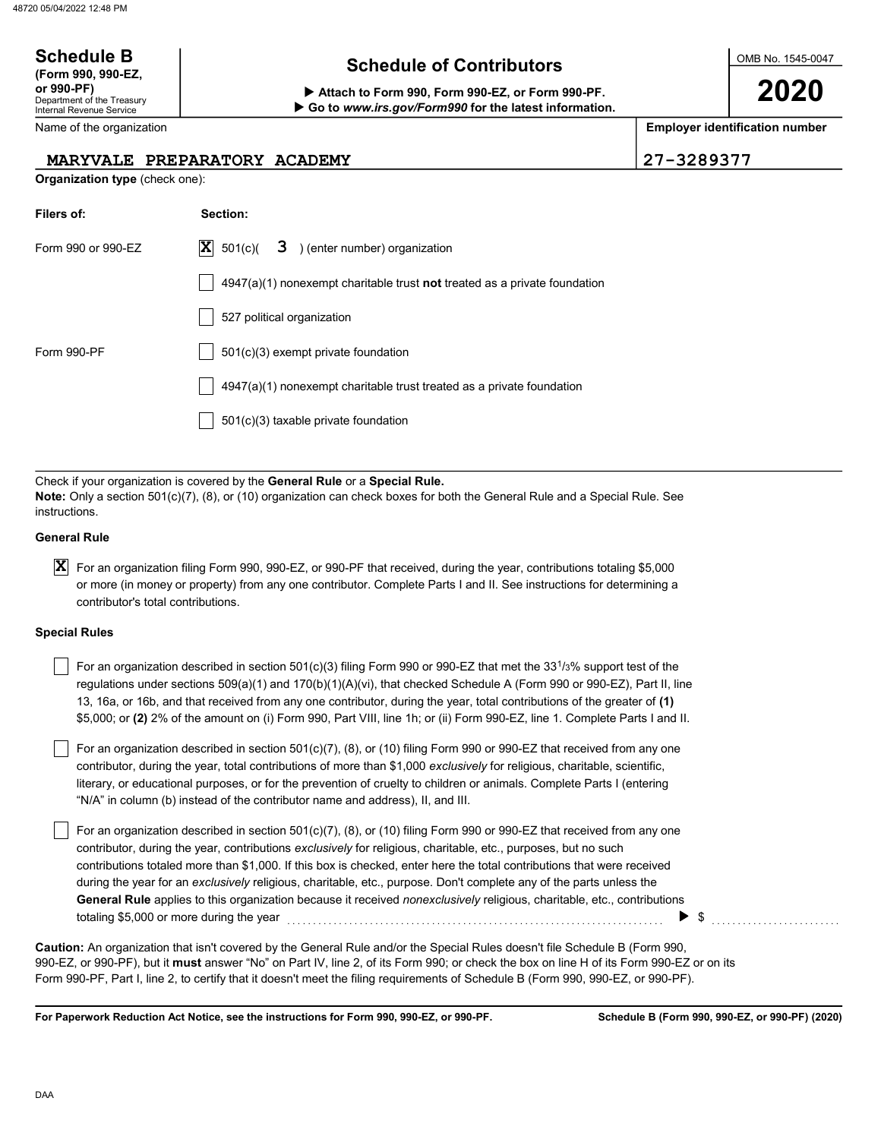# Schedule B  $\overline{S}$  Schedule of Contributors

Attach to Form 990, Form 990-EZ, or Form 990-PF. ▶ Go to www.irs.gov/Form990 for the latest information. OMB No. 1545-0047

2020

Employer identification number

|                                                | MARYVALE PREPARATORY ACADEMY                                                                                                                                                                                                                                                                                                                                                                                                                                                                                                                                                                                               | 21-32893 <i>11</i> |
|------------------------------------------------|----------------------------------------------------------------------------------------------------------------------------------------------------------------------------------------------------------------------------------------------------------------------------------------------------------------------------------------------------------------------------------------------------------------------------------------------------------------------------------------------------------------------------------------------------------------------------------------------------------------------------|--------------------|
| Organization type (check one):                 |                                                                                                                                                                                                                                                                                                                                                                                                                                                                                                                                                                                                                            |                    |
| Filers of:                                     | Section:                                                                                                                                                                                                                                                                                                                                                                                                                                                                                                                                                                                                                   |                    |
| Form 990 or 990-EZ                             | $ \mathbf{X} $<br>3 ) (enter number) organization<br>501(c)                                                                                                                                                                                                                                                                                                                                                                                                                                                                                                                                                                |                    |
|                                                | $4947(a)(1)$ nonexempt charitable trust <b>not</b> treated as a private foundation                                                                                                                                                                                                                                                                                                                                                                                                                                                                                                                                         |                    |
|                                                | 527 political organization                                                                                                                                                                                                                                                                                                                                                                                                                                                                                                                                                                                                 |                    |
| Form 990-PF                                    | 501(c)(3) exempt private foundation                                                                                                                                                                                                                                                                                                                                                                                                                                                                                                                                                                                        |                    |
|                                                | 4947(a)(1) nonexempt charitable trust treated as a private foundation                                                                                                                                                                                                                                                                                                                                                                                                                                                                                                                                                      |                    |
|                                                | 501(c)(3) taxable private foundation                                                                                                                                                                                                                                                                                                                                                                                                                                                                                                                                                                                       |                    |
| instructions.                                  | Check if your organization is covered by the General Rule or a Special Rule.<br>$Note:$ Only a section 501(c)(7), (8), or (10) organization can check boxes for both the General Rule and a Special Rule. See                                                                                                                                                                                                                                                                                                                                                                                                              |                    |
| General Rule                                   |                                                                                                                                                                                                                                                                                                                                                                                                                                                                                                                                                                                                                            |                    |
| <b>X</b><br>contributor's total contributions. | For an organization filing Form 990, 990-EZ, or 990-PF that received, during the year, contributions totaling \$5,000<br>or more (in money or property) from any one contributor. Complete Parts I and II. See instructions for determining a                                                                                                                                                                                                                                                                                                                                                                              |                    |
| <b>Special Rules</b>                           |                                                                                                                                                                                                                                                                                                                                                                                                                                                                                                                                                                                                                            |                    |
|                                                | For an organization described in section 501(c)(3) filing Form 990 or 990-EZ that met the 33 <sup>1</sup> /3% support test of the<br>regulations under sections $509(a)(1)$ and $170(b)(1)(A)(vi)$ , that checked Schedule A (Form 990 or 990-EZ), Part II, line<br>13, 16a, or 16b, and that received from any one contributor, during the year, total contributions of the greater of (1)<br>\$5,000; or (2) 2% of the amount on (i) Form 990, Part VIII, line 1h; or (ii) Form 990-EZ, line 1. Complete Parts I and II.                                                                                                 |                    |
|                                                | For an organization described in section 501(c)(7), (8), or (10) filing Form 990 or 990-EZ that received from any one<br>contributor, during the year, total contributions of more than \$1,000 exclusively for religious, charitable, scientific,<br>literary, or educational purposes, or for the prevention of cruelty to children or animals. Complete Parts I (entering<br>"N/A" in column (b) instead of the contributor name and address), II, and III.                                                                                                                                                             |                    |
| totaling \$5,000 or more during the year       | For an organization described in section 501(c)(7), (8), or (10) filing Form 990 or 990-EZ that received from any one<br>contributor, during the year, contributions exclusively for religious, charitable, etc., purposes, but no such<br>contributions totaled more than \$1,000. If this box is checked, enter here the total contributions that were received<br>during the year for an exclusively religious, charitable, etc., purpose. Don't complete any of the parts unless the<br>General Rule applies to this organization because it received <i>nonexclusively</i> religious, charitable, etc., contributions | \$                 |
|                                                | Caution: An organization that isn't covered by the General Rule and/or the Special Rules doesn't file Schedule B (Form 990,<br>990-EZ, or 990-PF), but it <b>must</b> answer "No" on Part IV, line 2, of its Form 990; or check the box on line H of its Form 990-EZ or on its<br>Form 990-PF, Part I, line 2, to certify that it doesn't meet the filing requirements of Schedule B (Form 990, 990-EZ, or 990-PF).                                                                                                                                                                                                        |                    |

For Paperwork Reduction Act Notice, see the instructions for Form 990, 990-EZ, or 990-PF.

Department of the Treasury Internal Revenue Service Name of the organization (Form 990, 990-EZ, MARYVALE PREPARATORY ACADEMY 27-3289377

| Filers of:         | Section:                                                                           |
|--------------------|------------------------------------------------------------------------------------|
| Form 990 or 990-FZ | $ \mathbf{X} $ 501(c)( <b>3</b> ) (enter number) organization                      |
|                    | $4947(a)(1)$ nonexempt charitable trust <b>not</b> treated as a private foundation |
|                    | 527 political organization                                                         |
| Form 990-PF        | $501(c)(3)$ exempt private foundation                                              |
|                    | 4947(a)(1) nonexempt charitable trust treated as a private foundation              |
|                    | $501(c)(3)$ taxable private foundation                                             |

#### General Rule

#### Special Rules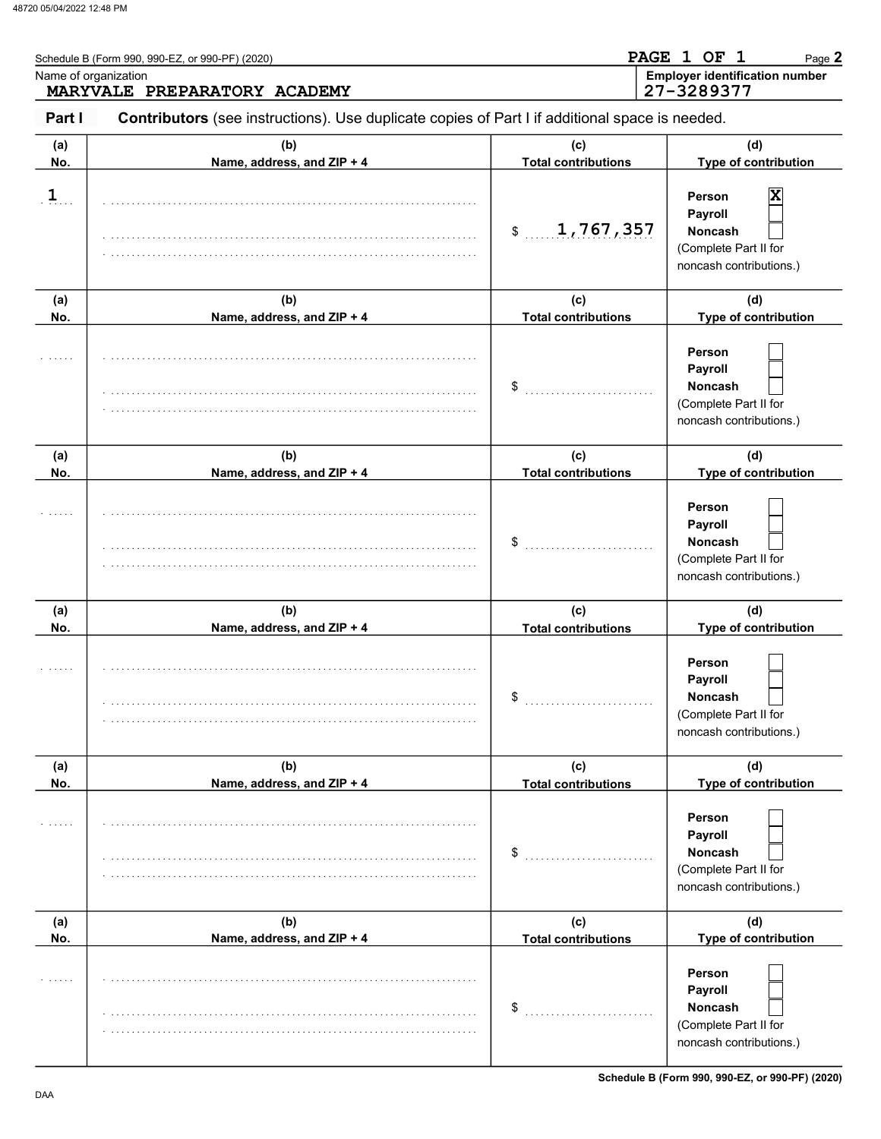|                | Schedule B (Form 990, 990-EZ, or 990-PF) (2020)<br>Name of organization<br>MARYVALE PREPARATORY ACADEMY |                                   | PAGE 1 OF<br>-1<br>Page 2<br><b>Employer identification number</b><br>27-3289377             |
|----------------|---------------------------------------------------------------------------------------------------------|-----------------------------------|----------------------------------------------------------------------------------------------|
| Part I         | Contributors (see instructions). Use duplicate copies of Part I if additional space is needed.          |                                   |                                                                                              |
| (a)<br>No.     | (b)<br>Name, address, and ZIP + 4                                                                       | (c)<br><b>Total contributions</b> | (d)<br>Type of contribution                                                                  |
| $\overline{1}$ |                                                                                                         | 1,767,357<br>$\frac{1}{2}$        | X<br>Person<br>Payroll<br><b>Noncash</b><br>(Complete Part II for<br>noncash contributions.) |
| (a)<br>No.     | (b)<br>Name, address, and ZIP + 4                                                                       | (c)<br><b>Total contributions</b> | (d)<br>Type of contribution                                                                  |
|                |                                                                                                         | \$                                | Person<br>Payroll<br><b>Noncash</b><br>(Complete Part II for<br>noncash contributions.)      |
| (a)<br>No.     | (b)<br>Name, address, and ZIP + 4                                                                       | (c)<br><b>Total contributions</b> | (d)<br>Type of contribution                                                                  |
|                |                                                                                                         | \$                                | Person<br>Payroll<br><b>Noncash</b><br>(Complete Part II for<br>noncash contributions.)      |
| (a)<br>No.     | (b)<br>Name, address, and ZIP + 4                                                                       | (c)<br><b>Total contributions</b> | (d)<br>Type of contribution                                                                  |
|                |                                                                                                         | \$                                | <b>Person</b><br>Payroll<br>Noncash<br>(Complete Part II for<br>noncash contributions.)      |
| (a)<br>No.     | (b)<br>Name, address, and ZIP + 4                                                                       | (c)<br><b>Total contributions</b> | (d)<br>Type of contribution                                                                  |
|                |                                                                                                         | \$                                | Person<br>Payroll<br>Noncash<br>(Complete Part II for<br>noncash contributions.)             |
| (a)<br>No.     | (b)<br>Name, address, and ZIP + 4                                                                       | (c)<br><b>Total contributions</b> | (d)<br>Type of contribution                                                                  |
|                |                                                                                                         | \$                                | Person<br>Payroll<br>Noncash<br>(Complete Part II for<br>noncash contributions.)             |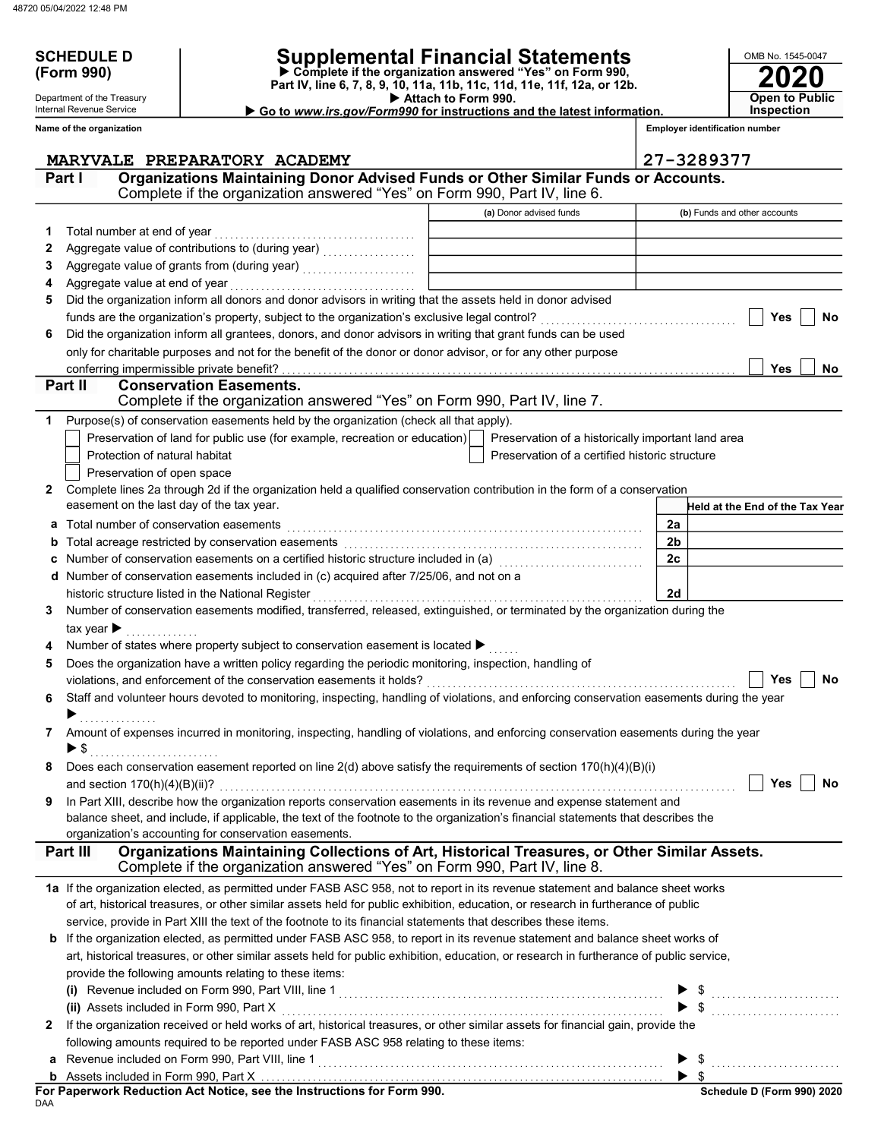SCHEDULE D<br>(Form 990)

Department of the Treasury Internal Revenue Service Name of the organization

# SCHEDULE D | Supplemental Financial Statements

 Attach to Form 990. Part IV, line 6, 7, 8, 9, 10, 11a, 11b, 11c, 11d, 11e, 11f, 12a, or 12b. Complete if the organization answered "Yes" on Form 990,

Go to www.irs.gov/Form990 for instructions and the latest information.

2020 **Open to Public Inspection** 

OMB No. 1545-0047

Employer identification number

|   | MARYVALE PREPARATORY ACADEMY                                                                                                              |                                                    | 27-3289377                      |
|---|-------------------------------------------------------------------------------------------------------------------------------------------|----------------------------------------------------|---------------------------------|
|   | Organizations Maintaining Donor Advised Funds or Other Similar Funds or Accounts.<br>Part I                                               |                                                    |                                 |
|   | Complete if the organization answered "Yes" on Form 990, Part IV, line 6.                                                                 |                                                    |                                 |
|   |                                                                                                                                           | (a) Donor advised funds                            | (b) Funds and other accounts    |
| 1 | Total number at end of year                                                                                                               |                                                    |                                 |
| 2 |                                                                                                                                           |                                                    |                                 |
| 3 |                                                                                                                                           |                                                    |                                 |
| 4 | Aggregate value at end of year                                                                                                            |                                                    |                                 |
| 5 | Did the organization inform all donors and donor advisors in writing that the assets held in donor advised                                |                                                    |                                 |
|   |                                                                                                                                           |                                                    | Yes<br>No.                      |
| 6 | Did the organization inform all grantees, donors, and donor advisors in writing that grant funds can be used                              |                                                    |                                 |
|   | only for charitable purposes and not for the benefit of the donor or donor advisor, or for any other purpose                              |                                                    |                                 |
|   |                                                                                                                                           |                                                    | Yes<br>No                       |
|   | <b>Conservation Easements.</b><br>Part II                                                                                                 |                                                    |                                 |
|   | Complete if the organization answered "Yes" on Form 990, Part IV, line 7.                                                                 |                                                    |                                 |
| 1 | Purpose(s) of conservation easements held by the organization (check all that apply).                                                     |                                                    |                                 |
|   | Preservation of land for public use (for example, recreation or education)                                                                | Preservation of a historically important land area |                                 |
|   | Protection of natural habitat                                                                                                             | Preservation of a certified historic structure     |                                 |
|   | Preservation of open space                                                                                                                |                                                    |                                 |
| 2 | Complete lines 2a through 2d if the organization held a qualified conservation contribution in the form of a conservation                 |                                                    |                                 |
|   | easement on the last day of the tax year.                                                                                                 |                                                    | Held at the End of the Tax Year |
| a | Total number of conservation easements                                                                                                    |                                                    | 2a                              |
| b |                                                                                                                                           |                                                    | 2 <sub>b</sub>                  |
|   | Number of conservation easements on a certified historic structure included in (a) [[[[[[[[[[[[[[[[[[[[[[[[[]]                            |                                                    | 2 <sub>c</sub>                  |
|   | d Number of conservation easements included in (c) acquired after 7/25/06, and not on a                                                   |                                                    |                                 |
|   | historic structure listed in the National Register                                                                                        |                                                    | 2d                              |
| 3 | Number of conservation easements modified, transferred, released, extinguished, or terminated by the organization during the              |                                                    |                                 |
|   | tax year $\blacktriangleright$                                                                                                            |                                                    |                                 |
|   | Number of states where property subject to conservation easement is located ▶                                                             |                                                    |                                 |
| 5 | Does the organization have a written policy regarding the periodic monitoring, inspection, handling of                                    |                                                    |                                 |
|   | violations, and enforcement of the conservation easements it holds?                                                                       |                                                    | Yes<br>No                       |
| 6 | Staff and volunteer hours devoted to monitoring, inspecting, handling of violations, and enforcing conservation easements during the year |                                                    |                                 |
|   |                                                                                                                                           |                                                    |                                 |
| 7 | Amount of expenses incurred in monitoring, inspecting, handling of violations, and enforcing conservation easements during the year       |                                                    |                                 |
|   | ▶ \$                                                                                                                                      |                                                    |                                 |
|   | Does each conservation easement reported on line 2(d) above satisfy the requirements of section 170(h)(4)(B)(i)                           |                                                    |                                 |
|   |                                                                                                                                           |                                                    |                                 |
| 9 | In Part XIII, describe how the organization reports conservation easements in its revenue and expense statement and                       |                                                    |                                 |
|   | balance sheet, and include, if applicable, the text of the footnote to the organization's financial statements that describes the         |                                                    |                                 |
|   | organization's accounting for conservation easements.                                                                                     |                                                    |                                 |
|   | Organizations Maintaining Collections of Art, Historical Treasures, or Other Similar Assets.<br>Part III                                  |                                                    |                                 |
|   | Complete if the organization answered "Yes" on Form 990, Part IV, line 8.                                                                 |                                                    |                                 |
|   | 1a If the organization elected, as permitted under FASB ASC 958, not to report in its revenue statement and balance sheet works           |                                                    |                                 |
|   | of art, historical treasures, or other similar assets held for public exhibition, education, or research in furtherance of public         |                                                    |                                 |
|   | service, provide in Part XIII the text of the footnote to its financial statements that describes these items.                            |                                                    |                                 |
| b | If the organization elected, as permitted under FASB ASC 958, to report in its revenue statement and balance sheet works of               |                                                    |                                 |
|   | art, historical treasures, or other similar assets held for public exhibition, education, or research in furtherance of public service,   |                                                    |                                 |
|   | provide the following amounts relating to these items:                                                                                    |                                                    |                                 |
|   |                                                                                                                                           |                                                    |                                 |
|   | (ii) Assets included in Form 990, Part X                                                                                                  |                                                    |                                 |
| 2 | If the organization received or held works of art, historical treasures, or other similar assets for financial gain, provide the          |                                                    |                                 |
|   | following amounts required to be reported under FASB ASC 958 relating to these items:                                                     |                                                    |                                 |
| a |                                                                                                                                           |                                                    | $\blacktriangleright$ \$        |
|   |                                                                                                                                           |                                                    | $\blacktriangleright$ \$        |

| For Paperwork Reduction Act Notice, see the Instructions for Form 990. |  |
|------------------------------------------------------------------------|--|
| DAA                                                                    |  |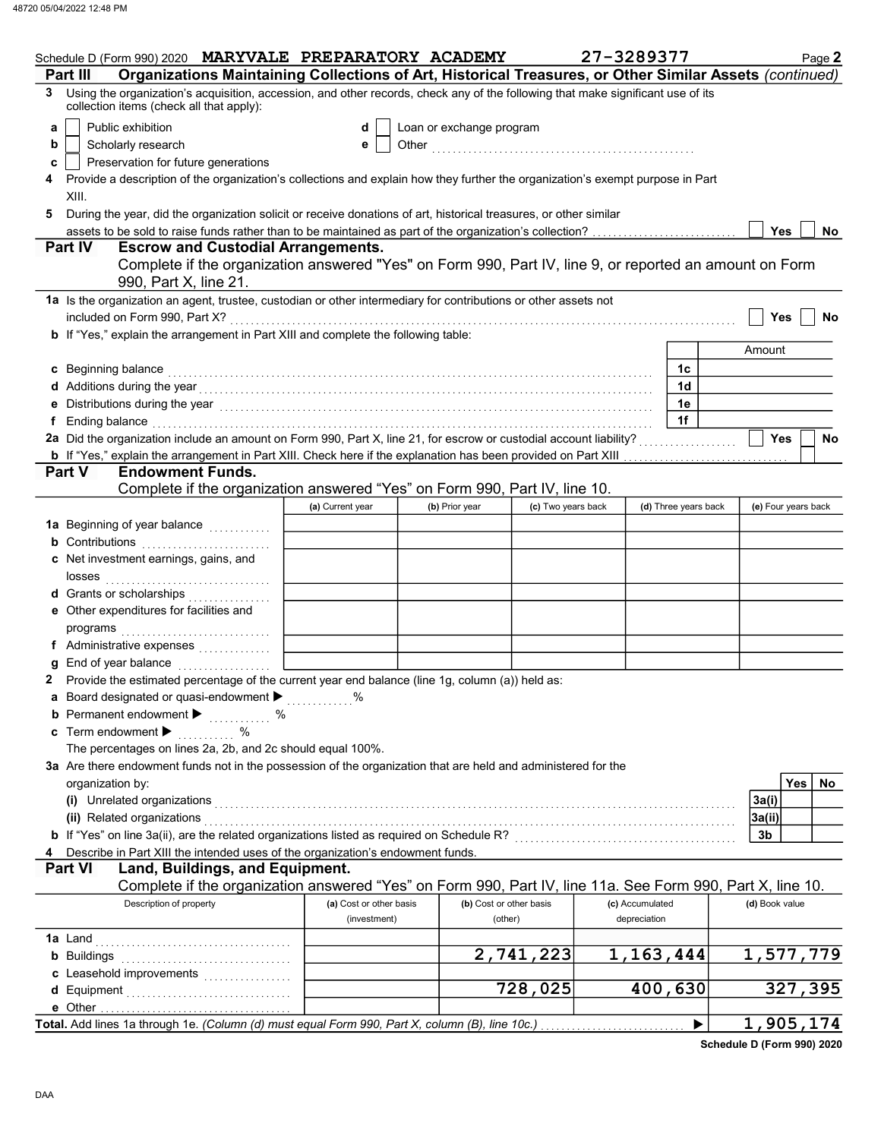| Organizations Maintaining Collections of Art, Historical Treasures, or Other Similar Assets (continued)<br>Part III<br>Using the organization's acquisition, accession, and other records, check any of the following that make significant use of its<br>3<br>collection items (check all that apply):<br>Public exhibition<br>Loan or exchange program<br>d<br>a<br>Scholarly research<br>b<br>е<br>Preservation for future generations<br>c<br>Provide a description of the organization's collections and explain how they further the organization's exempt purpose in Part<br>XIII.<br>During the year, did the organization solicit or receive donations of art, historical treasures, or other similar<br>5<br><b>Yes</b><br><b>No</b><br><b>Part IV</b><br><b>Escrow and Custodial Arrangements.</b><br>Complete if the organization answered "Yes" on Form 990, Part IV, line 9, or reported an amount on Form<br>990, Part X, line 21.<br>1a Is the organization an agent, trustee, custodian or other intermediary for contributions or other assets not<br>included on Form 990, Part X?<br><b>Yes</b><br>No<br>b If "Yes," explain the arrangement in Part XIII and complete the following table:<br>Amount<br>c Beginning balance<br>1c<br>d Additions during the year electron contracts and a set of the set of the year of the set of the set of the set of the set of the set of the set of the set of the set of the set of the set of the set of the set of the set<br>1d<br>1e<br>е<br>1f<br>Ending balance with a construction of the construction of the construction of the construction of the construction of the construction of the construction of the construction of the construction of the construction of the<br>f<br>2a Did the organization include an amount on Form 990, Part X, line 21, for escrow or custodial account liability?<br><b>Yes</b><br>No<br><b>Endowment Funds.</b><br><b>Part V</b><br>Complete if the organization answered "Yes" on Form 990, Part IV, line 10.<br>(d) Three years back<br>(a) Current year<br>(c) Two years back<br>(e) Four years back<br>(b) Prior year<br>1a Beginning of year balance <i>minimal</i><br><b>b</b> Contributions $\ldots$<br>c Net investment earnings, gains, and<br>losses<br><b>d</b> Grants or scholarships<br>.<br>e Other expenditures for facilities and<br>f Administrative expenses<br>End of year balance<br>g<br>Provide the estimated percentage of the current year end balance (line 1g, column (a)) held as:<br>2<br>a Board designated or quasi-endowment $\blacktriangleright$<br>℅<br><b>b</b> Permanent endowment $\blacktriangleright$<br>. %<br>c Term endowment $\blacktriangleright$<br>%<br>The percentages on lines 2a, 2b, and 2c should equal 100%.<br>3a Are there endowment funds not in the possession of the organization that are held and administered for the<br>Yes<br>No<br>organization by:<br>(i) Unrelated organizations<br>3a(i)<br>(ii) Related organizations<br>3a(ii)<br>b If "Yes" on line 3a(ii), are the related organizations listed as required on Schedule R? [[[[[[[[[[[[[[[[[[[<br>3 <sub>b</sub><br>Describe in Part XIII the intended uses of the organization's endowment funds.<br>Land, Buildings, and Equipment.<br><b>Part VI</b><br>Complete if the organization answered "Yes" on Form 990, Part IV, line 11a. See Form 990, Part X, line 10.<br>Description of property<br>(b) Cost or other basis<br>(c) Accumulated<br>(d) Book value<br>(a) Cost or other basis<br>depreciation<br>(investment)<br>(other)<br><b>1a</b> Land<br>2,741,223<br>1, 163, 444<br>1,577,779<br>c Leasehold improvements<br>728,025<br>400,630<br>327,395<br>d<br>1,905,174 | Schedule D (Form 990) 2020 MARYVALE PREPARATORY ACADEMY |  | 27-3289377 | Page 2 |
|-------------------------------------------------------------------------------------------------------------------------------------------------------------------------------------------------------------------------------------------------------------------------------------------------------------------------------------------------------------------------------------------------------------------------------------------------------------------------------------------------------------------------------------------------------------------------------------------------------------------------------------------------------------------------------------------------------------------------------------------------------------------------------------------------------------------------------------------------------------------------------------------------------------------------------------------------------------------------------------------------------------------------------------------------------------------------------------------------------------------------------------------------------------------------------------------------------------------------------------------------------------------------------------------------------------------------------------------------------------------------------------------------------------------------------------------------------------------------------------------------------------------------------------------------------------------------------------------------------------------------------------------------------------------------------------------------------------------------------------------------------------------------------------------------------------------------------------------------------------------------------------------------------------------------------------------------------------------------------------------------------------------------------------------------------------------------------------------------------------------------------------------------------------------------------------------------------------------------------------------------------------------------------------------------------------------------------------------------------------------------------------------------------------------------------------------------------------------------------------------------------------------------------------------------------------------------------------------------------------------------------------------------------------------------------------------------------------------------------------------------------------------------------------------------------------------------------------------------------------------------------------------------------------------------------------------------------------------------------------------------------------------------------------------------------------------------------------------------------------------------------------------------------------------------------------------------------------------------------------------------------------------------------------------------------------------------------------------------------------------------------------------------------------------------------------------------------------------------------------------------------------------------------------------------------------------------------------------------------------------------------------------------------------------------------------------------------------------|---------------------------------------------------------|--|------------|--------|
|                                                                                                                                                                                                                                                                                                                                                                                                                                                                                                                                                                                                                                                                                                                                                                                                                                                                                                                                                                                                                                                                                                                                                                                                                                                                                                                                                                                                                                                                                                                                                                                                                                                                                                                                                                                                                                                                                                                                                                                                                                                                                                                                                                                                                                                                                                                                                                                                                                                                                                                                                                                                                                                                                                                                                                                                                                                                                                                                                                                                                                                                                                                                                                                                                                                                                                                                                                                                                                                                                                                                                                                                                                                                                                                   |                                                         |  |            |        |
|                                                                                                                                                                                                                                                                                                                                                                                                                                                                                                                                                                                                                                                                                                                                                                                                                                                                                                                                                                                                                                                                                                                                                                                                                                                                                                                                                                                                                                                                                                                                                                                                                                                                                                                                                                                                                                                                                                                                                                                                                                                                                                                                                                                                                                                                                                                                                                                                                                                                                                                                                                                                                                                                                                                                                                                                                                                                                                                                                                                                                                                                                                                                                                                                                                                                                                                                                                                                                                                                                                                                                                                                                                                                                                                   |                                                         |  |            |        |
|                                                                                                                                                                                                                                                                                                                                                                                                                                                                                                                                                                                                                                                                                                                                                                                                                                                                                                                                                                                                                                                                                                                                                                                                                                                                                                                                                                                                                                                                                                                                                                                                                                                                                                                                                                                                                                                                                                                                                                                                                                                                                                                                                                                                                                                                                                                                                                                                                                                                                                                                                                                                                                                                                                                                                                                                                                                                                                                                                                                                                                                                                                                                                                                                                                                                                                                                                                                                                                                                                                                                                                                                                                                                                                                   |                                                         |  |            |        |
|                                                                                                                                                                                                                                                                                                                                                                                                                                                                                                                                                                                                                                                                                                                                                                                                                                                                                                                                                                                                                                                                                                                                                                                                                                                                                                                                                                                                                                                                                                                                                                                                                                                                                                                                                                                                                                                                                                                                                                                                                                                                                                                                                                                                                                                                                                                                                                                                                                                                                                                                                                                                                                                                                                                                                                                                                                                                                                                                                                                                                                                                                                                                                                                                                                                                                                                                                                                                                                                                                                                                                                                                                                                                                                                   |                                                         |  |            |        |
|                                                                                                                                                                                                                                                                                                                                                                                                                                                                                                                                                                                                                                                                                                                                                                                                                                                                                                                                                                                                                                                                                                                                                                                                                                                                                                                                                                                                                                                                                                                                                                                                                                                                                                                                                                                                                                                                                                                                                                                                                                                                                                                                                                                                                                                                                                                                                                                                                                                                                                                                                                                                                                                                                                                                                                                                                                                                                                                                                                                                                                                                                                                                                                                                                                                                                                                                                                                                                                                                                                                                                                                                                                                                                                                   |                                                         |  |            |        |
|                                                                                                                                                                                                                                                                                                                                                                                                                                                                                                                                                                                                                                                                                                                                                                                                                                                                                                                                                                                                                                                                                                                                                                                                                                                                                                                                                                                                                                                                                                                                                                                                                                                                                                                                                                                                                                                                                                                                                                                                                                                                                                                                                                                                                                                                                                                                                                                                                                                                                                                                                                                                                                                                                                                                                                                                                                                                                                                                                                                                                                                                                                                                                                                                                                                                                                                                                                                                                                                                                                                                                                                                                                                                                                                   |                                                         |  |            |        |
|                                                                                                                                                                                                                                                                                                                                                                                                                                                                                                                                                                                                                                                                                                                                                                                                                                                                                                                                                                                                                                                                                                                                                                                                                                                                                                                                                                                                                                                                                                                                                                                                                                                                                                                                                                                                                                                                                                                                                                                                                                                                                                                                                                                                                                                                                                                                                                                                                                                                                                                                                                                                                                                                                                                                                                                                                                                                                                                                                                                                                                                                                                                                                                                                                                                                                                                                                                                                                                                                                                                                                                                                                                                                                                                   |                                                         |  |            |        |
|                                                                                                                                                                                                                                                                                                                                                                                                                                                                                                                                                                                                                                                                                                                                                                                                                                                                                                                                                                                                                                                                                                                                                                                                                                                                                                                                                                                                                                                                                                                                                                                                                                                                                                                                                                                                                                                                                                                                                                                                                                                                                                                                                                                                                                                                                                                                                                                                                                                                                                                                                                                                                                                                                                                                                                                                                                                                                                                                                                                                                                                                                                                                                                                                                                                                                                                                                                                                                                                                                                                                                                                                                                                                                                                   |                                                         |  |            |        |
|                                                                                                                                                                                                                                                                                                                                                                                                                                                                                                                                                                                                                                                                                                                                                                                                                                                                                                                                                                                                                                                                                                                                                                                                                                                                                                                                                                                                                                                                                                                                                                                                                                                                                                                                                                                                                                                                                                                                                                                                                                                                                                                                                                                                                                                                                                                                                                                                                                                                                                                                                                                                                                                                                                                                                                                                                                                                                                                                                                                                                                                                                                                                                                                                                                                                                                                                                                                                                                                                                                                                                                                                                                                                                                                   |                                                         |  |            |        |
|                                                                                                                                                                                                                                                                                                                                                                                                                                                                                                                                                                                                                                                                                                                                                                                                                                                                                                                                                                                                                                                                                                                                                                                                                                                                                                                                                                                                                                                                                                                                                                                                                                                                                                                                                                                                                                                                                                                                                                                                                                                                                                                                                                                                                                                                                                                                                                                                                                                                                                                                                                                                                                                                                                                                                                                                                                                                                                                                                                                                                                                                                                                                                                                                                                                                                                                                                                                                                                                                                                                                                                                                                                                                                                                   |                                                         |  |            |        |
|                                                                                                                                                                                                                                                                                                                                                                                                                                                                                                                                                                                                                                                                                                                                                                                                                                                                                                                                                                                                                                                                                                                                                                                                                                                                                                                                                                                                                                                                                                                                                                                                                                                                                                                                                                                                                                                                                                                                                                                                                                                                                                                                                                                                                                                                                                                                                                                                                                                                                                                                                                                                                                                                                                                                                                                                                                                                                                                                                                                                                                                                                                                                                                                                                                                                                                                                                                                                                                                                                                                                                                                                                                                                                                                   |                                                         |  |            |        |
|                                                                                                                                                                                                                                                                                                                                                                                                                                                                                                                                                                                                                                                                                                                                                                                                                                                                                                                                                                                                                                                                                                                                                                                                                                                                                                                                                                                                                                                                                                                                                                                                                                                                                                                                                                                                                                                                                                                                                                                                                                                                                                                                                                                                                                                                                                                                                                                                                                                                                                                                                                                                                                                                                                                                                                                                                                                                                                                                                                                                                                                                                                                                                                                                                                                                                                                                                                                                                                                                                                                                                                                                                                                                                                                   |                                                         |  |            |        |
|                                                                                                                                                                                                                                                                                                                                                                                                                                                                                                                                                                                                                                                                                                                                                                                                                                                                                                                                                                                                                                                                                                                                                                                                                                                                                                                                                                                                                                                                                                                                                                                                                                                                                                                                                                                                                                                                                                                                                                                                                                                                                                                                                                                                                                                                                                                                                                                                                                                                                                                                                                                                                                                                                                                                                                                                                                                                                                                                                                                                                                                                                                                                                                                                                                                                                                                                                                                                                                                                                                                                                                                                                                                                                                                   |                                                         |  |            |        |
|                                                                                                                                                                                                                                                                                                                                                                                                                                                                                                                                                                                                                                                                                                                                                                                                                                                                                                                                                                                                                                                                                                                                                                                                                                                                                                                                                                                                                                                                                                                                                                                                                                                                                                                                                                                                                                                                                                                                                                                                                                                                                                                                                                                                                                                                                                                                                                                                                                                                                                                                                                                                                                                                                                                                                                                                                                                                                                                                                                                                                                                                                                                                                                                                                                                                                                                                                                                                                                                                                                                                                                                                                                                                                                                   |                                                         |  |            |        |
|                                                                                                                                                                                                                                                                                                                                                                                                                                                                                                                                                                                                                                                                                                                                                                                                                                                                                                                                                                                                                                                                                                                                                                                                                                                                                                                                                                                                                                                                                                                                                                                                                                                                                                                                                                                                                                                                                                                                                                                                                                                                                                                                                                                                                                                                                                                                                                                                                                                                                                                                                                                                                                                                                                                                                                                                                                                                                                                                                                                                                                                                                                                                                                                                                                                                                                                                                                                                                                                                                                                                                                                                                                                                                                                   |                                                         |  |            |        |
|                                                                                                                                                                                                                                                                                                                                                                                                                                                                                                                                                                                                                                                                                                                                                                                                                                                                                                                                                                                                                                                                                                                                                                                                                                                                                                                                                                                                                                                                                                                                                                                                                                                                                                                                                                                                                                                                                                                                                                                                                                                                                                                                                                                                                                                                                                                                                                                                                                                                                                                                                                                                                                                                                                                                                                                                                                                                                                                                                                                                                                                                                                                                                                                                                                                                                                                                                                                                                                                                                                                                                                                                                                                                                                                   |                                                         |  |            |        |
|                                                                                                                                                                                                                                                                                                                                                                                                                                                                                                                                                                                                                                                                                                                                                                                                                                                                                                                                                                                                                                                                                                                                                                                                                                                                                                                                                                                                                                                                                                                                                                                                                                                                                                                                                                                                                                                                                                                                                                                                                                                                                                                                                                                                                                                                                                                                                                                                                                                                                                                                                                                                                                                                                                                                                                                                                                                                                                                                                                                                                                                                                                                                                                                                                                                                                                                                                                                                                                                                                                                                                                                                                                                                                                                   |                                                         |  |            |        |
|                                                                                                                                                                                                                                                                                                                                                                                                                                                                                                                                                                                                                                                                                                                                                                                                                                                                                                                                                                                                                                                                                                                                                                                                                                                                                                                                                                                                                                                                                                                                                                                                                                                                                                                                                                                                                                                                                                                                                                                                                                                                                                                                                                                                                                                                                                                                                                                                                                                                                                                                                                                                                                                                                                                                                                                                                                                                                                                                                                                                                                                                                                                                                                                                                                                                                                                                                                                                                                                                                                                                                                                                                                                                                                                   |                                                         |  |            |        |
|                                                                                                                                                                                                                                                                                                                                                                                                                                                                                                                                                                                                                                                                                                                                                                                                                                                                                                                                                                                                                                                                                                                                                                                                                                                                                                                                                                                                                                                                                                                                                                                                                                                                                                                                                                                                                                                                                                                                                                                                                                                                                                                                                                                                                                                                                                                                                                                                                                                                                                                                                                                                                                                                                                                                                                                                                                                                                                                                                                                                                                                                                                                                                                                                                                                                                                                                                                                                                                                                                                                                                                                                                                                                                                                   |                                                         |  |            |        |
|                                                                                                                                                                                                                                                                                                                                                                                                                                                                                                                                                                                                                                                                                                                                                                                                                                                                                                                                                                                                                                                                                                                                                                                                                                                                                                                                                                                                                                                                                                                                                                                                                                                                                                                                                                                                                                                                                                                                                                                                                                                                                                                                                                                                                                                                                                                                                                                                                                                                                                                                                                                                                                                                                                                                                                                                                                                                                                                                                                                                                                                                                                                                                                                                                                                                                                                                                                                                                                                                                                                                                                                                                                                                                                                   |                                                         |  |            |        |
|                                                                                                                                                                                                                                                                                                                                                                                                                                                                                                                                                                                                                                                                                                                                                                                                                                                                                                                                                                                                                                                                                                                                                                                                                                                                                                                                                                                                                                                                                                                                                                                                                                                                                                                                                                                                                                                                                                                                                                                                                                                                                                                                                                                                                                                                                                                                                                                                                                                                                                                                                                                                                                                                                                                                                                                                                                                                                                                                                                                                                                                                                                                                                                                                                                                                                                                                                                                                                                                                                                                                                                                                                                                                                                                   |                                                         |  |            |        |
|                                                                                                                                                                                                                                                                                                                                                                                                                                                                                                                                                                                                                                                                                                                                                                                                                                                                                                                                                                                                                                                                                                                                                                                                                                                                                                                                                                                                                                                                                                                                                                                                                                                                                                                                                                                                                                                                                                                                                                                                                                                                                                                                                                                                                                                                                                                                                                                                                                                                                                                                                                                                                                                                                                                                                                                                                                                                                                                                                                                                                                                                                                                                                                                                                                                                                                                                                                                                                                                                                                                                                                                                                                                                                                                   |                                                         |  |            |        |
|                                                                                                                                                                                                                                                                                                                                                                                                                                                                                                                                                                                                                                                                                                                                                                                                                                                                                                                                                                                                                                                                                                                                                                                                                                                                                                                                                                                                                                                                                                                                                                                                                                                                                                                                                                                                                                                                                                                                                                                                                                                                                                                                                                                                                                                                                                                                                                                                                                                                                                                                                                                                                                                                                                                                                                                                                                                                                                                                                                                                                                                                                                                                                                                                                                                                                                                                                                                                                                                                                                                                                                                                                                                                                                                   |                                                         |  |            |        |
|                                                                                                                                                                                                                                                                                                                                                                                                                                                                                                                                                                                                                                                                                                                                                                                                                                                                                                                                                                                                                                                                                                                                                                                                                                                                                                                                                                                                                                                                                                                                                                                                                                                                                                                                                                                                                                                                                                                                                                                                                                                                                                                                                                                                                                                                                                                                                                                                                                                                                                                                                                                                                                                                                                                                                                                                                                                                                                                                                                                                                                                                                                                                                                                                                                                                                                                                                                                                                                                                                                                                                                                                                                                                                                                   |                                                         |  |            |        |
|                                                                                                                                                                                                                                                                                                                                                                                                                                                                                                                                                                                                                                                                                                                                                                                                                                                                                                                                                                                                                                                                                                                                                                                                                                                                                                                                                                                                                                                                                                                                                                                                                                                                                                                                                                                                                                                                                                                                                                                                                                                                                                                                                                                                                                                                                                                                                                                                                                                                                                                                                                                                                                                                                                                                                                                                                                                                                                                                                                                                                                                                                                                                                                                                                                                                                                                                                                                                                                                                                                                                                                                                                                                                                                                   |                                                         |  |            |        |
|                                                                                                                                                                                                                                                                                                                                                                                                                                                                                                                                                                                                                                                                                                                                                                                                                                                                                                                                                                                                                                                                                                                                                                                                                                                                                                                                                                                                                                                                                                                                                                                                                                                                                                                                                                                                                                                                                                                                                                                                                                                                                                                                                                                                                                                                                                                                                                                                                                                                                                                                                                                                                                                                                                                                                                                                                                                                                                                                                                                                                                                                                                                                                                                                                                                                                                                                                                                                                                                                                                                                                                                                                                                                                                                   |                                                         |  |            |        |
|                                                                                                                                                                                                                                                                                                                                                                                                                                                                                                                                                                                                                                                                                                                                                                                                                                                                                                                                                                                                                                                                                                                                                                                                                                                                                                                                                                                                                                                                                                                                                                                                                                                                                                                                                                                                                                                                                                                                                                                                                                                                                                                                                                                                                                                                                                                                                                                                                                                                                                                                                                                                                                                                                                                                                                                                                                                                                                                                                                                                                                                                                                                                                                                                                                                                                                                                                                                                                                                                                                                                                                                                                                                                                                                   |                                                         |  |            |        |
|                                                                                                                                                                                                                                                                                                                                                                                                                                                                                                                                                                                                                                                                                                                                                                                                                                                                                                                                                                                                                                                                                                                                                                                                                                                                                                                                                                                                                                                                                                                                                                                                                                                                                                                                                                                                                                                                                                                                                                                                                                                                                                                                                                                                                                                                                                                                                                                                                                                                                                                                                                                                                                                                                                                                                                                                                                                                                                                                                                                                                                                                                                                                                                                                                                                                                                                                                                                                                                                                                                                                                                                                                                                                                                                   |                                                         |  |            |        |
|                                                                                                                                                                                                                                                                                                                                                                                                                                                                                                                                                                                                                                                                                                                                                                                                                                                                                                                                                                                                                                                                                                                                                                                                                                                                                                                                                                                                                                                                                                                                                                                                                                                                                                                                                                                                                                                                                                                                                                                                                                                                                                                                                                                                                                                                                                                                                                                                                                                                                                                                                                                                                                                                                                                                                                                                                                                                                                                                                                                                                                                                                                                                                                                                                                                                                                                                                                                                                                                                                                                                                                                                                                                                                                                   |                                                         |  |            |        |
|                                                                                                                                                                                                                                                                                                                                                                                                                                                                                                                                                                                                                                                                                                                                                                                                                                                                                                                                                                                                                                                                                                                                                                                                                                                                                                                                                                                                                                                                                                                                                                                                                                                                                                                                                                                                                                                                                                                                                                                                                                                                                                                                                                                                                                                                                                                                                                                                                                                                                                                                                                                                                                                                                                                                                                                                                                                                                                                                                                                                                                                                                                                                                                                                                                                                                                                                                                                                                                                                                                                                                                                                                                                                                                                   |                                                         |  |            |        |
|                                                                                                                                                                                                                                                                                                                                                                                                                                                                                                                                                                                                                                                                                                                                                                                                                                                                                                                                                                                                                                                                                                                                                                                                                                                                                                                                                                                                                                                                                                                                                                                                                                                                                                                                                                                                                                                                                                                                                                                                                                                                                                                                                                                                                                                                                                                                                                                                                                                                                                                                                                                                                                                                                                                                                                                                                                                                                                                                                                                                                                                                                                                                                                                                                                                                                                                                                                                                                                                                                                                                                                                                                                                                                                                   |                                                         |  |            |        |
|                                                                                                                                                                                                                                                                                                                                                                                                                                                                                                                                                                                                                                                                                                                                                                                                                                                                                                                                                                                                                                                                                                                                                                                                                                                                                                                                                                                                                                                                                                                                                                                                                                                                                                                                                                                                                                                                                                                                                                                                                                                                                                                                                                                                                                                                                                                                                                                                                                                                                                                                                                                                                                                                                                                                                                                                                                                                                                                                                                                                                                                                                                                                                                                                                                                                                                                                                                                                                                                                                                                                                                                                                                                                                                                   |                                                         |  |            |        |
|                                                                                                                                                                                                                                                                                                                                                                                                                                                                                                                                                                                                                                                                                                                                                                                                                                                                                                                                                                                                                                                                                                                                                                                                                                                                                                                                                                                                                                                                                                                                                                                                                                                                                                                                                                                                                                                                                                                                                                                                                                                                                                                                                                                                                                                                                                                                                                                                                                                                                                                                                                                                                                                                                                                                                                                                                                                                                                                                                                                                                                                                                                                                                                                                                                                                                                                                                                                                                                                                                                                                                                                                                                                                                                                   |                                                         |  |            |        |
|                                                                                                                                                                                                                                                                                                                                                                                                                                                                                                                                                                                                                                                                                                                                                                                                                                                                                                                                                                                                                                                                                                                                                                                                                                                                                                                                                                                                                                                                                                                                                                                                                                                                                                                                                                                                                                                                                                                                                                                                                                                                                                                                                                                                                                                                                                                                                                                                                                                                                                                                                                                                                                                                                                                                                                                                                                                                                                                                                                                                                                                                                                                                                                                                                                                                                                                                                                                                                                                                                                                                                                                                                                                                                                                   |                                                         |  |            |        |
|                                                                                                                                                                                                                                                                                                                                                                                                                                                                                                                                                                                                                                                                                                                                                                                                                                                                                                                                                                                                                                                                                                                                                                                                                                                                                                                                                                                                                                                                                                                                                                                                                                                                                                                                                                                                                                                                                                                                                                                                                                                                                                                                                                                                                                                                                                                                                                                                                                                                                                                                                                                                                                                                                                                                                                                                                                                                                                                                                                                                                                                                                                                                                                                                                                                                                                                                                                                                                                                                                                                                                                                                                                                                                                                   |                                                         |  |            |        |
|                                                                                                                                                                                                                                                                                                                                                                                                                                                                                                                                                                                                                                                                                                                                                                                                                                                                                                                                                                                                                                                                                                                                                                                                                                                                                                                                                                                                                                                                                                                                                                                                                                                                                                                                                                                                                                                                                                                                                                                                                                                                                                                                                                                                                                                                                                                                                                                                                                                                                                                                                                                                                                                                                                                                                                                                                                                                                                                                                                                                                                                                                                                                                                                                                                                                                                                                                                                                                                                                                                                                                                                                                                                                                                                   |                                                         |  |            |        |
|                                                                                                                                                                                                                                                                                                                                                                                                                                                                                                                                                                                                                                                                                                                                                                                                                                                                                                                                                                                                                                                                                                                                                                                                                                                                                                                                                                                                                                                                                                                                                                                                                                                                                                                                                                                                                                                                                                                                                                                                                                                                                                                                                                                                                                                                                                                                                                                                                                                                                                                                                                                                                                                                                                                                                                                                                                                                                                                                                                                                                                                                                                                                                                                                                                                                                                                                                                                                                                                                                                                                                                                                                                                                                                                   |                                                         |  |            |        |
|                                                                                                                                                                                                                                                                                                                                                                                                                                                                                                                                                                                                                                                                                                                                                                                                                                                                                                                                                                                                                                                                                                                                                                                                                                                                                                                                                                                                                                                                                                                                                                                                                                                                                                                                                                                                                                                                                                                                                                                                                                                                                                                                                                                                                                                                                                                                                                                                                                                                                                                                                                                                                                                                                                                                                                                                                                                                                                                                                                                                                                                                                                                                                                                                                                                                                                                                                                                                                                                                                                                                                                                                                                                                                                                   |                                                         |  |            |        |
|                                                                                                                                                                                                                                                                                                                                                                                                                                                                                                                                                                                                                                                                                                                                                                                                                                                                                                                                                                                                                                                                                                                                                                                                                                                                                                                                                                                                                                                                                                                                                                                                                                                                                                                                                                                                                                                                                                                                                                                                                                                                                                                                                                                                                                                                                                                                                                                                                                                                                                                                                                                                                                                                                                                                                                                                                                                                                                                                                                                                                                                                                                                                                                                                                                                                                                                                                                                                                                                                                                                                                                                                                                                                                                                   |                                                         |  |            |        |
|                                                                                                                                                                                                                                                                                                                                                                                                                                                                                                                                                                                                                                                                                                                                                                                                                                                                                                                                                                                                                                                                                                                                                                                                                                                                                                                                                                                                                                                                                                                                                                                                                                                                                                                                                                                                                                                                                                                                                                                                                                                                                                                                                                                                                                                                                                                                                                                                                                                                                                                                                                                                                                                                                                                                                                                                                                                                                                                                                                                                                                                                                                                                                                                                                                                                                                                                                                                                                                                                                                                                                                                                                                                                                                                   |                                                         |  |            |        |
|                                                                                                                                                                                                                                                                                                                                                                                                                                                                                                                                                                                                                                                                                                                                                                                                                                                                                                                                                                                                                                                                                                                                                                                                                                                                                                                                                                                                                                                                                                                                                                                                                                                                                                                                                                                                                                                                                                                                                                                                                                                                                                                                                                                                                                                                                                                                                                                                                                                                                                                                                                                                                                                                                                                                                                                                                                                                                                                                                                                                                                                                                                                                                                                                                                                                                                                                                                                                                                                                                                                                                                                                                                                                                                                   |                                                         |  |            |        |
|                                                                                                                                                                                                                                                                                                                                                                                                                                                                                                                                                                                                                                                                                                                                                                                                                                                                                                                                                                                                                                                                                                                                                                                                                                                                                                                                                                                                                                                                                                                                                                                                                                                                                                                                                                                                                                                                                                                                                                                                                                                                                                                                                                                                                                                                                                                                                                                                                                                                                                                                                                                                                                                                                                                                                                                                                                                                                                                                                                                                                                                                                                                                                                                                                                                                                                                                                                                                                                                                                                                                                                                                                                                                                                                   |                                                         |  |            |        |
|                                                                                                                                                                                                                                                                                                                                                                                                                                                                                                                                                                                                                                                                                                                                                                                                                                                                                                                                                                                                                                                                                                                                                                                                                                                                                                                                                                                                                                                                                                                                                                                                                                                                                                                                                                                                                                                                                                                                                                                                                                                                                                                                                                                                                                                                                                                                                                                                                                                                                                                                                                                                                                                                                                                                                                                                                                                                                                                                                                                                                                                                                                                                                                                                                                                                                                                                                                                                                                                                                                                                                                                                                                                                                                                   |                                                         |  |            |        |
|                                                                                                                                                                                                                                                                                                                                                                                                                                                                                                                                                                                                                                                                                                                                                                                                                                                                                                                                                                                                                                                                                                                                                                                                                                                                                                                                                                                                                                                                                                                                                                                                                                                                                                                                                                                                                                                                                                                                                                                                                                                                                                                                                                                                                                                                                                                                                                                                                                                                                                                                                                                                                                                                                                                                                                                                                                                                                                                                                                                                                                                                                                                                                                                                                                                                                                                                                                                                                                                                                                                                                                                                                                                                                                                   |                                                         |  |            |        |
|                                                                                                                                                                                                                                                                                                                                                                                                                                                                                                                                                                                                                                                                                                                                                                                                                                                                                                                                                                                                                                                                                                                                                                                                                                                                                                                                                                                                                                                                                                                                                                                                                                                                                                                                                                                                                                                                                                                                                                                                                                                                                                                                                                                                                                                                                                                                                                                                                                                                                                                                                                                                                                                                                                                                                                                                                                                                                                                                                                                                                                                                                                                                                                                                                                                                                                                                                                                                                                                                                                                                                                                                                                                                                                                   |                                                         |  |            |        |
|                                                                                                                                                                                                                                                                                                                                                                                                                                                                                                                                                                                                                                                                                                                                                                                                                                                                                                                                                                                                                                                                                                                                                                                                                                                                                                                                                                                                                                                                                                                                                                                                                                                                                                                                                                                                                                                                                                                                                                                                                                                                                                                                                                                                                                                                                                                                                                                                                                                                                                                                                                                                                                                                                                                                                                                                                                                                                                                                                                                                                                                                                                                                                                                                                                                                                                                                                                                                                                                                                                                                                                                                                                                                                                                   |                                                         |  |            |        |
|                                                                                                                                                                                                                                                                                                                                                                                                                                                                                                                                                                                                                                                                                                                                                                                                                                                                                                                                                                                                                                                                                                                                                                                                                                                                                                                                                                                                                                                                                                                                                                                                                                                                                                                                                                                                                                                                                                                                                                                                                                                                                                                                                                                                                                                                                                                                                                                                                                                                                                                                                                                                                                                                                                                                                                                                                                                                                                                                                                                                                                                                                                                                                                                                                                                                                                                                                                                                                                                                                                                                                                                                                                                                                                                   |                                                         |  |            |        |
|                                                                                                                                                                                                                                                                                                                                                                                                                                                                                                                                                                                                                                                                                                                                                                                                                                                                                                                                                                                                                                                                                                                                                                                                                                                                                                                                                                                                                                                                                                                                                                                                                                                                                                                                                                                                                                                                                                                                                                                                                                                                                                                                                                                                                                                                                                                                                                                                                                                                                                                                                                                                                                                                                                                                                                                                                                                                                                                                                                                                                                                                                                                                                                                                                                                                                                                                                                                                                                                                                                                                                                                                                                                                                                                   |                                                         |  |            |        |
|                                                                                                                                                                                                                                                                                                                                                                                                                                                                                                                                                                                                                                                                                                                                                                                                                                                                                                                                                                                                                                                                                                                                                                                                                                                                                                                                                                                                                                                                                                                                                                                                                                                                                                                                                                                                                                                                                                                                                                                                                                                                                                                                                                                                                                                                                                                                                                                                                                                                                                                                                                                                                                                                                                                                                                                                                                                                                                                                                                                                                                                                                                                                                                                                                                                                                                                                                                                                                                                                                                                                                                                                                                                                                                                   |                                                         |  |            |        |
|                                                                                                                                                                                                                                                                                                                                                                                                                                                                                                                                                                                                                                                                                                                                                                                                                                                                                                                                                                                                                                                                                                                                                                                                                                                                                                                                                                                                                                                                                                                                                                                                                                                                                                                                                                                                                                                                                                                                                                                                                                                                                                                                                                                                                                                                                                                                                                                                                                                                                                                                                                                                                                                                                                                                                                                                                                                                                                                                                                                                                                                                                                                                                                                                                                                                                                                                                                                                                                                                                                                                                                                                                                                                                                                   |                                                         |  |            |        |
|                                                                                                                                                                                                                                                                                                                                                                                                                                                                                                                                                                                                                                                                                                                                                                                                                                                                                                                                                                                                                                                                                                                                                                                                                                                                                                                                                                                                                                                                                                                                                                                                                                                                                                                                                                                                                                                                                                                                                                                                                                                                                                                                                                                                                                                                                                                                                                                                                                                                                                                                                                                                                                                                                                                                                                                                                                                                                                                                                                                                                                                                                                                                                                                                                                                                                                                                                                                                                                                                                                                                                                                                                                                                                                                   |                                                         |  |            |        |
|                                                                                                                                                                                                                                                                                                                                                                                                                                                                                                                                                                                                                                                                                                                                                                                                                                                                                                                                                                                                                                                                                                                                                                                                                                                                                                                                                                                                                                                                                                                                                                                                                                                                                                                                                                                                                                                                                                                                                                                                                                                                                                                                                                                                                                                                                                                                                                                                                                                                                                                                                                                                                                                                                                                                                                                                                                                                                                                                                                                                                                                                                                                                                                                                                                                                                                                                                                                                                                                                                                                                                                                                                                                                                                                   |                                                         |  |            |        |
|                                                                                                                                                                                                                                                                                                                                                                                                                                                                                                                                                                                                                                                                                                                                                                                                                                                                                                                                                                                                                                                                                                                                                                                                                                                                                                                                                                                                                                                                                                                                                                                                                                                                                                                                                                                                                                                                                                                                                                                                                                                                                                                                                                                                                                                                                                                                                                                                                                                                                                                                                                                                                                                                                                                                                                                                                                                                                                                                                                                                                                                                                                                                                                                                                                                                                                                                                                                                                                                                                                                                                                                                                                                                                                                   |                                                         |  |            |        |

Schedule D (Form 990) 2020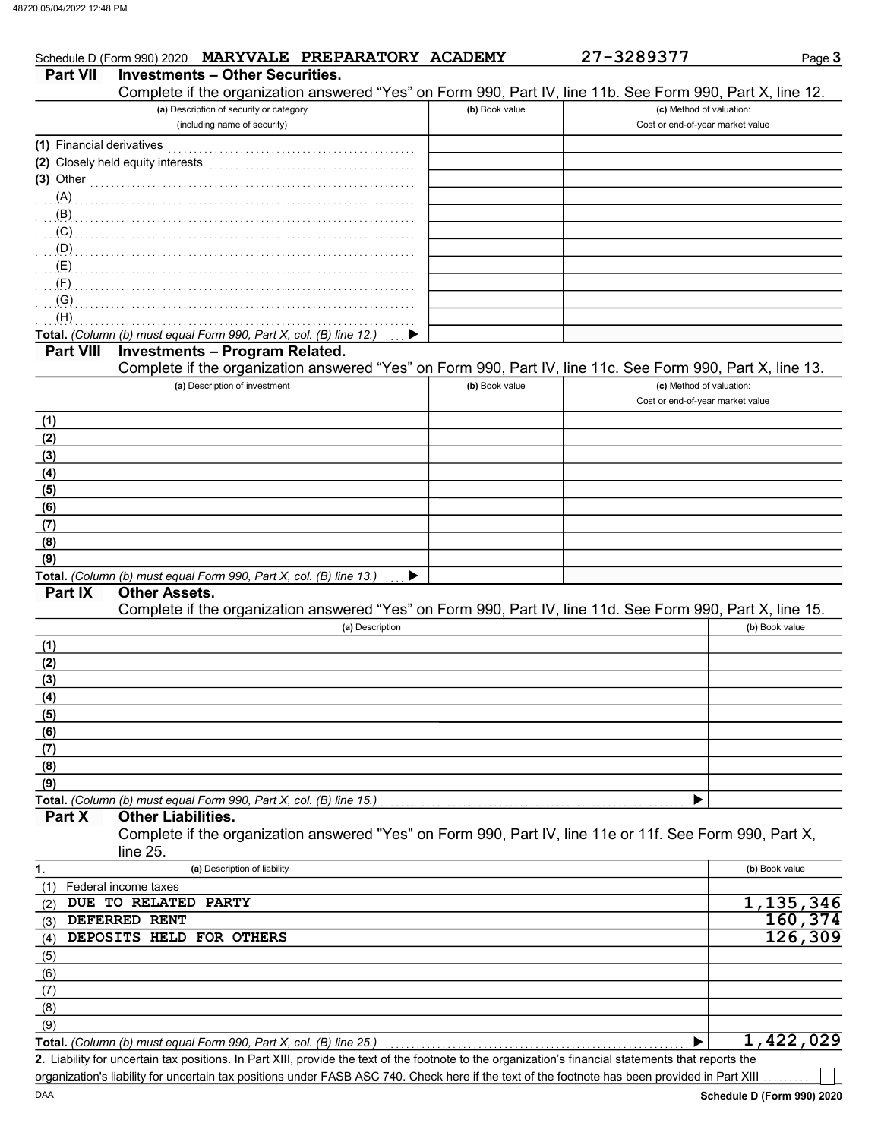| <b>Part VII</b>           | Schedule D (Form 990) 2020 MARYVALE PREPARATORY ACADEMY<br><b>Investments - Other Securities.</b>          |                | 27-3289377                       | Page 3         |
|---------------------------|------------------------------------------------------------------------------------------------------------|----------------|----------------------------------|----------------|
|                           | Complete if the organization answered "Yes" on Form 990, Part IV, line 11b. See Form 990, Part X, line 12. |                |                                  |                |
|                           | (a) Description of security or category                                                                    | (b) Book value | (c) Method of valuation:         |                |
|                           | (including name of security)                                                                               |                | Cost or end-of-year market value |                |
| (1) Financial derivatives |                                                                                                            |                |                                  |                |
|                           | (2) Closely held equity interests                                                                          |                |                                  |                |
|                           |                                                                                                            |                |                                  |                |
| $(3)$ Other               |                                                                                                            |                |                                  |                |
| (A)                       |                                                                                                            |                |                                  |                |
| (B)                       |                                                                                                            |                |                                  |                |
| (C)                       |                                                                                                            |                |                                  |                |
| $\cdot$ (D)               |                                                                                                            |                |                                  |                |
| (E)                       |                                                                                                            |                |                                  |                |
| (F)                       |                                                                                                            |                |                                  |                |
| (G)                       |                                                                                                            |                |                                  |                |
| (H)                       |                                                                                                            |                |                                  |                |
|                           | Total. (Column (b) must equal Form 990, Part X, col. (B) line 12.)                                         |                |                                  |                |
| <b>Part VIII</b>          | <b>Investments - Program Related.</b>                                                                      |                |                                  |                |
|                           | Complete if the organization answered "Yes" on Form 990, Part IV, line 11c. See Form 990, Part X, line 13. |                |                                  |                |
|                           | (a) Description of investment                                                                              | (b) Book value | (c) Method of valuation:         |                |
|                           |                                                                                                            |                | Cost or end-of-year market value |                |
|                           |                                                                                                            |                |                                  |                |
| (1)                       |                                                                                                            |                |                                  |                |
| (2)                       |                                                                                                            |                |                                  |                |
| (3)                       |                                                                                                            |                |                                  |                |
| (4)                       |                                                                                                            |                |                                  |                |
| (5)                       |                                                                                                            |                |                                  |                |
| (6)                       |                                                                                                            |                |                                  |                |
| (7)                       |                                                                                                            |                |                                  |                |
| (8)                       |                                                                                                            |                |                                  |                |
| (9)                       |                                                                                                            |                |                                  |                |
|                           | Total. (Column (b) must equal Form 990, Part X, col. (B) line 13.)                                         |                |                                  |                |
| Part IX                   | <b>Other Assets.</b>                                                                                       |                |                                  |                |
|                           | Complete if the organization answered "Yes" on Form 990, Part IV, line 11d. See Form 990, Part X, line 15. |                |                                  |                |
|                           | (a) Description                                                                                            |                |                                  | (b) Book value |
|                           |                                                                                                            |                |                                  |                |
| (1)                       |                                                                                                            |                |                                  |                |
| (2)                       |                                                                                                            |                |                                  |                |
| (3)                       |                                                                                                            |                |                                  |                |
| (4)                       |                                                                                                            |                |                                  |                |
| (5)                       |                                                                                                            |                |                                  |                |
| (6)                       |                                                                                                            |                |                                  |                |
| (7)                       |                                                                                                            |                |                                  |                |
| (8)                       |                                                                                                            |                |                                  |                |
| (9)                       |                                                                                                            |                |                                  |                |
|                           | Total. (Column (b) must equal Form 990, Part X, col. (B) line 15.)                                         |                |                                  |                |
| Part X                    | <b>Other Liabilities.</b>                                                                                  |                |                                  |                |
|                           | Complete if the organization answered "Yes" on Form 990, Part IV, line 11e or 11f. See Form 990, Part X,   |                |                                  |                |
|                           | line 25.                                                                                                   |                |                                  |                |
|                           | (a) Description of liability                                                                               |                |                                  | (b) Book value |
| 1.                        |                                                                                                            |                |                                  |                |
| (1)                       | Federal income taxes                                                                                       |                |                                  |                |
| (2)                       | DUE TO RELATED PARTY                                                                                       |                |                                  | 1,135,346      |
| (3)                       | DEFERRED RENT                                                                                              |                |                                  | 160,374        |
| (4)                       | DEPOSITS HELD FOR OTHERS                                                                                   |                |                                  | 126, 309       |
| (5)                       |                                                                                                            |                |                                  |                |
| (6)                       |                                                                                                            |                |                                  |                |
| (7)                       |                                                                                                            |                |                                  |                |
| (8)                       |                                                                                                            |                |                                  |                |
| (9)                       |                                                                                                            |                |                                  |                |
|                           | Total. (Column (b) must equal Form 990, Part X, col. (B) line 25.)                                         |                |                                  | 1,422,029      |
|                           |                                                                                                            |                |                                  |                |

Liability for uncertain tax positions. In Part XIII, provide the text of the footnote to the organization's financial statements that reports the 2. organization's liability for uncertain tax positions under FASB ASC 740. Check here if the text of the footnote has been provided in Part XIII

ヿ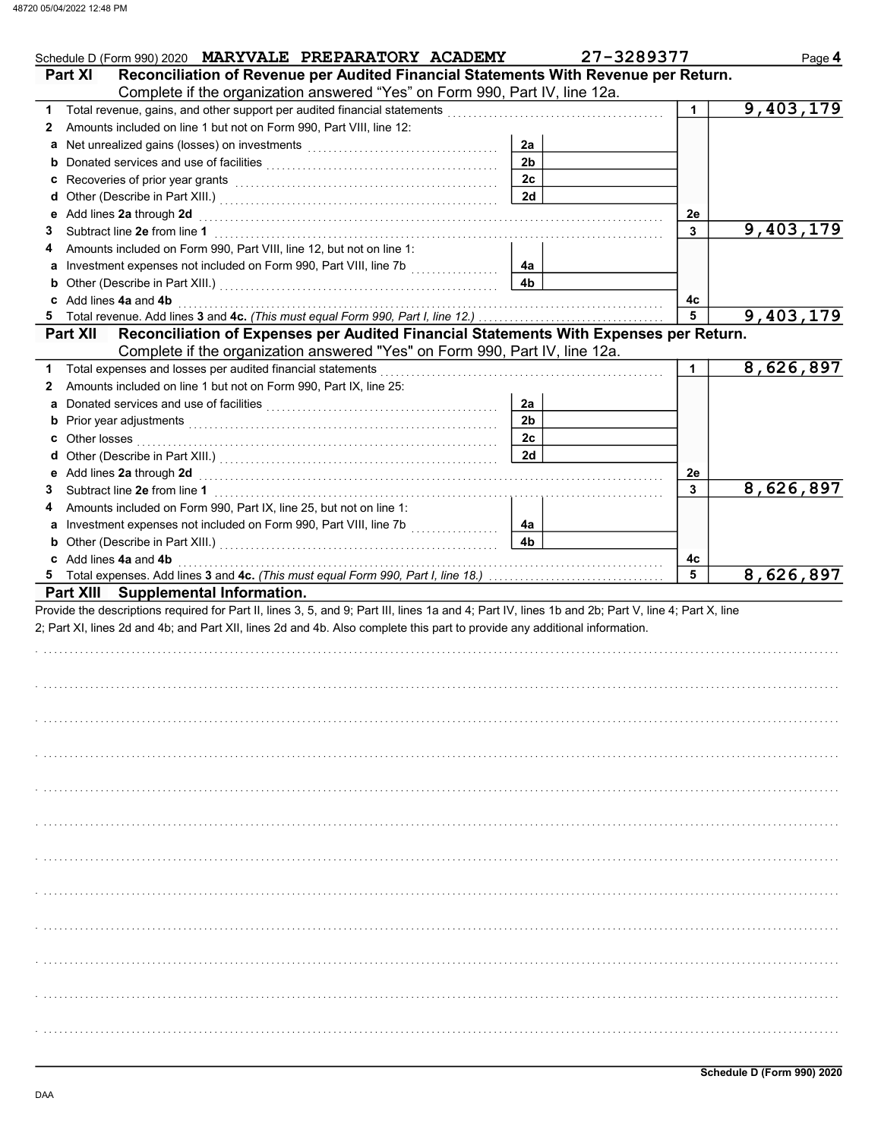| Schedule D (Form 990) 2020 MARYVALE PREPARATORY ACADEMY                                                                                                                                                                        |                      | 27-3289377 | Page 4    |
|--------------------------------------------------------------------------------------------------------------------------------------------------------------------------------------------------------------------------------|----------------------|------------|-----------|
| Reconciliation of Revenue per Audited Financial Statements With Revenue per Return.<br><b>Part XI</b><br>Complete if the organization answered "Yes" on Form 990, Part IV, line 12a.                                           |                      |            |           |
| 1.                                                                                                                                                                                                                             |                      | 1.         | 9,403,179 |
| Amounts included on line 1 but not on Form 990, Part VIII, line 12:<br>2                                                                                                                                                       |                      |            |           |
| a Net unrealized gains (losses) on investments [111] [11] Net unrealised by Ref.                                                                                                                                               | 2a                   |            |           |
|                                                                                                                                                                                                                                | 2 <sub>b</sub>       |            |           |
|                                                                                                                                                                                                                                | 2c                   |            |           |
|                                                                                                                                                                                                                                | 2d                   |            |           |
|                                                                                                                                                                                                                                |                      | 2e         |           |
| 3                                                                                                                                                                                                                              |                      | 3          | 9,403,179 |
| Amounts included on Form 990, Part VIII, line 12, but not on line 1:<br>4                                                                                                                                                      |                      |            |           |
| a Investment expenses not included on Form 990, Part VIII, line 7b                                                                                                                                                             | 4a                   |            |           |
| <b>b</b> Other (Describe in Part XIII.) <b>CONSERVING (2014)</b>                                                                                                                                                               | 4 <sub>b</sub>       |            |           |
| c Add lines 4a and 4b                                                                                                                                                                                                          |                      | 4с         |           |
| 5                                                                                                                                                                                                                              |                      | 5          | 9,403,179 |
| Reconciliation of Expenses per Audited Financial Statements With Expenses per Return.<br><b>Part XII</b>                                                                                                                       |                      |            |           |
| Complete if the organization answered "Yes" on Form 990, Part IV, line 12a.                                                                                                                                                    |                      |            |           |
| Total expenses and losses per audited financial statements<br>1                                                                                                                                                                |                      | 1          | 8,626,897 |
| Amounts included on line 1 but not on Form 990, Part IX, line 25:<br>2                                                                                                                                                         |                      |            |           |
| a Donated services and use of facilities [11] content to content the service of the service of the service of the service of the service of the service of the service of the service of the service of the service of the ser | 2a                   |            |           |
|                                                                                                                                                                                                                                | 2 <sub>b</sub>       |            |           |
|                                                                                                                                                                                                                                | 2c                   |            |           |
|                                                                                                                                                                                                                                | 2d                   |            |           |
| e Add lines 2a through 2d (enclosed) and the contract of Add lines 2a through 1                                                                                                                                                |                      | 2e         |           |
| 3                                                                                                                                                                                                                              |                      | 3          | 8,626,897 |
| Amounts included on Form 990, Part IX, line 25, but not on line 1:<br>4                                                                                                                                                        |                      |            |           |
| a Investment expenses not included on Form 990, Part VIII, line 7b                                                                                                                                                             | 4a<br>4 <sub>b</sub> |            |           |
| <b>b</b> Other (Describe in Part XIII.) <b>CONSERVING (2014)</b><br>c Add lines 4a and 4b                                                                                                                                      |                      | 4с         |           |
| 5                                                                                                                                                                                                                              |                      | 5          | 8,626,897 |
| Part XIII Supplemental Information.                                                                                                                                                                                            |                      |            |           |
| 2; Part XI, lines 2d and 4b; and Part XII, lines 2d and 4b. Also complete this part to provide any additional information.                                                                                                     |                      |            |           |
|                                                                                                                                                                                                                                |                      |            |           |
|                                                                                                                                                                                                                                |                      |            |           |
|                                                                                                                                                                                                                                |                      |            |           |
|                                                                                                                                                                                                                                |                      |            |           |
|                                                                                                                                                                                                                                |                      |            |           |
|                                                                                                                                                                                                                                |                      |            |           |
|                                                                                                                                                                                                                                |                      |            |           |
|                                                                                                                                                                                                                                |                      |            |           |
|                                                                                                                                                                                                                                |                      |            |           |
|                                                                                                                                                                                                                                |                      |            |           |
|                                                                                                                                                                                                                                |                      |            |           |
|                                                                                                                                                                                                                                |                      |            |           |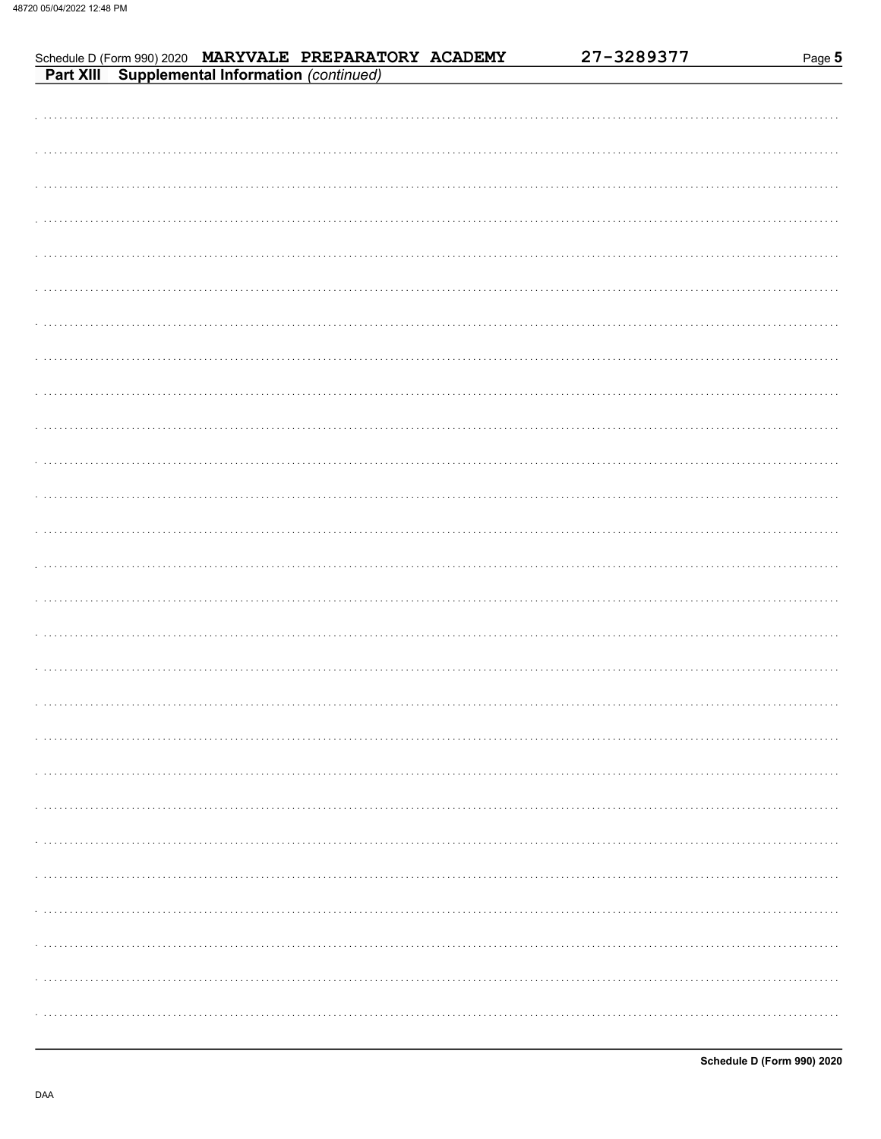|  | Schedule D (Form 990) 2020 MARYVALE PREPARATORY ACADEMY<br>Part XIII Supplemental Information (continued) | 27-3289377 | Page 5 |
|--|-----------------------------------------------------------------------------------------------------------|------------|--------|
|  |                                                                                                           |            |        |
|  |                                                                                                           |            |        |
|  |                                                                                                           |            |        |
|  |                                                                                                           |            |        |
|  |                                                                                                           |            |        |
|  |                                                                                                           |            |        |
|  |                                                                                                           |            |        |
|  |                                                                                                           |            |        |
|  |                                                                                                           |            |        |
|  |                                                                                                           |            |        |
|  |                                                                                                           |            |        |
|  |                                                                                                           |            |        |
|  |                                                                                                           |            |        |
|  |                                                                                                           |            |        |
|  |                                                                                                           |            |        |
|  |                                                                                                           |            |        |
|  |                                                                                                           |            |        |
|  |                                                                                                           |            |        |
|  |                                                                                                           |            |        |
|  |                                                                                                           |            |        |
|  |                                                                                                           |            |        |
|  |                                                                                                           |            |        |
|  |                                                                                                           |            | .      |
|  |                                                                                                           |            | .      |
|  |                                                                                                           |            |        |
|  |                                                                                                           |            |        |
|  |                                                                                                           |            |        |
|  |                                                                                                           |            |        |
|  |                                                                                                           |            |        |
|  |                                                                                                           |            |        |
|  |                                                                                                           |            |        |
|  |                                                                                                           |            | .      |
|  |                                                                                                           |            |        |
|  |                                                                                                           |            |        |
|  |                                                                                                           |            |        |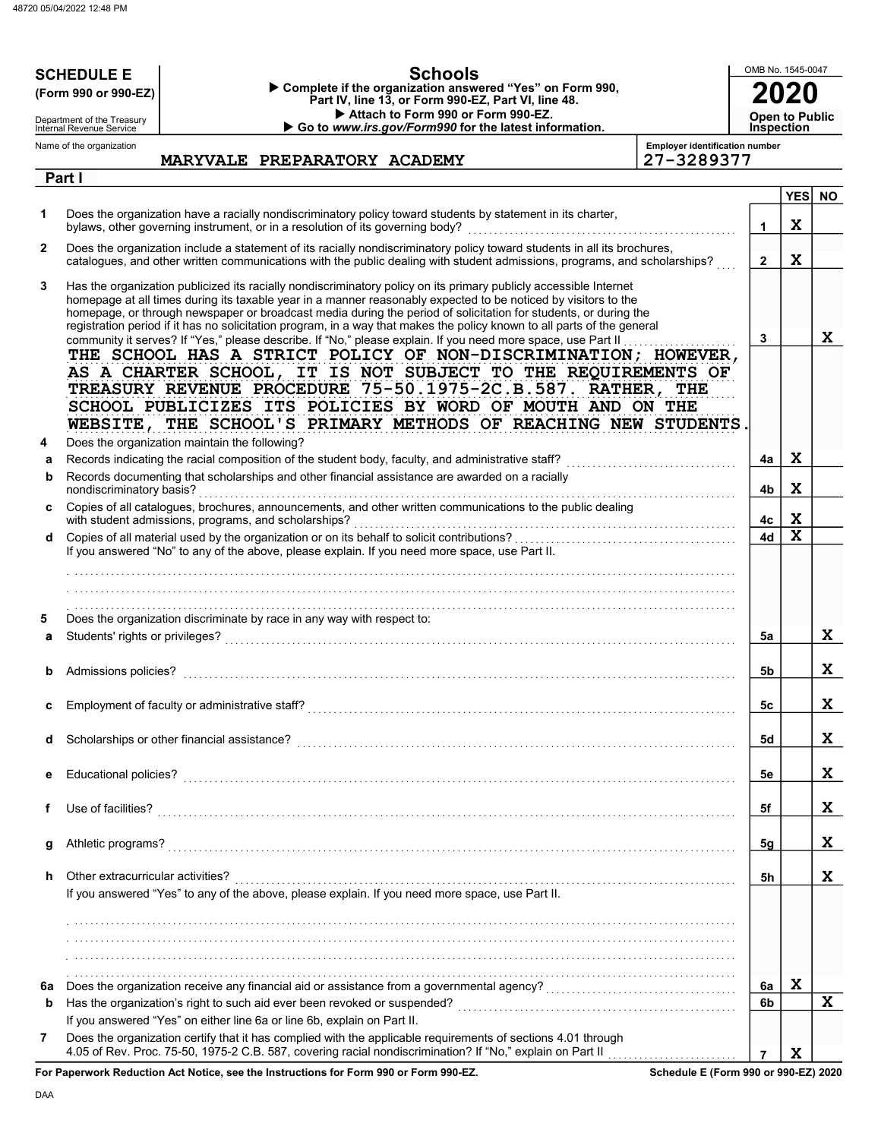|        | <b>Schools</b><br><b>SCHEDULE E</b>                                                                                                                                                                                                                                                                                                                                                                                                                                                                                                                                                               | OMB No. 1545-0047 |             |           |
|--------|---------------------------------------------------------------------------------------------------------------------------------------------------------------------------------------------------------------------------------------------------------------------------------------------------------------------------------------------------------------------------------------------------------------------------------------------------------------------------------------------------------------------------------------------------------------------------------------------------|-------------------|-------------|-----------|
|        | Complete if the organization answered "Yes" on Form 990,<br>(Form 990 or 990-EZ)<br>Part IV, line 13, or Form 990-EZ, Part VI, line 48.                                                                                                                                                                                                                                                                                                                                                                                                                                                           |                   |             |           |
|        | Attach to Form 990 or Form 990-EZ.<br>Department of the Treasury<br>Internal Revenue Service                                                                                                                                                                                                                                                                                                                                                                                                                                                                                                      | Open to Public    |             |           |
|        | Go to www.irs.gov/Form990 for the latest information.<br><b>Employer identification number</b><br>Name of the organization                                                                                                                                                                                                                                                                                                                                                                                                                                                                        | <b>Inspection</b> |             |           |
|        | 27-3289377<br>MARYVALE PREPARATORY ACADEMY                                                                                                                                                                                                                                                                                                                                                                                                                                                                                                                                                        |                   |             |           |
|        | Part I                                                                                                                                                                                                                                                                                                                                                                                                                                                                                                                                                                                            |                   | <b>YES</b>  | <b>NO</b> |
| 1      | Does the organization have a racially nondiscriminatory policy toward students by statement in its charter,<br>bylaws, other governing instrument, or in a resolution of its governing body?                                                                                                                                                                                                                                                                                                                                                                                                      | $\mathbf 1$       | X           |           |
| 2      | Does the organization include a statement of its racially nondiscriminatory policy toward students in all its brochures,<br>catalogues, and other written communications with the public dealing with student admissions, programs, and scholarships?                                                                                                                                                                                                                                                                                                                                             | $\mathbf{2}$      | $\mathbf x$ |           |
| 3      | Has the organization publicized its racially nondiscriminatory policy on its primary publicly accessible Internet<br>homepage at all times during its taxable year in a manner reasonably expected to be noticed by visitors to the<br>homepage, or through newspaper or broadcast media during the period of solicitation for students, or during the<br>registration period if it has no solicitation program, in a way that makes the policy known to all parts of the general<br>community it serves? If "Yes," please describe. If "No," please explain. If you need more space, use Part II | $\mathbf{3}$      |             | X         |
|        | THE SCHOOL HAS A STRICT POLICY OF NON-DISCRIMINATION; HOWEVER,<br>AS A CHARTER SCHOOL, IT IS NOT SUBJECT TO THE REQUIREMENTS OF<br>TREASURY REVENUE PROCEDURE 75-50.1975-2C.B.587. RATHER, THE<br>SCHOOL PUBLICIZES ITS POLICIES BY WORD OF MOUTH AND ON THE<br>WEBSITE, THE SCHOOL'S PRIMARY METHODS OF REACHING NEW STUDENTS                                                                                                                                                                                                                                                                    |                   |             |           |
| 4<br>а | Does the organization maintain the following?                                                                                                                                                                                                                                                                                                                                                                                                                                                                                                                                                     | 4a                | X           |           |
| b      | Records documenting that scholarships and other financial assistance are awarded on a racially<br>nondiscriminatory basis?                                                                                                                                                                                                                                                                                                                                                                                                                                                                        | 4b                | $\mathbf x$ |           |
|        | Copies of all catalogues, brochures, announcements, and other written communications to the public dealing<br>with student admissions, programs, and scholarships?                                                                                                                                                                                                                                                                                                                                                                                                                                |                   |             |           |
| d      | If you answered "No" to any of the above, please explain. If you need more space, use Part II.                                                                                                                                                                                                                                                                                                                                                                                                                                                                                                    | 4с<br>4d          | X<br>X      |           |
|        |                                                                                                                                                                                                                                                                                                                                                                                                                                                                                                                                                                                                   |                   |             |           |
| 5<br>a | Does the organization discriminate by race in any way with respect to:<br>Students' rights or privileges?                                                                                                                                                                                                                                                                                                                                                                                                                                                                                         | 5a                |             | X         |
|        | Admissions policies?                                                                                                                                                                                                                                                                                                                                                                                                                                                                                                                                                                              | 5b                |             | X         |
| c      |                                                                                                                                                                                                                                                                                                                                                                                                                                                                                                                                                                                                   | 5c                |             | X         |
| d      |                                                                                                                                                                                                                                                                                                                                                                                                                                                                                                                                                                                                   | 5d                |             | X         |
| е      |                                                                                                                                                                                                                                                                                                                                                                                                                                                                                                                                                                                                   | 5e                |             | X         |
| f      |                                                                                                                                                                                                                                                                                                                                                                                                                                                                                                                                                                                                   | 5f                |             | X         |
| g      |                                                                                                                                                                                                                                                                                                                                                                                                                                                                                                                                                                                                   | 5g                |             | X         |
| h.     | Other extracurricular activities?<br>If you answered "Yes" to any of the above, please explain. If you need more space, use Part II.                                                                                                                                                                                                                                                                                                                                                                                                                                                              | 5h                |             | X         |
|        |                                                                                                                                                                                                                                                                                                                                                                                                                                                                                                                                                                                                   |                   |             |           |
|        |                                                                                                                                                                                                                                                                                                                                                                                                                                                                                                                                                                                                   |                   |             |           |
|        |                                                                                                                                                                                                                                                                                                                                                                                                                                                                                                                                                                                                   |                   |             |           |
| 6a     | Does the organization receive any financial aid or assistance from a governmental agency?<br>Does the organization receive any financial aid or assistance from a governmental agency?                                                                                                                                                                                                                                                                                                                                                                                                            | 6a                | X           |           |
| b      |                                                                                                                                                                                                                                                                                                                                                                                                                                                                                                                                                                                                   | 6b                |             | X         |
|        | If you answered "Yes" on either line 6a or line 6b, explain on Part II.                                                                                                                                                                                                                                                                                                                                                                                                                                                                                                                           |                   |             |           |
| 7      | Does the organization certify that it has complied with the applicable requirements of sections 4.01 through<br>use Beduction Act Notice, can the Instructions for Form 000 or Form 000 F7<br>Cahadula E (Farm 000 ar 000 EZ) 2020                                                                                                                                                                                                                                                                                                                                                                | $\overline{7}$    | X           |           |

For Paperwork Reduction Act Notice, see the Instructions for Form 990 or Form 990-EZ.

Schedule E (Form 990 or 990-EZ) 2020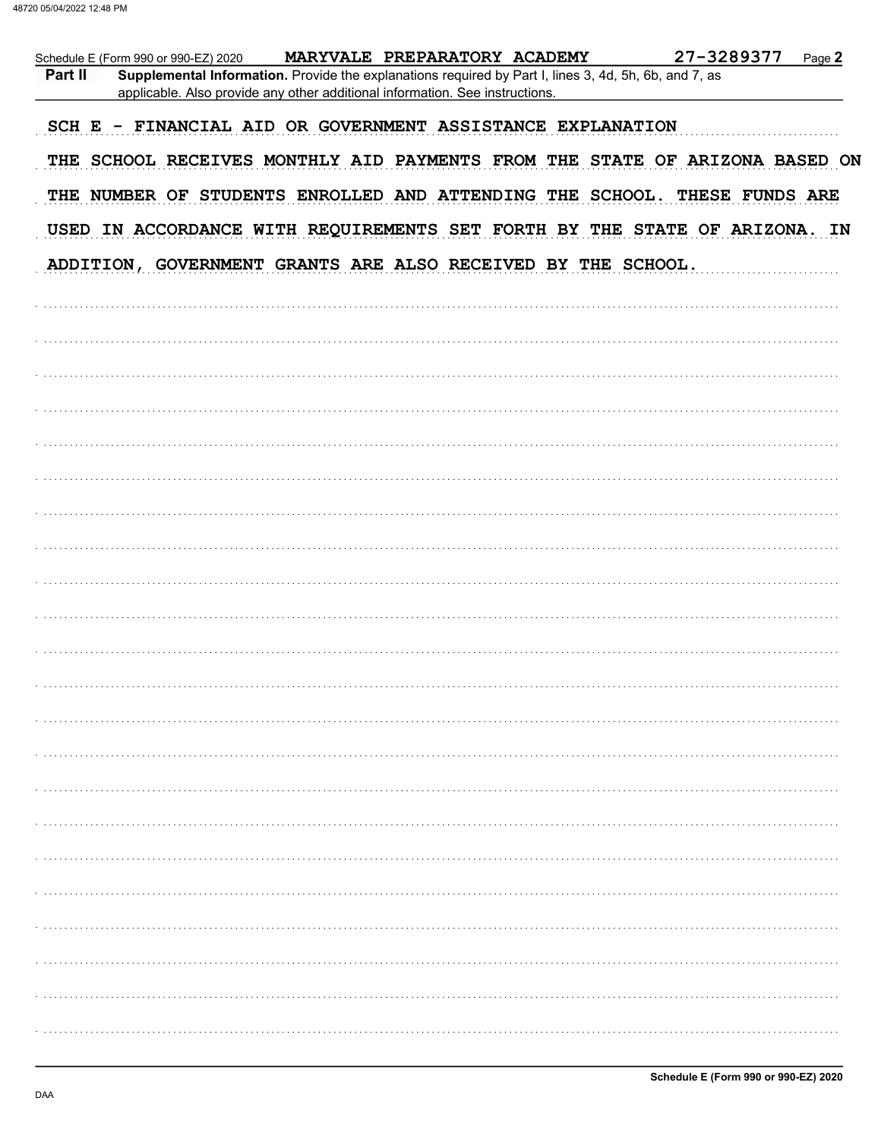|         | Schedule E (Form 990 or 990-EZ) 2020                                                                                                                                                  | MARYVALE PREPARATORY ACADEMY | 27-3289377                                                                  | Page 2 |
|---------|---------------------------------------------------------------------------------------------------------------------------------------------------------------------------------------|------------------------------|-----------------------------------------------------------------------------|--------|
| Part II | Supplemental Information. Provide the explanations required by Part I, lines 3, 4d, 5h, 6b, and 7, as<br>applicable. Also provide any other additional information. See instructions. |                              |                                                                             |        |
|         | SCH E - FINANCIAL AID OR GOVERNMENT ASSISTANCE EXPLANATION                                                                                                                            |                              |                                                                             |        |
|         |                                                                                                                                                                                       |                              | THE SCHOOL RECEIVES MONTHLY AID PAYMENTS FROM THE STATE OF ARIZONA BASED ON |        |
|         |                                                                                                                                                                                       |                              | THE NUMBER OF STUDENTS ENROLLED AND ATTENDING THE SCHOOL. THESE FUNDS ARE   |        |
|         |                                                                                                                                                                                       |                              | USED IN ACCORDANCE WITH REQUIREMENTS SET FORTH BY THE STATE OF ARIZONA. IN  |        |
|         | ADDITION, GOVERNMENT GRANTS ARE ALSO RECEIVED BY THE SCHOOL.                                                                                                                          |                              |                                                                             |        |
|         |                                                                                                                                                                                       |                              |                                                                             |        |
|         |                                                                                                                                                                                       |                              |                                                                             |        |
|         |                                                                                                                                                                                       |                              |                                                                             |        |
|         |                                                                                                                                                                                       |                              |                                                                             |        |
|         |                                                                                                                                                                                       |                              |                                                                             |        |
|         |                                                                                                                                                                                       |                              |                                                                             |        |
|         |                                                                                                                                                                                       |                              |                                                                             |        |
|         |                                                                                                                                                                                       |                              |                                                                             |        |
|         |                                                                                                                                                                                       |                              |                                                                             |        |
|         |                                                                                                                                                                                       |                              |                                                                             |        |
|         |                                                                                                                                                                                       |                              |                                                                             |        |
|         |                                                                                                                                                                                       |                              |                                                                             |        |
|         |                                                                                                                                                                                       |                              |                                                                             |        |
|         |                                                                                                                                                                                       |                              |                                                                             |        |
|         |                                                                                                                                                                                       |                              |                                                                             |        |
|         |                                                                                                                                                                                       |                              |                                                                             |        |
|         |                                                                                                                                                                                       |                              |                                                                             |        |
|         |                                                                                                                                                                                       |                              |                                                                             |        |
|         |                                                                                                                                                                                       |                              |                                                                             |        |
|         |                                                                                                                                                                                       |                              |                                                                             |        |
|         |                                                                                                                                                                                       |                              |                                                                             |        |
|         |                                                                                                                                                                                       |                              |                                                                             |        |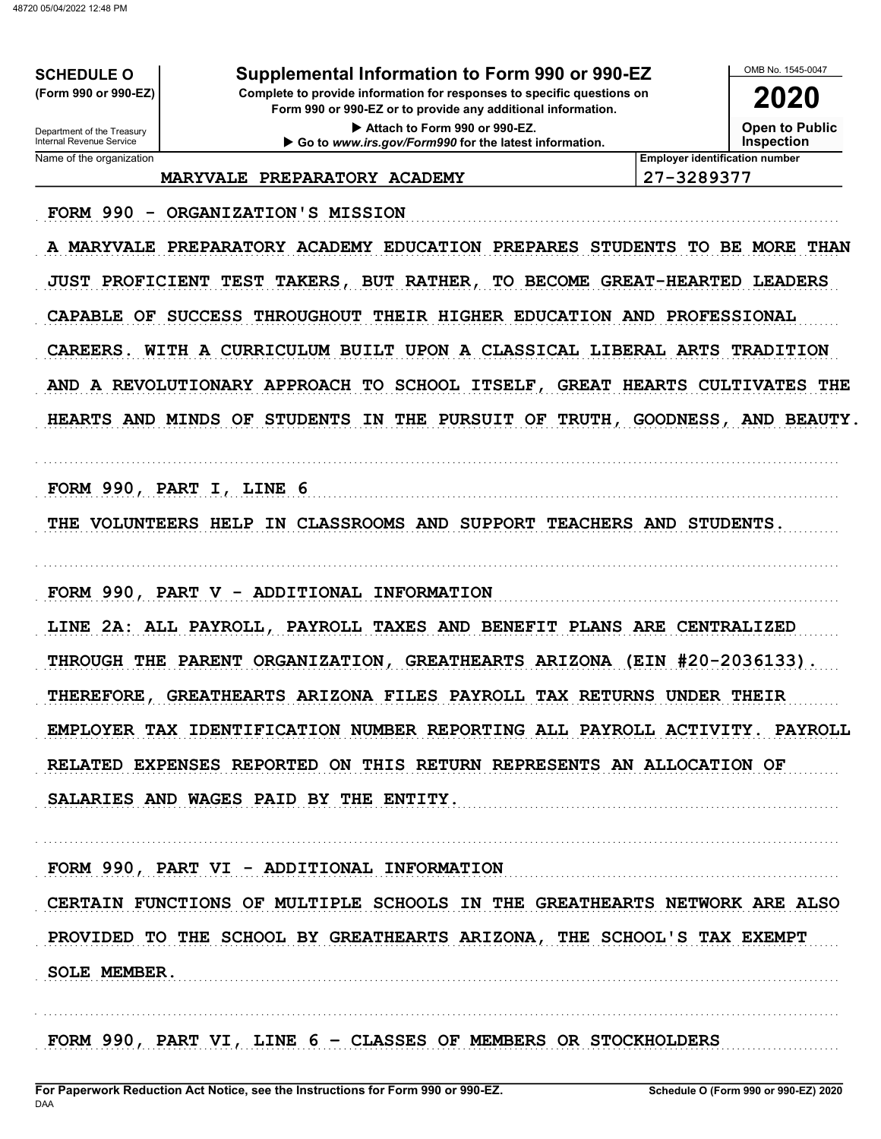**SCHEDULE O** (Form 990 or 990-EZ)

Supplemental Information to Form 990 or 990-EZ

Complete to provide information for responses to specific questions on Form 990 or 990-EZ or to provide any additional information.

> Attach to Form 990 or 990-EZ. Go to www.irs.gov/Form990 for the latest information.

OMB No 1545-0047 2020

**Open to Public** 

**Inspection** 

Name of the organization

Department of the Treasury<br>Internal Revenue Service

MARYVALE PREPARATORY ACADEMY

**Employer identification number** 27-3289377

FORM 990 - ORGANIZATION'S MISSION

A MARYVALE PREPARATORY ACADEMY EDUCATION PREPARES STUDENTS TO BE MORE THAN JUST PROFICIENT TEST TAKERS, BUT RATHER, TO BECOME GREAT-HEARTED LEADERS CAPABLE OF SUCCESS THROUGHOUT THEIR HIGHER EDUCATION AND PROFESSIONAL CAREERS. WITH A CURRICULUM BUILT UPON A CLASSICAL LIBERAL ARTS TRADITION AND A REVOLUTIONARY APPROACH TO SCHOOL ITSELF, GREAT HEARTS CULTIVATES THE HEARTS AND MINDS OF STUDENTS IN THE PURSUIT OF TRUTH, GOODNESS, AND BEAUTY.

FORM 990, PART I, LINE 6

THE VOLUNTEERS HELP IN CLASSROOMS AND SUPPORT TEACHERS AND STUDENTS.

FORM 990, PART V - ADDITIONAL INFORMATION

LINE 2A: ALL PAYROLL, PAYROLL TAXES AND BENEFIT PLANS ARE CENTRALIZED THROUGH THE PARENT ORGANIZATION, GREATHEARTS ARIZONA (EIN #20-2036133). THEREFORE, GREATHEARTS ARIZONA FILES PAYROLL TAX RETURNS UNDER THEIR EMPLOYER TAX IDENTIFICATION NUMBER REPORTING ALL PAYROLL ACTIVITY. PAYROLL RELATED EXPENSES REPORTED ON THIS RETURN REPRESENTS AN ALLOCATION OF SALARIES AND WAGES PAID BY THE ENTITY.

FORM 990, PART VI - ADDITIONAL INFORMATION CERTAIN FUNCTIONS OF MULTIPLE SCHOOLS IN THE GREATHEARTS NETWORK ARE ALSO PROVIDED TO THE SCHOOL BY GREATHEARTS ARIZONA, THE SCHOOL'S TAX EXEMPT SOLE MEMBER.

FORM 990, PART VI, LINE 6 - CLASSES OF MEMBERS OR STOCKHOLDERS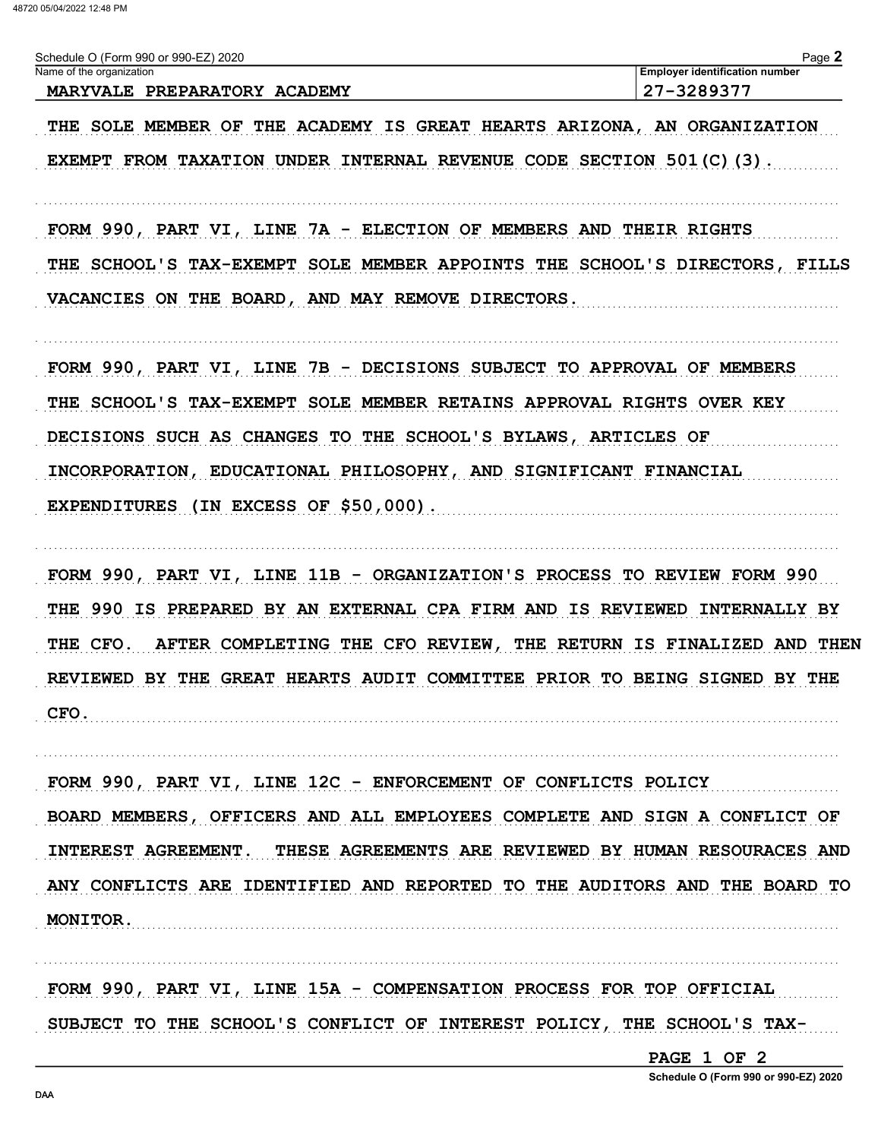| Schedule O (Form 990 or 990-EZ) 2020 | Page                                  |
|--------------------------------------|---------------------------------------|
| Name of the organization             | <b>Employer identification number</b> |
| MARYVALE PREPARATORY ACADEMY         | 27-3289377                            |

THE SOLE MEMBER OF THE ACADEMY IS GREAT HEARTS ARIZONA, AN ORGANIZATION EXEMPT FROM TAXATION UNDER INTERNAL REVENUE CODE SECTION 501(C)(3).

FORM 990, PART VI, LINE 7A - ELECTION OF MEMBERS AND THEIR RIGHTS THE SCHOOL'S TAX-EXEMPT SOLE MEMBER APPOINTS THE SCHOOL'S DIRECTORS, FILLS VACANCIES ON THE BOARD, AND MAY REMOVE DIRECTORS.

FORM 990, PART VI, LINE 7B - DECISIONS SUBJECT TO APPROVAL OF MEMBERS THE SCHOOL'S TAX-EXEMPT SOLE MEMBER RETAINS APPROVAL RIGHTS OVER KEY DECISIONS SUCH AS CHANGES TO THE SCHOOL'S BYLAWS, ARTICLES OF INCORPORATION, EDUCATIONAL PHILOSOPHY, AND SIGNIFICANT FINANCIAL EXPENDITURES (IN EXCESS OF \$50,000).

FORM 990, PART VI, LINE 11B - ORGANIZATION'S PROCESS TO REVIEW FORM 990 THE 990 IS PREPARED BY AN EXTERNAL CPA FIRM AND IS REVIEWED INTERNALLY BY THE CFO. AFTER COMPLETING THE CFO REVIEW, THE RETURN IS FINALIZED AND THEN REVIEWED BY THE GREAT HEARTS AUDIT COMMITTEE PRIOR TO BEING SIGNED BY THE CFO.

FORM 990, PART VI, LINE 12C - ENFORCEMENT OF CONFLICTS POLICY BOARD MEMBERS, OFFICERS AND ALL EMPLOYEES COMPLETE AND SIGN A CONFLICT OF INTEREST AGREEMENT. THESE AGREEMENTS ARE REVIEWED BY HUMAN RESOURACES AND ANY CONFLICTS ARE IDENTIFIED AND REPORTED TO THE AUDITORS AND THE BOARD TO MONITOR.

FORM 990, PART VI, LINE 15A - COMPENSATION PROCESS FOR TOP OFFICIAL SUBJECT TO THE SCHOOL'S CONFLICT OF INTEREST POLICY, THE SCHOOL'S TAX-

PAGE 1 OF 2

Schedule O (Form 990 or 990-EZ) 2020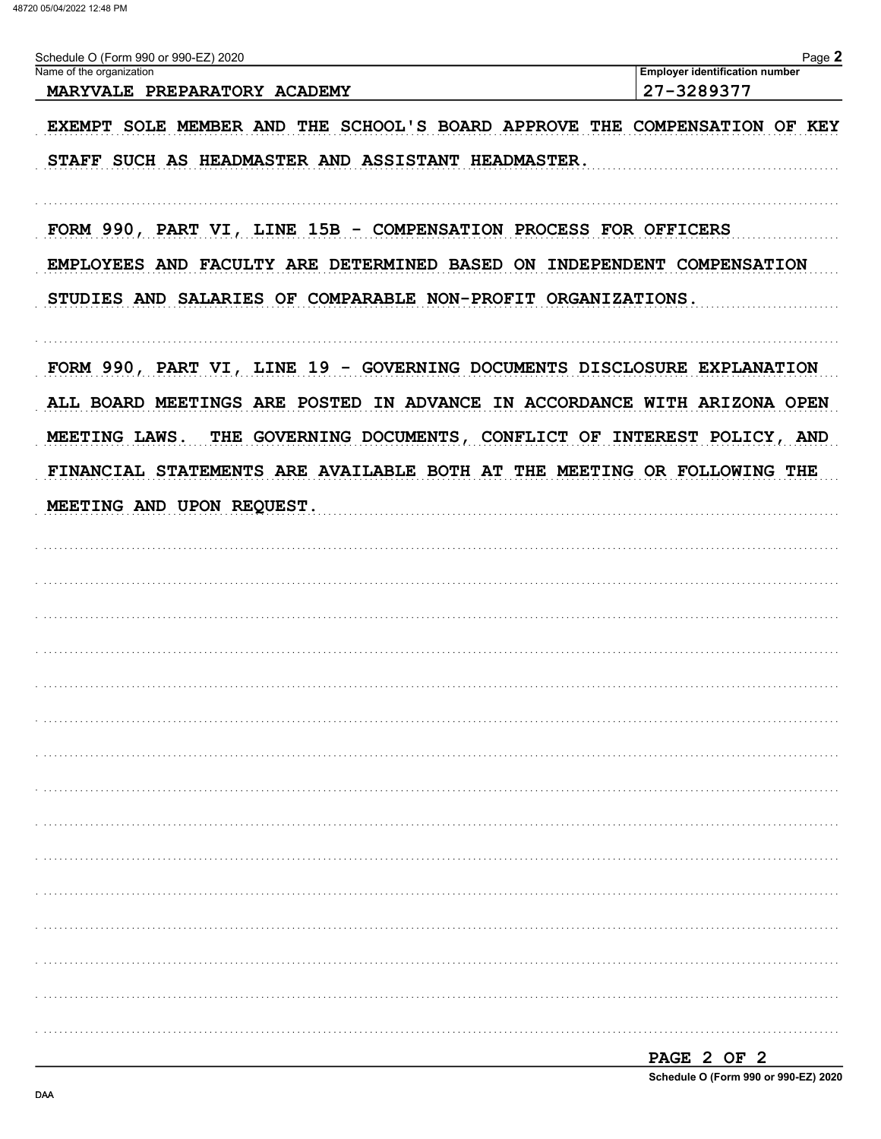| Schedule O (Form 990 or 990-EZ) 2020                                      | Page 2                                              |
|---------------------------------------------------------------------------|-----------------------------------------------------|
| Name of the organization<br>MARYVALE PREPARATORY ACADEMY                  | <b>Employer identification number</b><br>27-3289377 |
|                                                                           |                                                     |
| EXEMPT SOLE MEMBER AND THE SCHOOL'S BOARD APPROVE THE COMPENSATION OF KEY |                                                     |
| STAFF SUCH AS HEADMASTER AND ASSISTANT HEADMASTER.                        |                                                     |
|                                                                           |                                                     |
| FORM 990, PART VI, LINE 15B - COMPENSATION PROCESS FOR OFFICERS           |                                                     |
| EMPLOYEES AND FACULTY ARE DETERMINED BASED ON INDEPENDENT COMPENSATION    |                                                     |
|                                                                           |                                                     |
| STUDIES AND SALARIES OF COMPARABLE NON-PROFIT ORGANIZATIONS.              |                                                     |
| FORM 990, PART VI, LINE 19 - GOVERNING DOCUMENTS DISCLOSURE EXPLANATION   |                                                     |
| ALL BOARD MEETINGS ARE POSTED IN ADVANCE IN ACCORDANCE WITH ARIZONA OPEN  |                                                     |
| MEETING LAWS.                                                             |                                                     |
| THE GOVERNING DOCUMENTS, CONFLICT OF INTEREST POLICY, AND                 |                                                     |
| FINANCIAL STATEMENTS ARE AVAILABLE BOTH AT THE MEETING OR FOLLOWING THE   |                                                     |
| MEETING AND UPON REQUEST.                                                 |                                                     |
|                                                                           |                                                     |
|                                                                           |                                                     |
|                                                                           |                                                     |
|                                                                           |                                                     |
|                                                                           |                                                     |
|                                                                           |                                                     |
|                                                                           |                                                     |
|                                                                           |                                                     |
|                                                                           |                                                     |
|                                                                           |                                                     |
|                                                                           |                                                     |
|                                                                           |                                                     |
|                                                                           |                                                     |
|                                                                           |                                                     |
|                                                                           |                                                     |
|                                                                           |                                                     |
|                                                                           |                                                     |
|                                                                           |                                                     |
|                                                                           |                                                     |

| PAGE 2 OF 2 |  |                                      |
|-------------|--|--------------------------------------|
|             |  | Schedule O (Form 990 or 990-EZ) 2020 |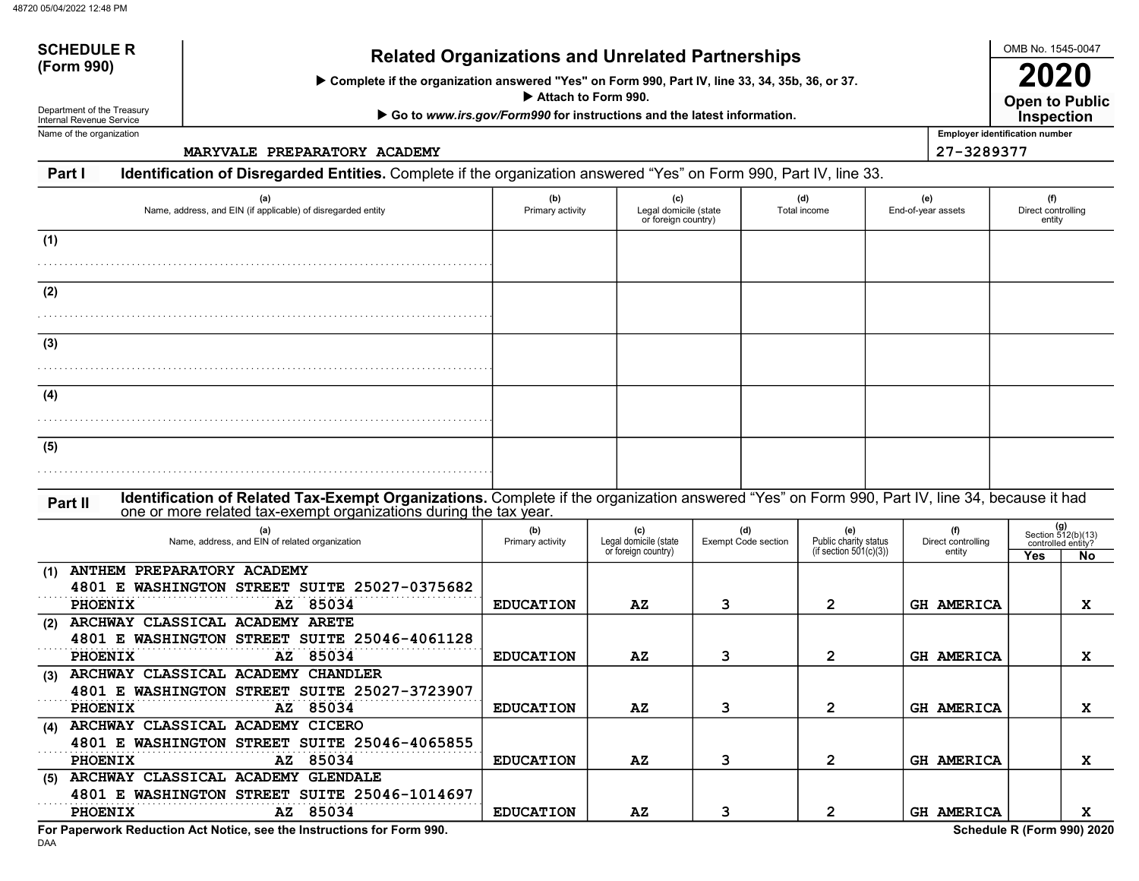# SCHEDULE Related Organizations and Unrelated Partnerships<br>(Form 990)

Complete if the organization answered "Yes" on Form 990, Part IV, line 33, 34, 35b, 36, or 37.

Attach to Form 990.

▶ Go to www.irs.gov/Form990 for instructions and the latest information.

Department of the Treasury Internal Revenue Service Name of the organization

DAA

SCHEDULE R

MARYVALE PREPARATORY ACADEMY 27-3289377

### Part I Identification of Disregarded Entities. Complete if the organization answered "Yes" on Form 990, Part IV, line 33.

| (a)<br>Name, address, and EIN (if applicable) of disregarded entity                                                                                                                                                           | (b)<br>Primary activity | (c)<br>Legal domicile (state<br>or foreign country) |                                   | (d)<br>Total income                                       | (e)<br>End-of-year assets           | (f)<br>Direct controlling<br>entity |                                                         |
|-------------------------------------------------------------------------------------------------------------------------------------------------------------------------------------------------------------------------------|-------------------------|-----------------------------------------------------|-----------------------------------|-----------------------------------------------------------|-------------------------------------|-------------------------------------|---------------------------------------------------------|
| (1)                                                                                                                                                                                                                           |                         |                                                     |                                   |                                                           |                                     |                                     |                                                         |
| (2)                                                                                                                                                                                                                           |                         |                                                     |                                   |                                                           |                                     |                                     |                                                         |
| (3)                                                                                                                                                                                                                           |                         |                                                     |                                   |                                                           |                                     |                                     |                                                         |
| (4)                                                                                                                                                                                                                           |                         |                                                     |                                   |                                                           |                                     |                                     |                                                         |
| (5)                                                                                                                                                                                                                           |                         |                                                     |                                   |                                                           |                                     |                                     |                                                         |
|                                                                                                                                                                                                                               |                         |                                                     |                                   |                                                           |                                     |                                     |                                                         |
| Identification of Related Tax-Exempt Organizations. Complete if the organization answered "Yes" on Form 990, Part IV, line 34, because it had<br>Part II<br>one or more related tax-exempt organizations during the tax year. |                         |                                                     |                                   |                                                           |                                     |                                     |                                                         |
| (a)<br>Name, address, and EIN of related organization                                                                                                                                                                         | (b)<br>Primary activity | Legal domicile (state<br>or foreign country)        | (d)<br><b>Exempt Code section</b> | (e)<br>Public charity status<br>(if section $501(c)(3)$ ) | (f)<br>Direct controlling<br>entity | Yes                                 | $(g)$<br>Section 512(b)(13)<br>controlled entity?<br>No |
| ANTHEM PREPARATORY ACADEMY<br>(1)<br>4801 E WASHINGTON STREET SUITE 25027-0375682<br>AZ 85034<br><b>PHOENIX</b>                                                                                                               | <b>EDUCATION</b>        | AZ                                                  | 3                                 | $\mathbf{2}$                                              | <b>GH AMERICA</b>                   |                                     | x                                                       |
| ARCHWAY CLASSICAL ACADEMY ARETE<br>(2)<br>4801 E WASHINGTON STREET SUITE 25046-4061128<br>AZ 85034<br>PHOENIX                                                                                                                 | <b>EDUCATION</b>        | AZ                                                  | 3                                 | $\mathbf{2}$                                              | <b>GH AMERICA</b>                   |                                     | x                                                       |
| (3) ARCHWAY CLASSICAL ACADEMY CHANDLER<br>4801 E WASHINGTON STREET SUITE 25027-3723907<br>AZ 85034<br>PHOENIX                                                                                                                 | <b>EDUCATION</b>        | AZ                                                  | 3                                 | $\mathbf{2}$                                              | <b>GH AMERICA</b>                   |                                     | x                                                       |
| (4) ARCHWAY CLASSICAL ACADEMY CICERO<br>4801 E WASHINGTON STREET SUITE 25046-4065855<br>AZ 85034<br>PHOENIX                                                                                                                   | <b>EDUCATION</b>        | AZ                                                  | 3                                 | $\mathbf{2}$                                              | <b>GH AMERICA</b>                   |                                     | x                                                       |
| (5) ARCHWAY CLASSICAL ACADEMY GLENDALE<br>4801 E WASHINGTON STREET SUITE 25046-1014697                                                                                                                                        |                         |                                                     |                                   |                                                           |                                     |                                     |                                                         |
| AZ 85034<br><b>PHOENIX</b><br>For Paperwork Reduction Act Notice, see the Instructions for Form 990.                                                                                                                          | <b>EDUCATION</b>        | AZ                                                  | 3                                 | $\overline{2}$                                            | <b>GH AMERICA</b>                   | Schedule R (Form 990) 2020          | x                                                       |

OMB No. 1545-0047

Open to Public

Employer identification number

2020 **inspection**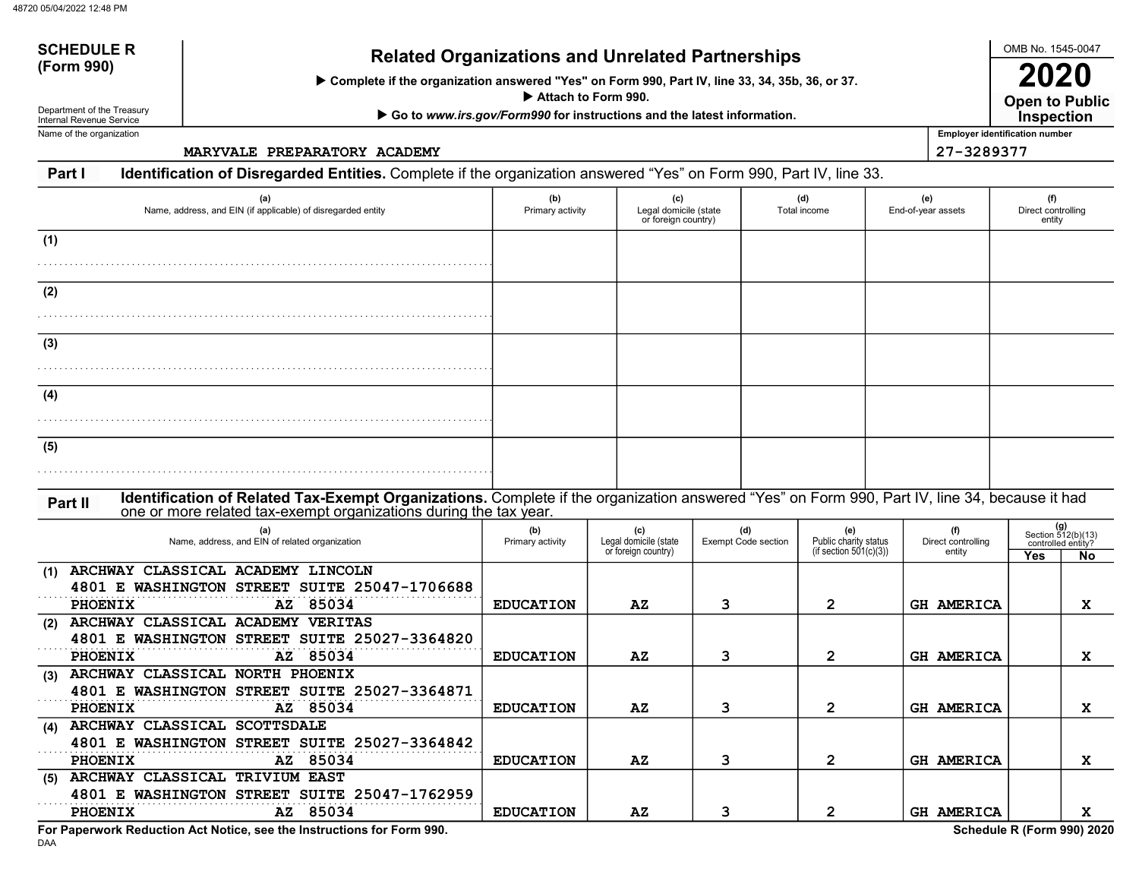# SCHEDULE Related Organizations and Unrelated Partnerships<br>(Form 990)

Complete if the organization answered "Yes" on Form 990, Part IV, line 33, 34, 35b, 36, or 37.

Attach to Form 990.

▶ Go to www.irs.gov/Form990 for instructions and the latest information.

Department of the Treasury Internal Revenue Service Name of the organization

SCHEDULE R

MARYVALE PREPARATORY ACADEMY 27-3289377

### Part I Identification of Disregarded Entities. Complete if the organization answered "Yes" on Form 990, Part IV, line 33.

| (a)<br>Name, address, and EIN (if applicable) of disregarded entity                                                                           | (b)<br>Primary activity | (c)<br>Legal domicile (state<br>or foreign country) |                                   | (d)<br>Total income                                       | (e)<br>End-of-year assets           | (f)<br>Direct controlling<br>entity |                                                                |
|-----------------------------------------------------------------------------------------------------------------------------------------------|-------------------------|-----------------------------------------------------|-----------------------------------|-----------------------------------------------------------|-------------------------------------|-------------------------------------|----------------------------------------------------------------|
| (1)                                                                                                                                           |                         |                                                     |                                   |                                                           |                                     |                                     |                                                                |
| (2)                                                                                                                                           |                         |                                                     |                                   |                                                           |                                     |                                     |                                                                |
| (3)                                                                                                                                           |                         |                                                     |                                   |                                                           |                                     |                                     |                                                                |
| (4)                                                                                                                                           |                         |                                                     |                                   |                                                           |                                     |                                     |                                                                |
| (5)                                                                                                                                           |                         |                                                     |                                   |                                                           |                                     |                                     |                                                                |
| Identification of Related Tax-Exempt Organizations. Complete if the organization answered "Yes" on Form 990, Part IV, line 34, because it had |                         |                                                     |                                   |                                                           |                                     |                                     |                                                                |
| Part II<br>one or more related tax-exempt organizations during the tax year.                                                                  |                         |                                                     |                                   |                                                           |                                     |                                     |                                                                |
| (a)<br>Name, address, and EIN of related organization                                                                                         | (b)<br>Primary activity | (c)<br>Legal domicile (state<br>or foreign country) | (d)<br><b>Exempt Code section</b> | (e)<br>Public charity status<br>(if section $501(c)(3)$ ) | (f)<br>Direct controlling<br>entity | Yes                                 | $(g)$<br>Section 512(b)(13)<br>controlled entity?<br><b>No</b> |
| (1) ARCHWAY CLASSICAL ACADEMY LINCOLN<br>4801 E WASHINGTON STREET SUITE 25047-1706688<br>AZ 85034<br>PHOENIX                                  | <b>EDUCATION</b>        | AZ                                                  | 3                                 | $\overline{2}$                                            | <b>GH AMERICA</b>                   |                                     | X                                                              |
| (2) ARCHWAY CLASSICAL ACADEMY VERITAS<br>4801 E WASHINGTON STREET SUITE 25027-3364820<br>AZ 85034<br>PHOENIX                                  | <b>EDUCATION</b>        | AZ                                                  | 3                                 | $\mathbf{2}$                                              | <b>GH AMERICA</b>                   |                                     | X                                                              |
| (3) ARCHWAY CLASSICAL NORTH PHOENIX<br>4801 E WASHINGTON STREET SUITE 25027-3364871                                                           |                         |                                                     |                                   |                                                           |                                     |                                     |                                                                |
| AZ 85034<br><b>PHOENIX</b><br>(4) ARCHWAY CLASSICAL SCOTTSDALE<br>4801 E WASHINGTON STREET SUITE 25027-3364842                                | <b>EDUCATION</b>        | $\mathbf{A} \mathbf{Z}$                             | 3                                 | $\mathbf{2}$                                              | <b>GH AMERICA</b>                   |                                     | X                                                              |
| AZ 85034<br><b>PHOENIX</b><br>(5) ARCHWAY CLASSICAL TRIVIUM EAST<br>4801 E WASHINGTON STREET SUITE 25047-1762959                              | <b>EDUCATION</b>        | $\mathbf{A} \mathbf{Z}$                             | 3                                 | $\overline{2}$                                            | <b>GH AMERICA</b>                   |                                     | X                                                              |
| AZ 85034<br><b>PHOENIX</b><br>For Paperwork Reduction Act Notice, see the Instructions for Form 990.                                          | <b>EDUCATION</b>        | AZ                                                  | 3                                 | $\overline{2}$                                            | <b>GH AMERICA</b>                   | Schedule R (Form 990) 2020          | x                                                              |

DAA

OMB No. 1545-0047

Open to Public

Employer identification number

2020 **inspection**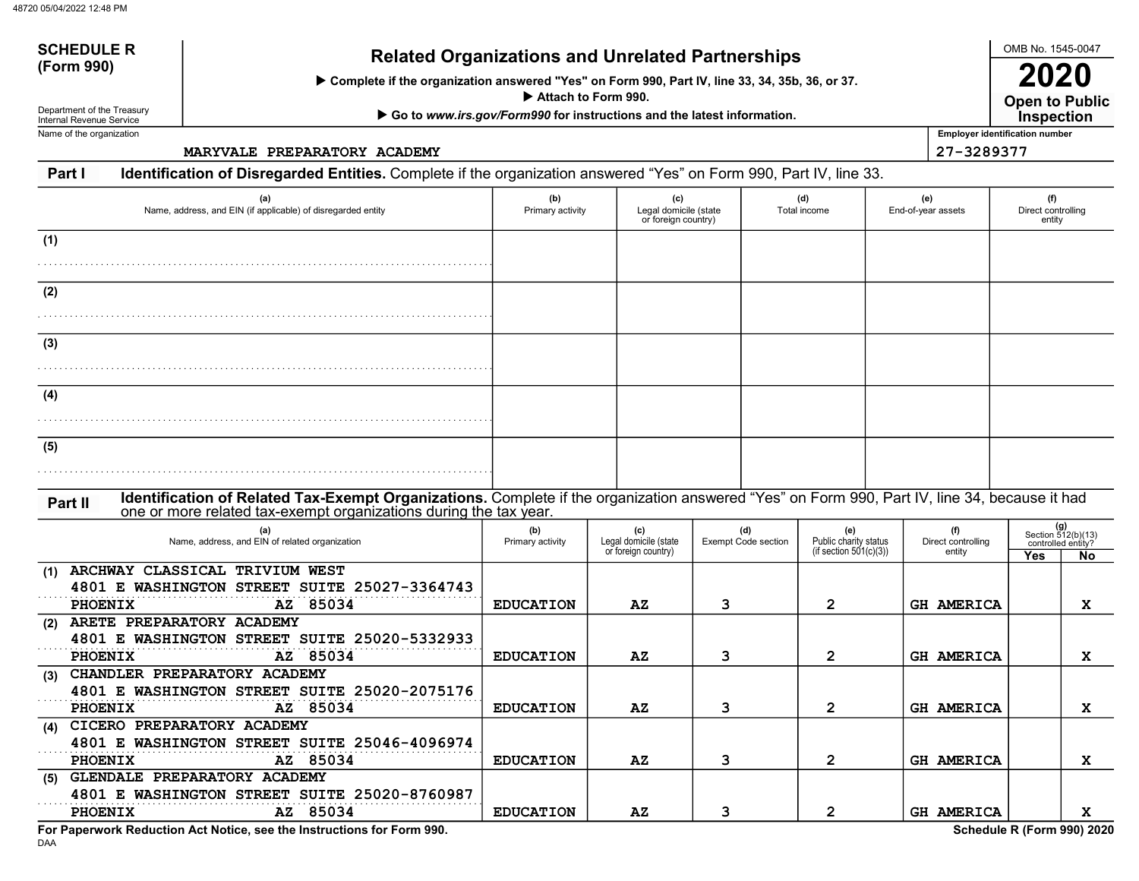# SCHEDULE Related Organizations and Unrelated Partnerships (Form 990)

Complete if the organization answered "Yes" on Form 990, Part IV, line 33, 34, 35b, 36, or 37.

Attach to Form 990.

▶ Go to www.irs.gov/Form990 for instructions and the latest information.

Department of the Treasury Internal Revenue Service Name of the organization

SCHEDULE R

MARYVALE PREPARATORY ACADEMY 27-3289377

#### Part I Identification of Disregarded Entities. Complete if the organization answered "Yes" on Form 990, Part IV, line 33.

| (a)<br>Name, address, and EIN (if applicable) of disregarded entity                                                                                                                                                           | (b)<br>Primary activity | (c)                                                 | Legal domicile (state<br>Total income<br>or foreign country) |              |                                                                                        |                            | (e)<br>End-of-year assets                                    | (f)<br>Direct controlling<br>entity |  |
|-------------------------------------------------------------------------------------------------------------------------------------------------------------------------------------------------------------------------------|-------------------------|-----------------------------------------------------|--------------------------------------------------------------|--------------|----------------------------------------------------------------------------------------|----------------------------|--------------------------------------------------------------|-------------------------------------|--|
| (1)                                                                                                                                                                                                                           |                         |                                                     |                                                              |              |                                                                                        |                            |                                                              |                                     |  |
| (2)                                                                                                                                                                                                                           |                         |                                                     |                                                              |              |                                                                                        |                            |                                                              |                                     |  |
| (3)                                                                                                                                                                                                                           |                         |                                                     |                                                              |              |                                                                                        |                            |                                                              |                                     |  |
| (4)                                                                                                                                                                                                                           |                         |                                                     |                                                              |              |                                                                                        |                            |                                                              |                                     |  |
|                                                                                                                                                                                                                               |                         |                                                     |                                                              |              |                                                                                        |                            |                                                              |                                     |  |
| (5)                                                                                                                                                                                                                           |                         |                                                     |                                                              |              |                                                                                        |                            |                                                              |                                     |  |
| Identification of Related Tax-Exempt Organizations. Complete if the organization answered "Yes" on Form 990, Part IV, line 34, because it had<br>Part II<br>one or more related tax-exempt organizations during the tax year. |                         |                                                     |                                                              |              |                                                                                        |                            |                                                              |                                     |  |
| (a)<br>Name, address, and EIN of related organization                                                                                                                                                                         | (b)<br>Primary activity | (c)<br>Legal domicile (state<br>or foreign country) | (d)<br>Exempt Code section                                   | (e)          | (f)<br>Public charity status<br>(if section 501(c)(3))<br>Direct controlling<br>entity |                            | (g)<br>Section 512(b)(13)<br>controlled entity?<br><b>No</b> |                                     |  |
| (1) ARCHWAY CLASSICAL TRIVIUM WEST<br>4801 E WASHINGTON STREET SUITE 25027-3364743<br>AZ 85034<br><b>PHOENIX</b>                                                                                                              | <b>EDUCATION</b>        | $\mathbf{A} \mathbf{Z}$                             | 3                                                            | $\mathbf{2}$ | <b>GH AMERICA</b>                                                                      | Yes                        | $\mathbf{x}$                                                 |                                     |  |
| (2) ARETE PREPARATORY ACADEMY<br>4801 E WASHINGTON STREET SUITE 25020-5332933<br>AZ 85034<br><b>PHOENIX</b>                                                                                                                   | <b>EDUCATION</b>        | $\mathbf{A} \mathbf{Z}$                             | 3                                                            | 2            | <b>GH AMERICA</b>                                                                      |                            | x                                                            |                                     |  |
| CHANDLER PREPARATORY ACADEMY<br>(3)<br>4801 E WASHINGTON STREET SUITE 25020-2075176                                                                                                                                           |                         |                                                     |                                                              |              |                                                                                        |                            |                                                              |                                     |  |
| AZ 85034<br>PHOENIX<br>CICERO PREPARATORY ACADEMY<br>(4)<br>4801 E WASHINGTON STREET SUITE 25046-4096974                                                                                                                      | <b>EDUCATION</b>        | $\mathbf{A} \mathbf{Z}$                             | 3                                                            | $\mathbf{2}$ | <b>GH AMERICA</b>                                                                      |                            | $\mathbf{x}$                                                 |                                     |  |
| AZ 85034<br><b>PHOENIX</b><br>GLENDALE PREPARATORY ACADEMY<br>(5)                                                                                                                                                             | <b>EDUCATION</b>        | $\mathbf{A} \mathbf{Z}$                             | 3                                                            | $\mathbf{2}$ | <b>GH AMERICA</b>                                                                      |                            | X                                                            |                                     |  |
| 4801 E WASHINGTON STREET SUITE 25020-8760987<br>AZ 85034<br>PHOENIX<br>For Paperwork Reduction Act Notice, see the Instructions for Form 990.                                                                                 | <b>EDUCATION</b>        | $\mathbf{A} \mathbf{Z}$                             | 3                                                            | $\mathbf{2}$ | <b>GH AMERICA</b>                                                                      | Schedule R (Form 990) 2020 | x                                                            |                                     |  |

DAA

OMB No. 1545-0047

Open to Public 2020

**Inspection** 

Employer identification number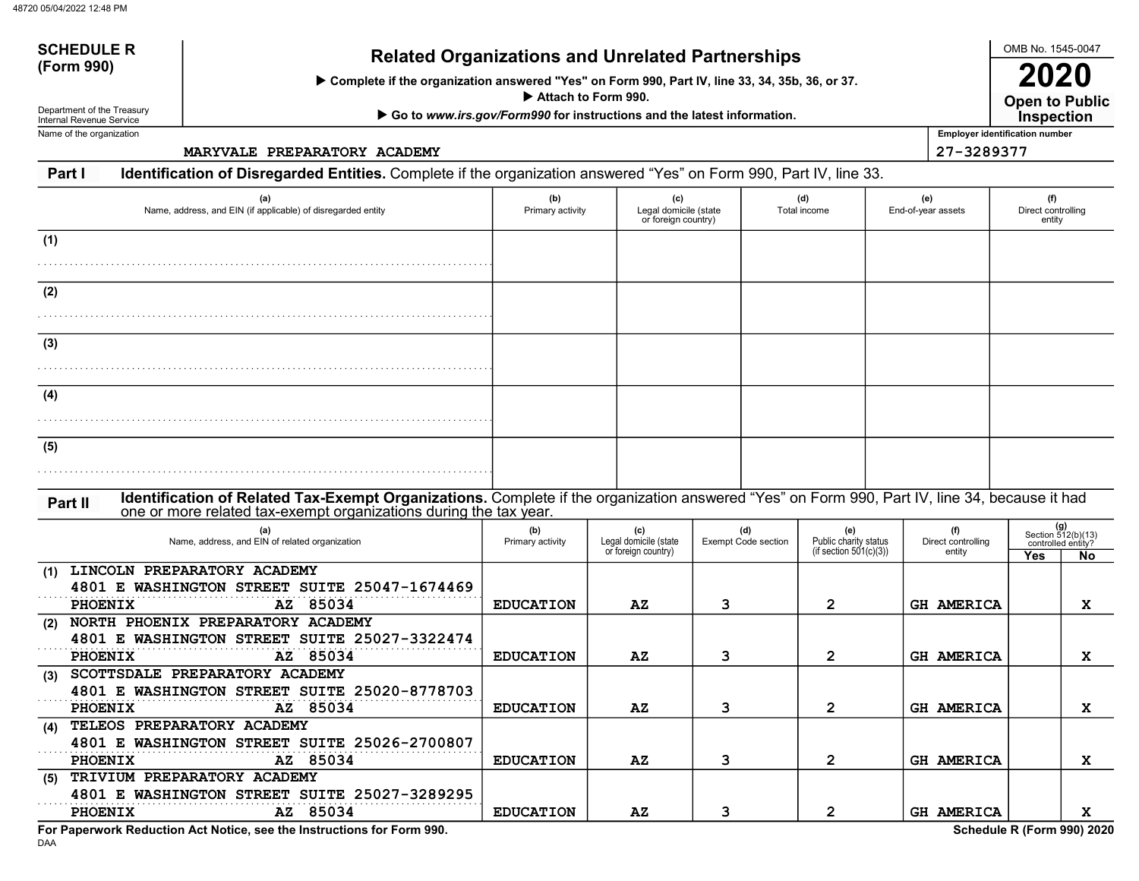# SCHEDULE Related Organizations and Unrelated Partnerships<br>(Form 990)

Complete if the organization answered "Yes" on Form 990, Part IV, line 33, 34, 35b, 36, or 37.

Attach to Form 990.

▶ Go to www.irs.gov/Form990 for instructions and the latest information.

Department of the Treasury Internal Revenue Service Name of the organization

SCHEDULE R

MARYVALE PREPARATORY ACADEMY 27-3289377

### Part I Identification of Disregarded Entities. Complete if the organization answered "Yes" on Form 990, Part IV, line 33.

| (a)<br>Name, address, and EIN (if applicable) of disregarded entity                                                                           | (b)<br>Primary activity | (c)<br>Legal domicile (state<br>or foreign country) |                                   | (d)<br>Total income                                    | (e)<br>End-of-year assets           | (f)<br>Direct controlling<br>entity |                                                 |
|-----------------------------------------------------------------------------------------------------------------------------------------------|-------------------------|-----------------------------------------------------|-----------------------------------|--------------------------------------------------------|-------------------------------------|-------------------------------------|-------------------------------------------------|
| (1)                                                                                                                                           |                         |                                                     |                                   |                                                        |                                     |                                     |                                                 |
| (2)                                                                                                                                           |                         |                                                     |                                   |                                                        |                                     |                                     |                                                 |
| (3)                                                                                                                                           |                         |                                                     |                                   |                                                        |                                     |                                     |                                                 |
| (4)                                                                                                                                           |                         |                                                     |                                   |                                                        |                                     |                                     |                                                 |
| (5)                                                                                                                                           |                         |                                                     |                                   |                                                        |                                     |                                     |                                                 |
| Identification of Related Tax-Exempt Organizations. Complete if the organization answered "Yes" on Form 990, Part IV, line 34, because it had |                         |                                                     |                                   |                                                        |                                     |                                     |                                                 |
| Part II<br>one or more related tax-exempt organizations during the tax year.                                                                  |                         |                                                     |                                   |                                                        |                                     |                                     |                                                 |
| (a)<br>Name, address, and EIN of related organization                                                                                         | (b)<br>Primary activity | (c)<br>Legal domicile (state<br>or foreign country) | (d)<br><b>Exempt Code section</b> | (e)<br>Public charity status<br>(if section 501(c)(3)) | (f)<br>Direct controlling<br>entity |                                     | (g)<br>Section 512(b)(13)<br>controlled entity? |
| (1) LINCOLN PREPARATORY ACADEMY<br>4801 E WASHINGTON STREET SUITE 25047-1674469<br>AZ 85034<br><b>PHOENIX</b>                                 | <b>EDUCATION</b>        | $\mathbf{A} \mathbf{Z}$                             | 3                                 | $\overline{2}$                                         | <b>GH AMERICA</b>                   | Yes                                 | No<br>x                                         |
| (2) NORTH PHOENIX PREPARATORY ACADEMY<br>4801 E WASHINGTON STREET SUITE 25027-3322474<br>PHOENIX<br>AZ 85034                                  | <b>EDUCATION</b>        | AZ                                                  | 3                                 | $\mathbf{2}$                                           | <b>GH AMERICA</b>                   |                                     | X                                               |
| SCOTTSDALE PREPARATORY ACADEMY<br>(3)<br>4801 E WASHINGTON STREET SUITE 25020-8778703                                                         |                         |                                                     |                                   |                                                        |                                     |                                     |                                                 |
| AZ 85034<br>PHOENIX<br>TELEOS PREPARATORY ACADEMY<br>(4)                                                                                      | <b>EDUCATION</b>        | $\mathbf{A} \mathbf{Z}$                             | 3                                 | $\mathbf{2}$                                           | <b>GH AMERICA</b>                   |                                     | X                                               |
| 4801 E WASHINGTON STREET SUITE 25026-2700807<br>AZ 85034<br>PHOENIX<br>TRIVIUM PREPARATORY ACADEMY<br>(5)                                     | <b>EDUCATION</b>        | 3<br>$\overline{2}$<br>AZ                           |                                   | <b>GH AMERICA</b>                                      |                                     | X                                   |                                                 |
| 4801 E WASHINGTON STREET SUITE 25027-3289295<br>AZ 85034<br>PHOENIX                                                                           | <b>EDUCATION</b>        | $\mathbf{A} \mathbf{Z}$                             | 3                                 | $\overline{2}$                                         | <b>GH AMERICA</b>                   |                                     | x                                               |
| For Paperwork Reduction Act Notice, see the Instructions for Form 990.                                                                        |                         |                                                     |                                   |                                                        |                                     | Schedule R (Form 990) 2020          |                                                 |

DAA

OMB No. 1545-0047

Open to Public 2020

Employer identification number **Inspection**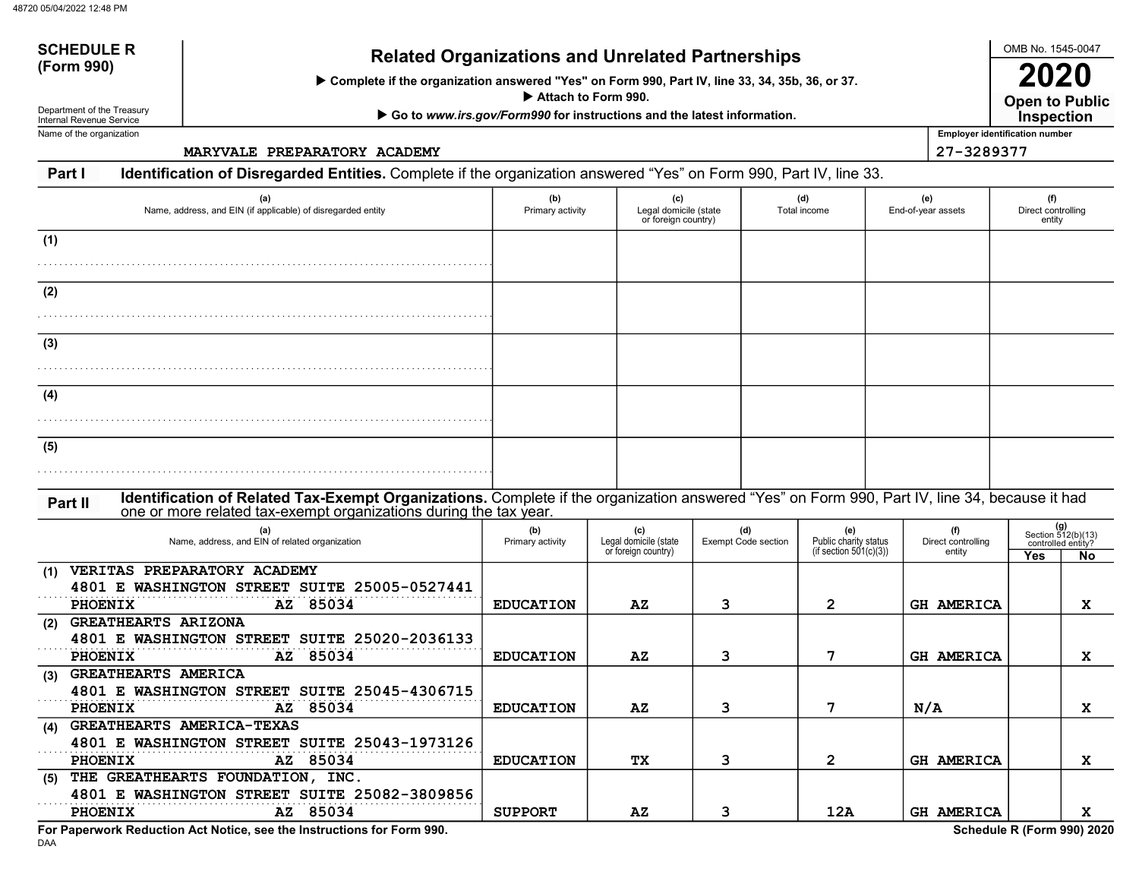# SCHEDULE Related Organizations and Unrelated Partnerships<br>(Form 990)

Complete if the organization answered "Yes" on Form 990, Part IV, line 33, 34, 35b, 36, or 37.

Attach to Form 990.

▶ Go to www.irs.gov/Form990 for instructions and the latest information.

Department of the Treasury Internal Revenue Service Name of the organization

SCHEDULE R

MARYVALE PREPARATORY ACADEMY 27-3289377

### Part I Identification of Disregarded Entities. Complete if the organization answered "Yes" on Form 990, Part IV, line 33.

| (a)<br>Name, address, and EIN (if applicable) of disregarded entity                                                                                                                                                           | (b)<br>Primary activity | (c)                                                 | (d)<br>(e)<br>Legal domicile (state<br>End-of-year assets<br>Total income<br>or foreign country) |                                                           |                                     | (f)<br>Direct controlling<br>entity                                 |
|-------------------------------------------------------------------------------------------------------------------------------------------------------------------------------------------------------------------------------|-------------------------|-----------------------------------------------------|--------------------------------------------------------------------------------------------------|-----------------------------------------------------------|-------------------------------------|---------------------------------------------------------------------|
| (1)                                                                                                                                                                                                                           |                         |                                                     |                                                                                                  |                                                           |                                     |                                                                     |
| (2)                                                                                                                                                                                                                           |                         |                                                     |                                                                                                  |                                                           |                                     |                                                                     |
| (3)                                                                                                                                                                                                                           |                         |                                                     |                                                                                                  |                                                           |                                     |                                                                     |
|                                                                                                                                                                                                                               |                         |                                                     |                                                                                                  |                                                           |                                     |                                                                     |
| (4)                                                                                                                                                                                                                           |                         |                                                     |                                                                                                  |                                                           |                                     |                                                                     |
| (5)                                                                                                                                                                                                                           |                         |                                                     |                                                                                                  |                                                           |                                     |                                                                     |
| Identification of Related Tax-Exempt Organizations. Complete if the organization answered "Yes" on Form 990, Part IV, line 34, because it had<br>Part II<br>one or more related tax-exempt organizations during the tax year. |                         |                                                     |                                                                                                  |                                                           |                                     |                                                                     |
| (a)<br>Name, address, and EIN of related organization                                                                                                                                                                         | (b)<br>Primary activity | (c)<br>Legal domicile (state<br>or foreign country) | (d)<br><b>Exempt Code section</b>                                                                | (e)<br>Public charity status<br>(if section $501(c)(3)$ ) | (f)<br>Direct controlling<br>entity | (g)<br>Section 512(b)(13)<br>controlled entity?<br>Yes<br><b>No</b> |
| VERITAS PREPARATORY ACADEMY<br>(1)<br>4801 E WASHINGTON STREET SUITE 25005-0527441<br>AZ 85034<br><b>PHOENIX</b>                                                                                                              | <b>EDUCATION</b>        | AZ                                                  | 3                                                                                                | 2                                                         | <b>GH AMERICA</b>                   | x                                                                   |
| <b>GREATHEARTS ARIZONA</b><br>(2)<br>4801 E WASHINGTON STREET SUITE 25020-2036133<br><b>PHOENIX</b><br>AZ 85034                                                                                                               | <b>EDUCATION</b>        | $\mathbf{A} \mathbf{Z}$                             | 3                                                                                                | 7                                                         | <b>GH AMERICA</b>                   | x                                                                   |
| <b>GREATHEARTS AMERICA</b><br>(3)<br>4801 E WASHINGTON STREET SUITE 25045-4306715<br>AZ 85034<br><b>PHOENIX</b>                                                                                                               | <b>EDUCATION</b>        | $\mathbf{A} \mathbf{Z}$                             | 3                                                                                                | 7                                                         | N/A                                 | X                                                                   |
| <b>GREATHEARTS AMERICA-TEXAS</b><br>(4)<br>4801 E WASHINGTON STREET SUITE 25043-1973126<br>85034<br>PHOENIX<br>AZ                                                                                                             | <b>EDUCATION</b>        | TХ                                                  | 3                                                                                                | $\mathbf{2}$                                              | <b>GH AMERICA</b>                   | x                                                                   |
| THE GREATHEARTS FOUNDATION, INC.<br>(5)<br>4801 E WASHINGTON STREET SUITE 25082-3809856<br>85034<br>PHOENIX<br>AZ                                                                                                             | <b>SUPPORT</b>          | $\mathbf{A} \mathbf{Z}$                             | 3                                                                                                | 12A                                                       | GH AMERICA                          | x                                                                   |
| For Paperwork Reduction Act Notice, see the Instructions for Form 990.                                                                                                                                                        |                         |                                                     |                                                                                                  |                                                           |                                     | Schedule R (Form 990) 2020                                          |

OMB No. 1545-0047

Open to Public 2020 **Inspection** 

Employer identification number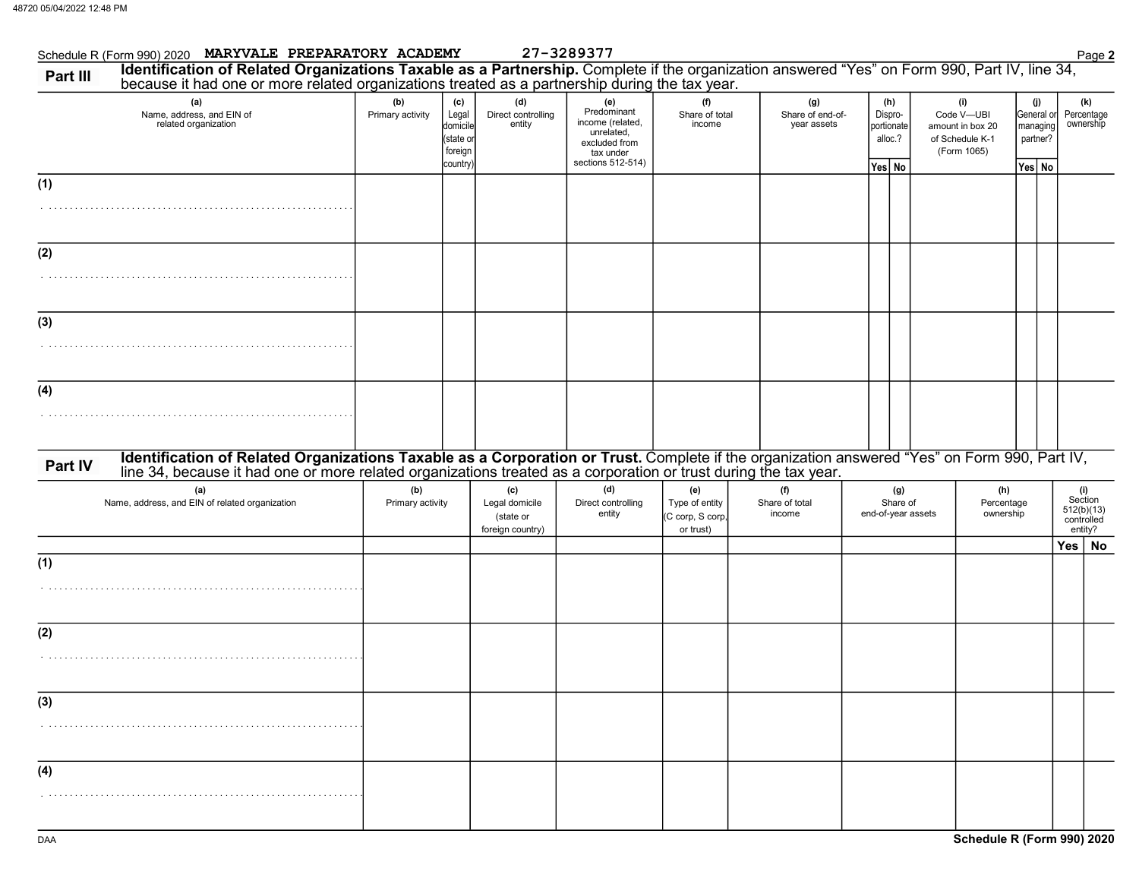|          | Schedule R (Form 990) 2020 MARYVALE PREPARATORY ACADEMY                                                                                                                                                                        |                         |                                                              |                                                        | 27-3289377                                                                                              |                                                        |                                        |                                                   |                                                                         |                                                     | Page 2                                                |
|----------|--------------------------------------------------------------------------------------------------------------------------------------------------------------------------------------------------------------------------------|-------------------------|--------------------------------------------------------------|--------------------------------------------------------|---------------------------------------------------------------------------------------------------------|--------------------------------------------------------|----------------------------------------|---------------------------------------------------|-------------------------------------------------------------------------|-----------------------------------------------------|-------------------------------------------------------|
| Part III | Identification of Related Organizations Taxable as a Partnership. Complete if the organization answered "Yes" on Form 990, Part IV, line 34, because it had one or more related organizations treated as a partnership during  |                         |                                                              |                                                        |                                                                                                         |                                                        |                                        |                                                   |                                                                         |                                                     |                                                       |
|          | (a)<br>Name, address, and EIN of<br>related organization                                                                                                                                                                       | (b)<br>Primary activity | (c)<br>Legal<br>domicile<br>(state or<br>foreign<br>country) | (d)<br>Direct controlling<br>entity                    | (e)<br>Predominant<br>income (related,<br>unrelated,<br>excluded from<br>tax under<br>sections 512-514) | (f)<br>Share of total<br>income                        | (g)<br>Share of end-of-<br>year assets | (h)<br>Dispro-<br>portionate<br>alloc.?<br>Yes No | (i)<br>Code V-UBI<br>amount in box 20<br>of Schedule K-1<br>(Form 1065) | (j)<br>General or<br>managing<br>partner?<br>Yes No | (k)<br>Percentage<br>ownership                        |
| (1)      |                                                                                                                                                                                                                                |                         |                                                              |                                                        |                                                                                                         |                                                        |                                        |                                                   |                                                                         |                                                     |                                                       |
| (2)      |                                                                                                                                                                                                                                |                         |                                                              |                                                        |                                                                                                         |                                                        |                                        |                                                   |                                                                         |                                                     |                                                       |
| (3)      |                                                                                                                                                                                                                                |                         |                                                              |                                                        |                                                                                                         |                                                        |                                        |                                                   |                                                                         |                                                     |                                                       |
| (4)      |                                                                                                                                                                                                                                |                         |                                                              |                                                        |                                                                                                         |                                                        |                                        |                                                   |                                                                         |                                                     |                                                       |
| Part IV  | Identification of Related Organizations Taxable as a Corporation or Trust. Complete if the organization answered "Yes" on Form 990, Part IV, line 34, because it had one or more related organizations treated as a corporatio |                         |                                                              |                                                        |                                                                                                         |                                                        |                                        |                                                   |                                                                         |                                                     |                                                       |
|          | (a)<br>Name, address, and EIN of related organization                                                                                                                                                                          | (b)<br>Primary activity |                                                              | (c)<br>Legal domicile<br>(state or<br>foreign country) | (d)<br>Direct controlling<br>entity                                                                     | (e)<br>Type of entity<br>(C corp, S corp,<br>or trust) | (f)<br>Share of total<br>income        | (g)<br>Share of<br>end-of-year assets             | (h)<br>Percentage<br>ownership                                          |                                                     | (i)<br>Section<br>512(b)(13)<br>controlled<br>entity? |
| (1)      |                                                                                                                                                                                                                                |                         |                                                              |                                                        |                                                                                                         |                                                        |                                        |                                                   |                                                                         |                                                     | Yes   No                                              |
|          |                                                                                                                                                                                                                                |                         |                                                              |                                                        |                                                                                                         |                                                        |                                        |                                                   |                                                                         |                                                     |                                                       |
| (2)      |                                                                                                                                                                                                                                |                         |                                                              |                                                        |                                                                                                         |                                                        |                                        |                                                   |                                                                         |                                                     |                                                       |
| (3)      |                                                                                                                                                                                                                                |                         |                                                              |                                                        |                                                                                                         |                                                        |                                        |                                                   |                                                                         |                                                     |                                                       |
| (4)      |                                                                                                                                                                                                                                |                         |                                                              |                                                        |                                                                                                         |                                                        |                                        |                                                   |                                                                         |                                                     |                                                       |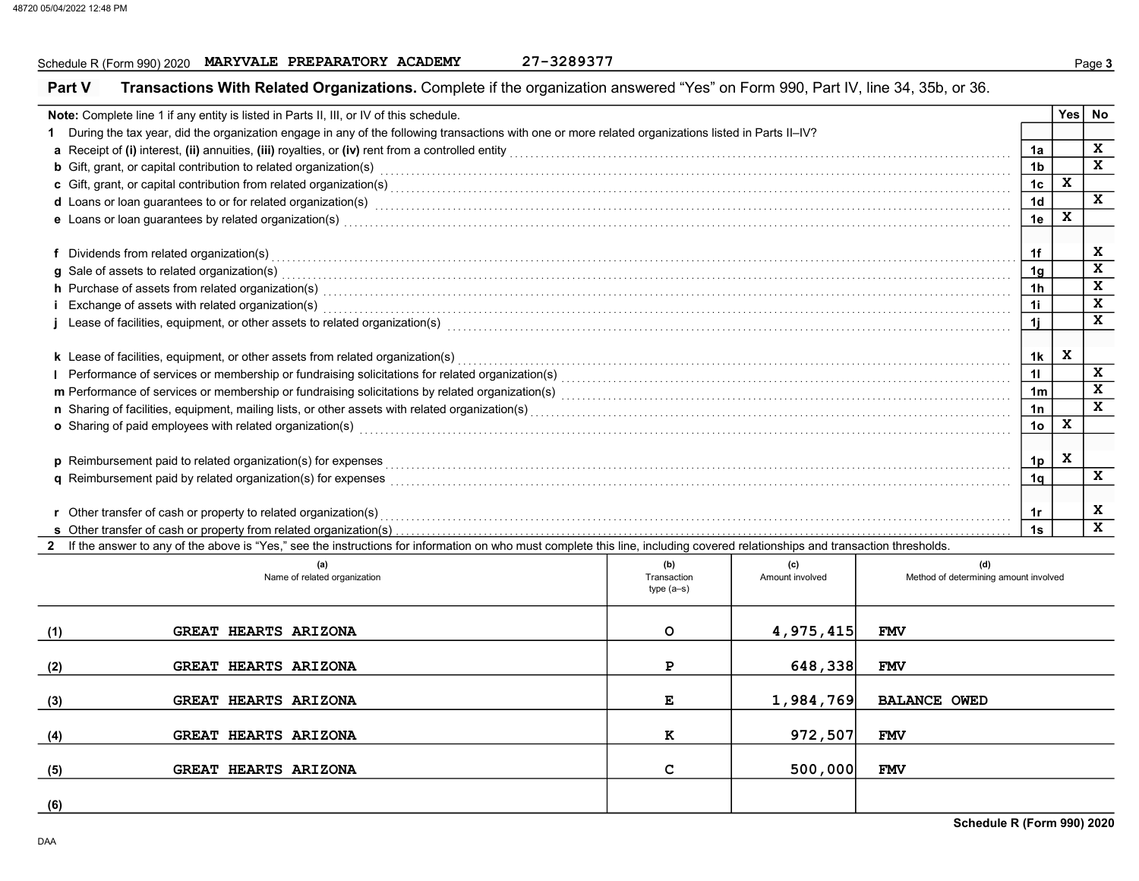# Schedule R (Form 990) 2020 MARYVALE PREPARATORY ACADEMY 27-3289377

| Part V                                                                                                                                                                                                                                                 | Transactions With Related Organizations. Complete if the organization answered "Yes" on Form 990, Part IV, line 34, 35b, or 36.                                                                                                     |             |                 |                                       |                |   |              |  |
|--------------------------------------------------------------------------------------------------------------------------------------------------------------------------------------------------------------------------------------------------------|-------------------------------------------------------------------------------------------------------------------------------------------------------------------------------------------------------------------------------------|-------------|-----------------|---------------------------------------|----------------|---|--------------|--|
|                                                                                                                                                                                                                                                        | Note: Complete line 1 if any entity is listed in Parts II, III, or IV of this schedule.                                                                                                                                             |             |                 |                                       |                |   | Yes No       |  |
|                                                                                                                                                                                                                                                        | 1 During the tax year, did the organization engage in any of the following transactions with one or more related organizations listed in Parts II-IV?                                                                               |             |                 |                                       |                |   |              |  |
|                                                                                                                                                                                                                                                        |                                                                                                                                                                                                                                     |             |                 |                                       | 1a             |   | $\mathbf x$  |  |
|                                                                                                                                                                                                                                                        | <b>b</b> Gift, grant, or capital contribution to related organization(s) encourse contained and contained a series of the set of the set of the set of the set of the set of the set of the set of the set of the set of the set of |             |                 |                                       | 1 <sub>b</sub> |   | $\mathbf{x}$ |  |
|                                                                                                                                                                                                                                                        |                                                                                                                                                                                                                                     |             |                 |                                       | 1 <sub>c</sub> | X |              |  |
|                                                                                                                                                                                                                                                        | d Loans or loan guarantees to or for related organization(s)<br>and the content content content content content content content content content content content content content content content content content content content     |             |                 |                                       | 1 <sub>d</sub> |   | $\mathbf{x}$ |  |
|                                                                                                                                                                                                                                                        | e Loans or loan guarantees by related organization(s)<br>interaction continuous continuous continuous continuous continuous contractions of the contract or continuous                                                              |             |                 |                                       | 1e             | X |              |  |
|                                                                                                                                                                                                                                                        |                                                                                                                                                                                                                                     |             |                 |                                       |                |   |              |  |
|                                                                                                                                                                                                                                                        | f Dividends from related organization(s) encourance contains a substantial container and providends from related organization(s) encourance contains a substantial contains a substantial contains a substantial contains a su      |             |                 |                                       | 1f             |   | X            |  |
|                                                                                                                                                                                                                                                        | g Sale of assets to related organization(s)                                                                                                                                                                                         |             |                 |                                       | 1g             |   | $\mathbf x$  |  |
| h Purchase of assets from related organization(s) encourance contains and contains a container and container and container and container and container and container and container and container and container and container a                         |                                                                                                                                                                                                                                     |             |                 |                                       |                |   |              |  |
| 1 <sub>h</sub><br>i Exchange of assets with related organization(s) with an according to the control of the control of the control or control or control or control or control or control or control or control or control or control or control<br>1i |                                                                                                                                                                                                                                     |             |                 |                                       |                |   |              |  |
| j Lease of facilities, equipment, or other assets to related organization(s) enconverse contained and contained and contained and facilities, equipment, or other assets to related organization(s) enconverse contained and c<br>1i                   |                                                                                                                                                                                                                                     |             |                 |                                       |                |   |              |  |
|                                                                                                                                                                                                                                                        |                                                                                                                                                                                                                                     |             |                 |                                       |                |   |              |  |
|                                                                                                                                                                                                                                                        |                                                                                                                                                                                                                                     |             |                 |                                       | 1k             | X |              |  |
|                                                                                                                                                                                                                                                        |                                                                                                                                                                                                                                     |             |                 |                                       | 11             |   | X            |  |
|                                                                                                                                                                                                                                                        |                                                                                                                                                                                                                                     |             |                 |                                       | 1 <sub>m</sub> |   | X            |  |
|                                                                                                                                                                                                                                                        | n Sharing of facilities, equipment, mailing lists, or other assets with related organization(s)<br>interaction(s) interaction(s) interactions contained and contained contained contained contained and contained in the contact    |             |                 |                                       | 1n             |   | X            |  |
|                                                                                                                                                                                                                                                        | o Sharing of paid employees with related organization(s) encourance contains an array contained a starting of paid employees with related organization(s) encourance contained a starting of paid employees with related organ      |             |                 |                                       | 1 <sub>o</sub> | X |              |  |
|                                                                                                                                                                                                                                                        |                                                                                                                                                                                                                                     |             |                 |                                       |                |   |              |  |
|                                                                                                                                                                                                                                                        | p Reimbursement paid to related organization(s) for expenses <b>conserved and conserved and conserved</b> and conserved and conserved and conserved and conserved and conserved and conserved and conserved and conserved and conse |             |                 |                                       | 1p             | X |              |  |
|                                                                                                                                                                                                                                                        | q Reimbursement paid by related organization(s) for expenses <b>construction construction</b> construction construction                                                                                                             |             |                 |                                       | 1 <sub>q</sub> |   | X            |  |
|                                                                                                                                                                                                                                                        |                                                                                                                                                                                                                                     |             |                 |                                       |                |   |              |  |
|                                                                                                                                                                                                                                                        | r Other transfer of cash or property to related organization(s) encourse the contract the content of the content of the content of the content of the content of the content of the content of the content of the content of t      |             |                 |                                       | 1r             |   | X            |  |
|                                                                                                                                                                                                                                                        |                                                                                                                                                                                                                                     |             |                 |                                       | 1s             |   | $\mathbf{x}$ |  |
|                                                                                                                                                                                                                                                        | 2 If the answer to any of the above is "Yes," see the instructions for information on who must complete this line, including covered relationships and transaction thresholds.                                                      |             |                 |                                       |                |   |              |  |
|                                                                                                                                                                                                                                                        | (a)                                                                                                                                                                                                                                 | (b)         | (c)             | (d)                                   |                |   |              |  |
|                                                                                                                                                                                                                                                        | Name of related organization                                                                                                                                                                                                        | Transaction | Amount involved | Method of determining amount involved |                |   |              |  |
|                                                                                                                                                                                                                                                        |                                                                                                                                                                                                                                     | $type(a-s)$ |                 |                                       |                |   |              |  |
|                                                                                                                                                                                                                                                        |                                                                                                                                                                                                                                     |             |                 |                                       |                |   |              |  |
| (1)                                                                                                                                                                                                                                                    | <b>GREAT HEARTS ARIZONA</b>                                                                                                                                                                                                         | $\circ$     | 4,975,415       | <b>FMV</b>                            |                |   |              |  |
|                                                                                                                                                                                                                                                        |                                                                                                                                                                                                                                     |             |                 |                                       |                |   |              |  |
| (2)                                                                                                                                                                                                                                                    | <b>GREAT HEARTS ARIZONA</b>                                                                                                                                                                                                         | P           | 648,338         | <b>FMV</b>                            |                |   |              |  |
|                                                                                                                                                                                                                                                        |                                                                                                                                                                                                                                     |             |                 |                                       |                |   |              |  |
| (3)                                                                                                                                                                                                                                                    | <b>GREAT HEARTS ARIZONA</b>                                                                                                                                                                                                         | Е           | 1,984,769       | <b>BALANCE OWED</b>                   |                |   |              |  |
|                                                                                                                                                                                                                                                        |                                                                                                                                                                                                                                     |             |                 |                                       |                |   |              |  |
| (4)                                                                                                                                                                                                                                                    | GREAT HEARTS ARIZONA                                                                                                                                                                                                                | к           | 972,507         | <b>FMV</b>                            |                |   |              |  |
|                                                                                                                                                                                                                                                        |                                                                                                                                                                                                                                     |             |                 |                                       |                |   |              |  |
| (5)                                                                                                                                                                                                                                                    | GREAT HEARTS ARIZONA                                                                                                                                                                                                                | c           | 500,000         | <b>FMV</b>                            |                |   |              |  |
|                                                                                                                                                                                                                                                        |                                                                                                                                                                                                                                     |             |                 |                                       |                |   |              |  |
| (6)                                                                                                                                                                                                                                                    |                                                                                                                                                                                                                                     |             |                 |                                       |                |   |              |  |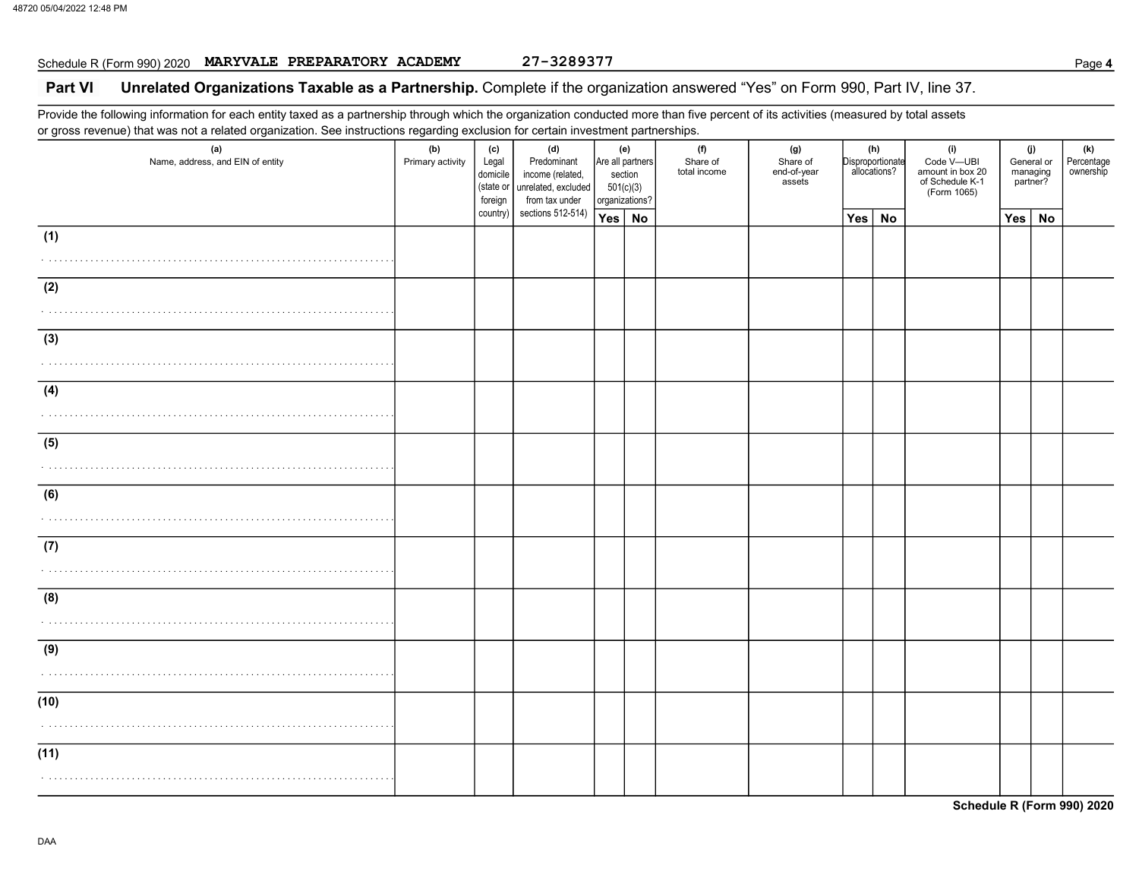# Schedule R (Form 990) 2020 MARYVALE PREPARATORY ACADEMY 27-3289377

### Part VI Unrelated Organizations Taxable as a Partnership. Complete if the organization answered "Yes" on Form 990, Part IV, line 37.

Provide the following information for each entity taxed as a partnership through which the organization conducted more than five percent of its activities (measured by total assets or gross revenue) that was not a related organization. See instructions regarding exclusion for certain investment partnerships.

| (a)<br>Name, address, and EIN of entity | (b)<br>Primary activity | (c)<br>Legal<br>domicile<br>(state or<br>foreign | ser tem minister mente pen a rener<br>(d)<br>Predominant<br>income (related,<br>unrelated, excluded<br>from tax under | section<br>501(c)(3)<br>organizations? | (e)<br>Are all partners | . p. s. .<br>(f)<br>Share of<br>total income | (g)<br>Share of<br>end-of-year<br>assets |     | (h)<br>Disproportionate<br>allocations? | (i)<br>Code V-UBI<br>amount in box 20<br>of Schedule K-1<br>(Form 1065) |     | (j)<br>General or<br>managing<br>partner? | (k)<br>Percentage<br>ownership |
|-----------------------------------------|-------------------------|--------------------------------------------------|-----------------------------------------------------------------------------------------------------------------------|----------------------------------------|-------------------------|----------------------------------------------|------------------------------------------|-----|-----------------------------------------|-------------------------------------------------------------------------|-----|-------------------------------------------|--------------------------------|
|                                         |                         | country)                                         | sections 512-514)                                                                                                     | Yes   No                               |                         |                                              |                                          | Yes | <b>No</b>                               |                                                                         | Yes | <b>No</b>                                 |                                |
| (1)                                     |                         |                                                  |                                                                                                                       |                                        |                         |                                              |                                          |     |                                         |                                                                         |     |                                           |                                |
| (2)                                     |                         |                                                  |                                                                                                                       |                                        |                         |                                              |                                          |     |                                         |                                                                         |     |                                           |                                |
| (3)                                     |                         |                                                  |                                                                                                                       |                                        |                         |                                              |                                          |     |                                         |                                                                         |     |                                           |                                |
| (4)                                     |                         |                                                  |                                                                                                                       |                                        |                         |                                              |                                          |     |                                         |                                                                         |     |                                           |                                |
| (5)                                     |                         |                                                  |                                                                                                                       |                                        |                         |                                              |                                          |     |                                         |                                                                         |     |                                           |                                |
| (6)                                     |                         |                                                  |                                                                                                                       |                                        |                         |                                              |                                          |     |                                         |                                                                         |     |                                           |                                |
| (7)                                     |                         |                                                  |                                                                                                                       |                                        |                         |                                              |                                          |     |                                         |                                                                         |     |                                           |                                |
| (8)                                     |                         |                                                  |                                                                                                                       |                                        |                         |                                              |                                          |     |                                         |                                                                         |     |                                           |                                |
| (9)                                     |                         |                                                  |                                                                                                                       |                                        |                         |                                              |                                          |     |                                         |                                                                         |     |                                           |                                |
| (10)                                    |                         |                                                  |                                                                                                                       |                                        |                         |                                              |                                          |     |                                         |                                                                         |     |                                           |                                |
| (11)                                    |                         |                                                  |                                                                                                                       |                                        |                         |                                              |                                          |     |                                         |                                                                         |     |                                           |                                |

Schedule R (Form 990) 2020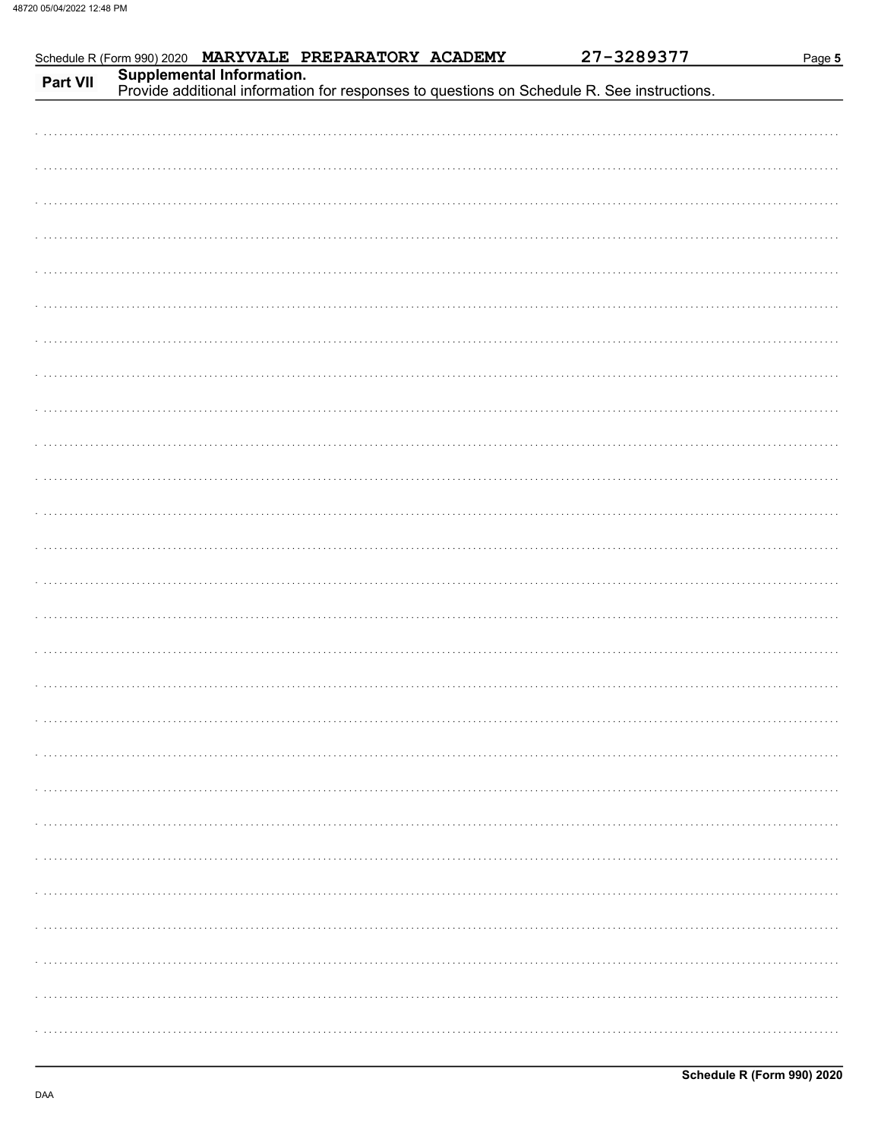| Schedule R (Form 990) 2020 MARYVALE PREPARATORY ACADEMY<br>Part VII |  | 27-3289377<br>Supplemental Information.<br>Provide additional information for responses to questions on Schedule R. See instructions. | Page 5 |
|---------------------------------------------------------------------|--|---------------------------------------------------------------------------------------------------------------------------------------|--------|
|                                                                     |  |                                                                                                                                       |        |
|                                                                     |  |                                                                                                                                       |        |
|                                                                     |  |                                                                                                                                       |        |
|                                                                     |  |                                                                                                                                       |        |
|                                                                     |  |                                                                                                                                       |        |
|                                                                     |  |                                                                                                                                       |        |
|                                                                     |  |                                                                                                                                       |        |
|                                                                     |  |                                                                                                                                       |        |
|                                                                     |  |                                                                                                                                       |        |
|                                                                     |  |                                                                                                                                       |        |
|                                                                     |  |                                                                                                                                       |        |
|                                                                     |  |                                                                                                                                       |        |
|                                                                     |  |                                                                                                                                       |        |
|                                                                     |  |                                                                                                                                       |        |
|                                                                     |  |                                                                                                                                       |        |
|                                                                     |  |                                                                                                                                       |        |
|                                                                     |  |                                                                                                                                       |        |
|                                                                     |  |                                                                                                                                       |        |
|                                                                     |  |                                                                                                                                       |        |
|                                                                     |  |                                                                                                                                       |        |
|                                                                     |  |                                                                                                                                       |        |
|                                                                     |  |                                                                                                                                       |        |
|                                                                     |  |                                                                                                                                       |        |
|                                                                     |  |                                                                                                                                       |        |
|                                                                     |  |                                                                                                                                       |        |
|                                                                     |  |                                                                                                                                       |        |
|                                                                     |  |                                                                                                                                       |        |
|                                                                     |  |                                                                                                                                       |        |
|                                                                     |  |                                                                                                                                       |        |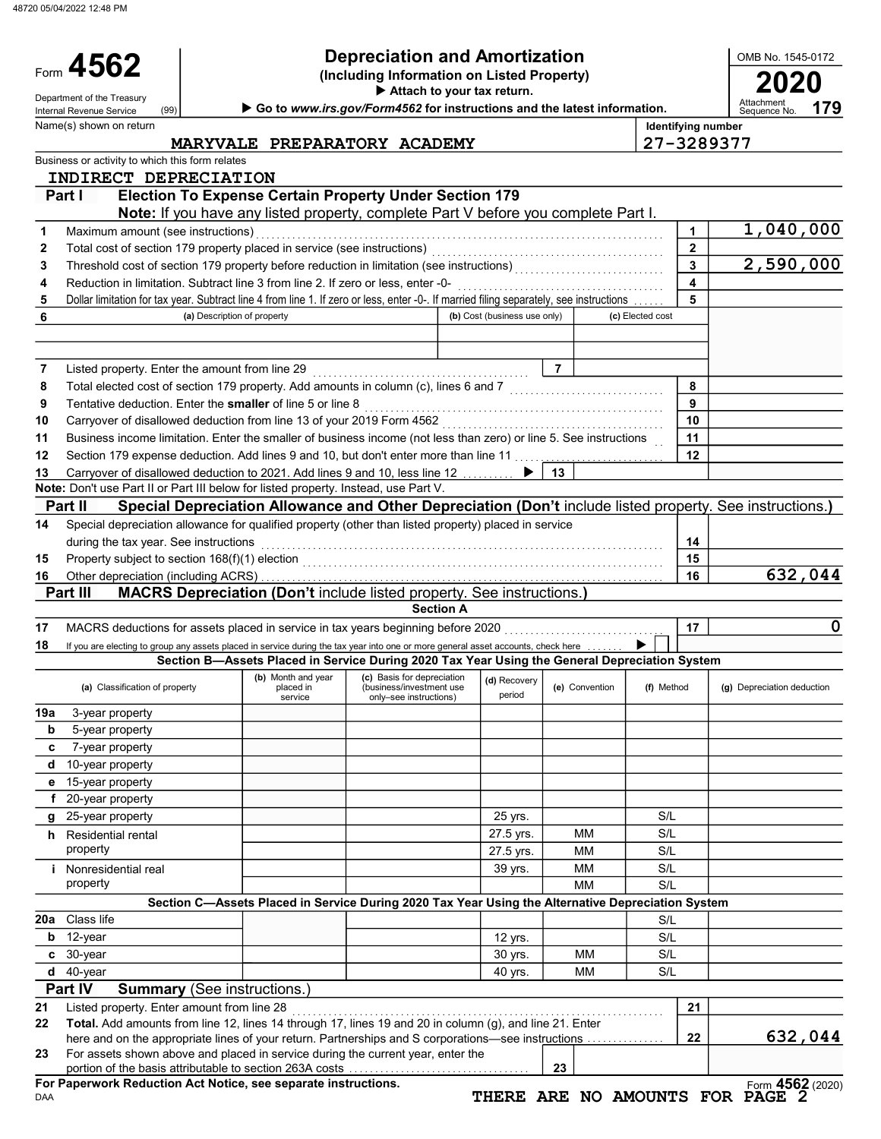48720 05/04/2022 12:48 PM

Name(s) shown on return

(99)

Form 4562

# Depreciation and Amortization

(Including Information on Listed Property) **4562** Depreciation and Amortization<br>(Including Information on Listed Property)<br>Attach to your tax return.

Attach to your tax return.

Department of the Treasury (99) **Department of the Treasury Contact Treasury Begins and Treasury Attachment** Contact Treasury **Contact Treasury Begins and the latest information.** Attachment Sequence No.

OMB No. 1545-0172

179

Identifying number

MARYVALE PREPARATORY ACADEMY 27-3289377

|     | Business or activity to which this form relates<br>INDIRECT DEPRECIATION                                                                |                      |                                                                                                          |                              |                |                  |                |                            |
|-----|-----------------------------------------------------------------------------------------------------------------------------------------|----------------------|----------------------------------------------------------------------------------------------------------|------------------------------|----------------|------------------|----------------|----------------------------|
|     | Part I                                                                                                                                  |                      | <b>Election To Expense Certain Property Under Section 179</b>                                            |                              |                |                  |                |                            |
|     |                                                                                                                                         |                      | Note: If you have any listed property, complete Part V before you complete Part I.                       |                              |                |                  |                |                            |
| 1   | Maximum amount (see instructions)                                                                                                       |                      |                                                                                                          |                              |                |                  | 1              | 1,040,000                  |
| 2   |                                                                                                                                         |                      |                                                                                                          |                              |                |                  | $\overline{2}$ |                            |
| 3   |                                                                                                                                         |                      |                                                                                                          |                              |                |                  | 3              | 2,590,000                  |
| 4   | Reduction in limitation. Subtract line 3 from line 2. If zero or less, enter -0-                                                        |                      |                                                                                                          |                              |                |                  | 4              |                            |
| 5   | Dollar limitation for tax year. Subtract line 4 from line 1. If zero or less, enter -0-. If married filing separately, see instructions |                      |                                                                                                          |                              |                |                  | 5              |                            |
| 6   | (a) Description of property                                                                                                             |                      |                                                                                                          | (b) Cost (business use only) |                | (c) Elected cost |                |                            |
|     |                                                                                                                                         |                      |                                                                                                          |                              |                |                  |                |                            |
|     |                                                                                                                                         |                      |                                                                                                          |                              |                |                  |                |                            |
| 7   | Listed property. Enter the amount from line 29                                                                                          |                      |                                                                                                          |                              | $\overline{7}$ |                  |                |                            |
| 8   | Total elected cost of section 179 property. Add amounts in column (c), lines 6 and 7 [[[[[[[[[[[[[[[[[[[[[[[[                           |                      |                                                                                                          |                              |                |                  | 8              |                            |
| 9   | Tentative deduction. Enter the smaller of line 5 or line 8                                                                              |                      |                                                                                                          |                              |                |                  | 9              |                            |
| 10  |                                                                                                                                         |                      |                                                                                                          |                              |                |                  | 10             |                            |
| 11  | Business income limitation. Enter the smaller of business income (not less than zero) or line 5. See instructions                       |                      |                                                                                                          |                              |                |                  | 11             |                            |
| 12  | Section 179 expense deduction. Add lines 9 and 10, but don't enter more than line 11                                                    |                      |                                                                                                          |                              |                |                  | 12             |                            |
| 13  | Carryover of disallowed deduction to 2021. Add lines 9 and 10, less line 12 [10, 10, 10]                                                |                      |                                                                                                          | ▶                            | 13             |                  |                |                            |
|     | Note: Don't use Part II or Part III below for listed property. Instead, use Part V.                                                     |                      |                                                                                                          |                              |                |                  |                |                            |
|     | Part II                                                                                                                                 |                      | Special Depreciation Allowance and Other Depreciation (Don't include listed property. See instructions.) |                              |                |                  |                |                            |
| 14  | Special depreciation allowance for qualified property (other than listed property) placed in service                                    |                      |                                                                                                          |                              |                |                  |                |                            |
|     | during the tax year. See instructions                                                                                                   |                      |                                                                                                          |                              |                |                  | 14             |                            |
| 15  |                                                                                                                                         |                      |                                                                                                          |                              |                |                  | 15             |                            |
| 16  |                                                                                                                                         |                      |                                                                                                          |                              |                |                  | 16             | 632,044                    |
|     | Part III                                                                                                                                |                      | <b>MACRS Depreciation (Don't include listed property. See instructions.)</b>                             |                              |                |                  |                |                            |
|     |                                                                                                                                         |                      | <b>Section A</b>                                                                                         |                              |                |                  |                |                            |
| 17  | MACRS deductions for assets placed in service in tax years beginning before 2020                                                        |                      |                                                                                                          |                              |                |                  | 17             | 0                          |
| 18  | If you are electing to group any assets placed in service during the tax year into one or more general asset accounts, check here       |                      |                                                                                                          |                              |                |                  |                |                            |
|     |                                                                                                                                         |                      | Section B-Assets Placed in Service During 2020 Tax Year Using the General Depreciation System            |                              |                |                  |                |                            |
|     |                                                                                                                                         | (b) Month and year   | (c) Basis for depreciation                                                                               | (d) Recovery                 |                |                  |                |                            |
|     | (a) Classification of property                                                                                                          | placed in<br>service | (business/investment use<br>only-see instructions)                                                       | period                       | (e) Convention | (f) Method       |                | (g) Depreciation deduction |
| 19a | 3-year property                                                                                                                         |                      |                                                                                                          |                              |                |                  |                |                            |
| b   | 5-year property                                                                                                                         |                      |                                                                                                          |                              |                |                  |                |                            |
| C   | 7-year property                                                                                                                         |                      |                                                                                                          |                              |                |                  |                |                            |
| d   | 10-year property                                                                                                                        |                      |                                                                                                          |                              |                |                  |                |                            |
| е   | 15-year property                                                                                                                        |                      |                                                                                                          |                              |                |                  |                |                            |
| f   |                                                                                                                                         |                      |                                                                                                          |                              |                |                  |                |                            |
|     |                                                                                                                                         |                      |                                                                                                          |                              |                |                  |                |                            |
|     | 20-year property                                                                                                                        |                      |                                                                                                          |                              |                |                  |                |                            |
| g   | 25-year property                                                                                                                        |                      |                                                                                                          | 25 yrs.                      |                | S/L              |                |                            |
| h.  | Residential rental                                                                                                                      |                      |                                                                                                          | 27.5 yrs.                    | ΜМ             | S/L              |                |                            |
|     | property                                                                                                                                |                      |                                                                                                          | 27.5 yrs.                    | МM             | S/L              |                |                            |
| Ť.  | Nonresidential real                                                                                                                     |                      |                                                                                                          | 39 yrs.                      | МM             | S/L              |                |                            |
|     | property                                                                                                                                |                      |                                                                                                          |                              | ΜМ             | S/L              |                |                            |
|     |                                                                                                                                         |                      | Section C-Assets Placed in Service During 2020 Tax Year Using the Alternative Depreciation System        |                              |                |                  |                |                            |
|     | 20a Class life                                                                                                                          |                      |                                                                                                          |                              |                | S/L              |                |                            |
| b   | 12-year                                                                                                                                 |                      |                                                                                                          | 12 yrs.                      |                | S/L              |                |                            |
| c   | 30-year                                                                                                                                 |                      |                                                                                                          | 30 yrs.                      | МM             | S/L              |                |                            |
|     | $d$ 40-year                                                                                                                             |                      |                                                                                                          | 40 yrs.                      | МM             | S/L              |                |                            |
|     | <b>Part IV</b><br><b>Summary</b> (See instructions.)                                                                                    |                      |                                                                                                          |                              |                |                  |                |                            |
| 21  | Listed property. Enter amount from line 28                                                                                              |                      |                                                                                                          |                              |                |                  | 21             |                            |
|     | Total. Add amounts from line 12, lines 14 through 17, lines 19 and 20 in column (g), and line 21. Enter                                 |                      |                                                                                                          |                              |                |                  |                |                            |
| 22  | here and on the appropriate lines of your return. Partnerships and S corporations—see instructions                                      |                      |                                                                                                          |                              |                |                  | 22             |                            |
| 23  | For assets shown above and placed in service during the current year, enter the                                                         |                      |                                                                                                          |                              |                |                  |                | 632,044                    |
|     | portion of the basis attributable to section 263A costs<br>For Paperwork Reduction Act Notice, see separate instructions.               |                      |                                                                                                          |                              | 23             |                  |                | Form 4562 (2020)           |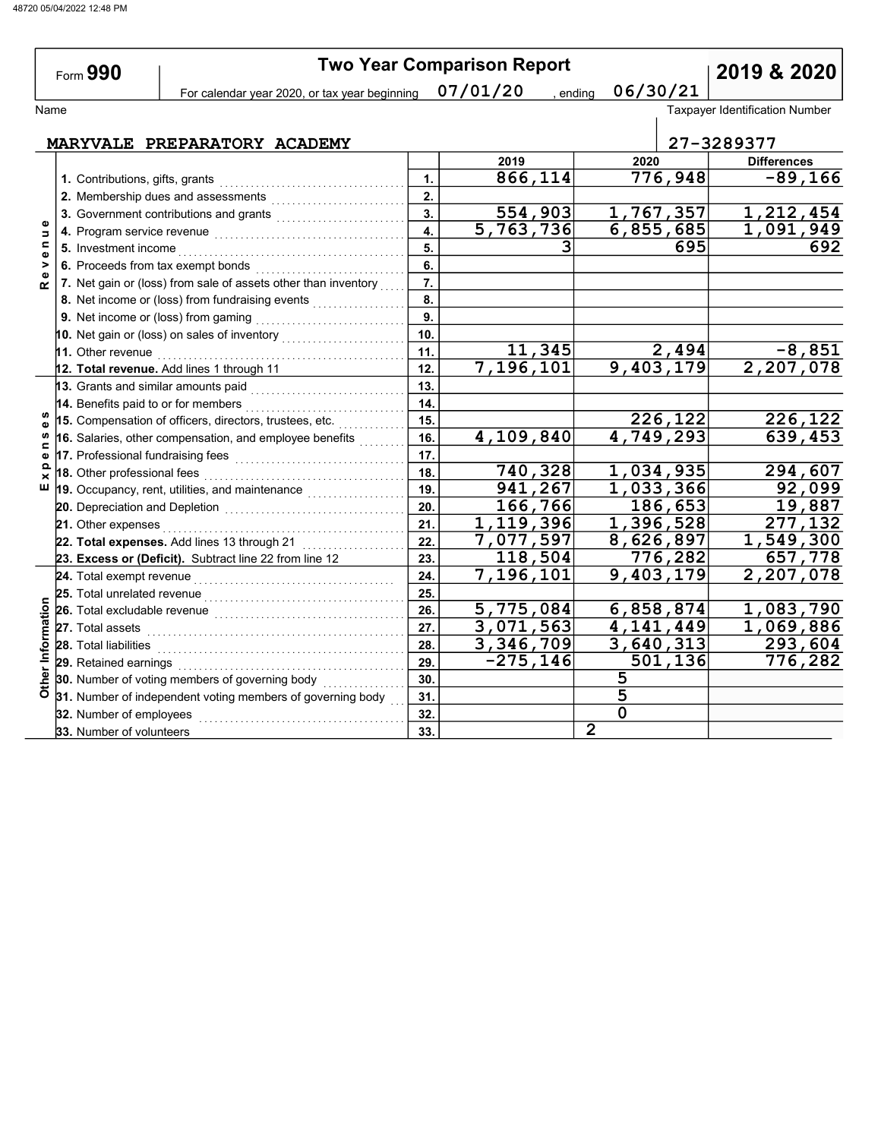| Form 990                     |  |                                 |                                                                                       |     | <b>Two Year Comparison Report</b> |                        | 2019 & 2020                           |
|------------------------------|--|---------------------------------|---------------------------------------------------------------------------------------|-----|-----------------------------------|------------------------|---------------------------------------|
|                              |  |                                 | For calendar year 2020, or tax year beginning $07/01/20$                              |     | , ending                          | 06/30/21               |                                       |
| Name                         |  |                                 |                                                                                       |     |                                   |                        | <b>Taxpayer Identification Number</b> |
| MARYVALE PREPARATORY ACADEMY |  |                                 |                                                                                       |     |                                   |                        | 27-3289377                            |
|                              |  |                                 |                                                                                       |     | 2019                              | 2020                   | <b>Differences</b>                    |
|                              |  | 1. Contributions, gifts, grants |                                                                                       | 1.  | 866, 114                          | 776,948                | $\overline{-89}$ , 166                |
|                              |  |                                 | 2. Membership dues and assessments                                                    | 2.  |                                   |                        |                                       |
|                              |  |                                 | 3. Government contributions and grants                                                | 3.  | 554,903                           | 1,767,357              | 1,212,454                             |
| Φ<br>$\Rightarrow$           |  |                                 |                                                                                       | 4.  | 5,763,736                         | 6,855,685              | 1,091,949                             |
| $\blacksquare$               |  |                                 |                                                                                       | 5.  |                                   | 695                    | 692                                   |
| Ф<br>>                       |  |                                 | 6. Proceeds from tax exempt bonds                                                     | 6.  |                                   |                        |                                       |
| $\bullet$<br>$\alpha$        |  |                                 | 7. Net gain or (loss) from sale of assets other than inventory                        | 7.  |                                   |                        |                                       |
|                              |  |                                 | 8. Net income or (loss) from fundraising events                                       | 8.  |                                   |                        |                                       |
|                              |  |                                 |                                                                                       | 9.  |                                   |                        |                                       |
|                              |  |                                 | 10. Net gain or (loss) on sales of inventory $\begin{array}{ c c }\hline \end{array}$ | 10. |                                   |                        |                                       |
|                              |  |                                 |                                                                                       | 11. | 11,345                            | 2,494                  | $-8,851$                              |
|                              |  |                                 | 12. Total revenue. Add lines 1 through 11                                             | 12. | 7,196,101                         | $\overline{9,403,179}$ | 2,207,078                             |
|                              |  |                                 | 13. Grants and similar amounts paid                                                   | 13. |                                   |                        |                                       |
|                              |  |                                 | 14. Benefits paid to or for members                                                   | 14. |                                   |                        |                                       |
| Φ                            |  |                                 | 15. Compensation of officers, directors, trustees, etc.                               | 15. |                                   | 226,122                | 226,122                               |
| S<br>⊆                       |  |                                 | 16. Salaries, other compensation, and employee benefits                               | 16. | 4,109,840                         | 4,749,293              | 639,453                               |
| $\bullet$                    |  |                                 | 17. Professional fundraising fees <b>construct to the final state of the fi</b>       | 17. |                                   |                        |                                       |
| $\Omega$<br>×                |  | 18. Other professional fees     |                                                                                       | 18. | 740,328                           | 1,034,935              | 294,607                               |
| ш                            |  |                                 | 19. Occupancy, rent, utilities, and maintenance                                       | 19. | 941,267                           | 1,033,366              | 92,099                                |
|                              |  |                                 |                                                                                       | 20. | 166,766                           | 186,653                | 19,887                                |
|                              |  | 21. Other expenses              |                                                                                       | 21. | 1,119,396                         | 1,396,528              | $\overline{277,132}$                  |
|                              |  |                                 | 22. Total expenses. Add lines 13 through 21                                           | 22. | 7,077,597                         | 8,626,897              | 1,549,300                             |
|                              |  |                                 | 23. Excess or (Deficit). Subtract line 22 from line 12                                | 23. | 118,504                           | 776,282                | 657,778                               |
|                              |  |                                 |                                                                                       | 24. | $\overline{7,196,101}$            | 9,403,179              | 2,207,078                             |
|                              |  | 25. Total unrelated revenue     |                                                                                       | 25. |                                   |                        |                                       |
|                              |  | 26. Total excludable revenue    |                                                                                       | 26. | $\overline{5,775,084}$            | 6,858,874              | 1,083,790                             |
|                              |  |                                 |                                                                                       | 27. | 3,071,563                         | 4, 141, 449            | 1,069,886                             |
| Information                  |  | 28. Total liabilities           |                                                                                       | 28. | 3,346,709                         | 3,640,313              | 293,604                               |
|                              |  | 29. Retained earnings           |                                                                                       | 29. | $-275, 146$                       | $\overline{501}$ , 136 | 776,282                               |
| Other                        |  |                                 | 30. Number of voting members of governing body                                        | 30. |                                   | 5                      |                                       |
|                              |  |                                 | 31. Number of independent voting members of governing body                            | 31. |                                   | 5                      |                                       |
|                              |  | 32. Number of employees         |                                                                                       | 32. |                                   | $\mathbf 0$            |                                       |
|                              |  | 33. Number of volunteers        |                                                                                       | 33. |                                   | $\overline{2}$         |                                       |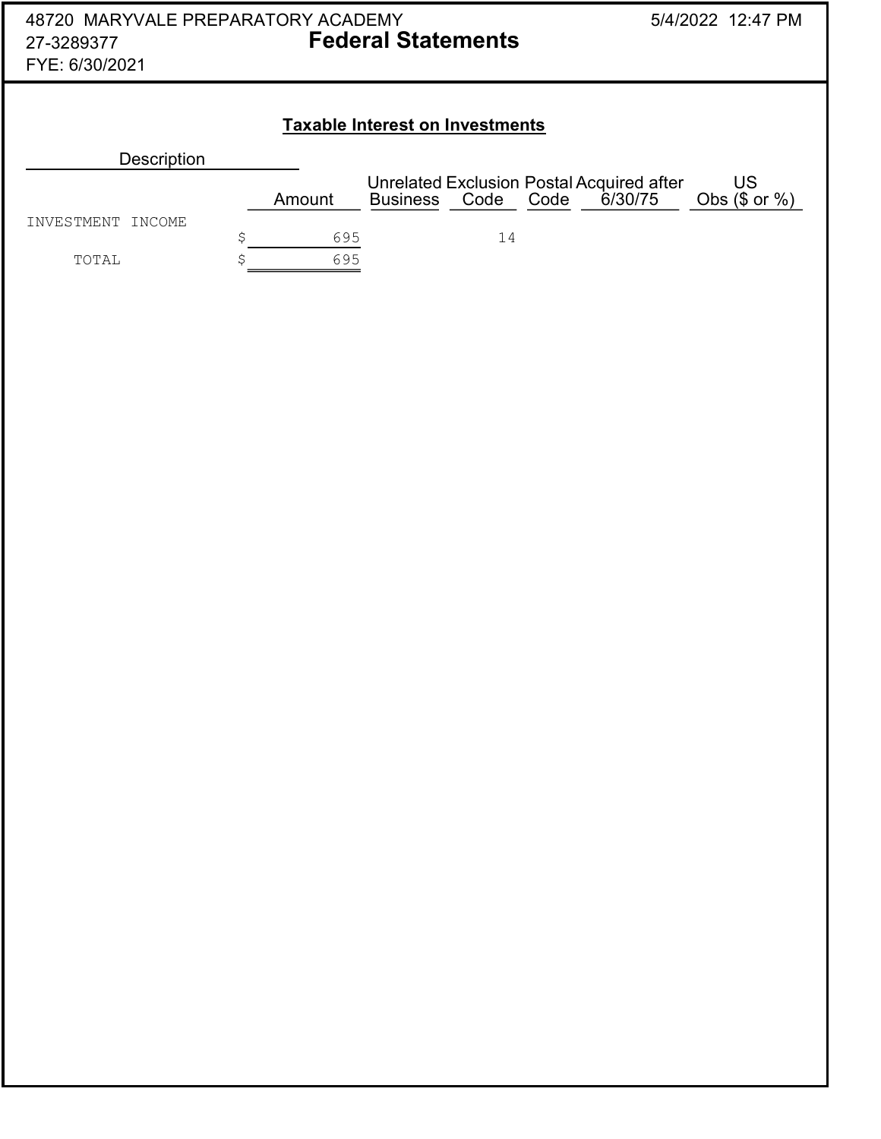| 48720 MARYVALE PREPARATORY ACADEMY<br><b>Federal Statements</b><br>27-3289377<br>FYE: 6/30/2021 |    |        |                                        |      |      |                                                             | 5/4/2022 12:47 PM   |
|-------------------------------------------------------------------------------------------------|----|--------|----------------------------------------|------|------|-------------------------------------------------------------|---------------------|
|                                                                                                 |    |        | <b>Taxable Interest on Investments</b> |      |      |                                                             |                     |
| <b>Description</b>                                                                              |    |        |                                        |      |      |                                                             |                     |
|                                                                                                 |    | Amount | <b>Business</b>                        | Code | Code | <b>Unrelated Exclusion Postal Acquired after</b><br>6/30/75 | US<br>Obs $($or %)$ |
| INVESTMENT<br>INCOME                                                                            | \$ | 695    |                                        | 14   |      |                                                             |                     |
| TOTAL                                                                                           | Ś  | 695    |                                        |      |      |                                                             |                     |
|                                                                                                 |    |        |                                        |      |      |                                                             |                     |